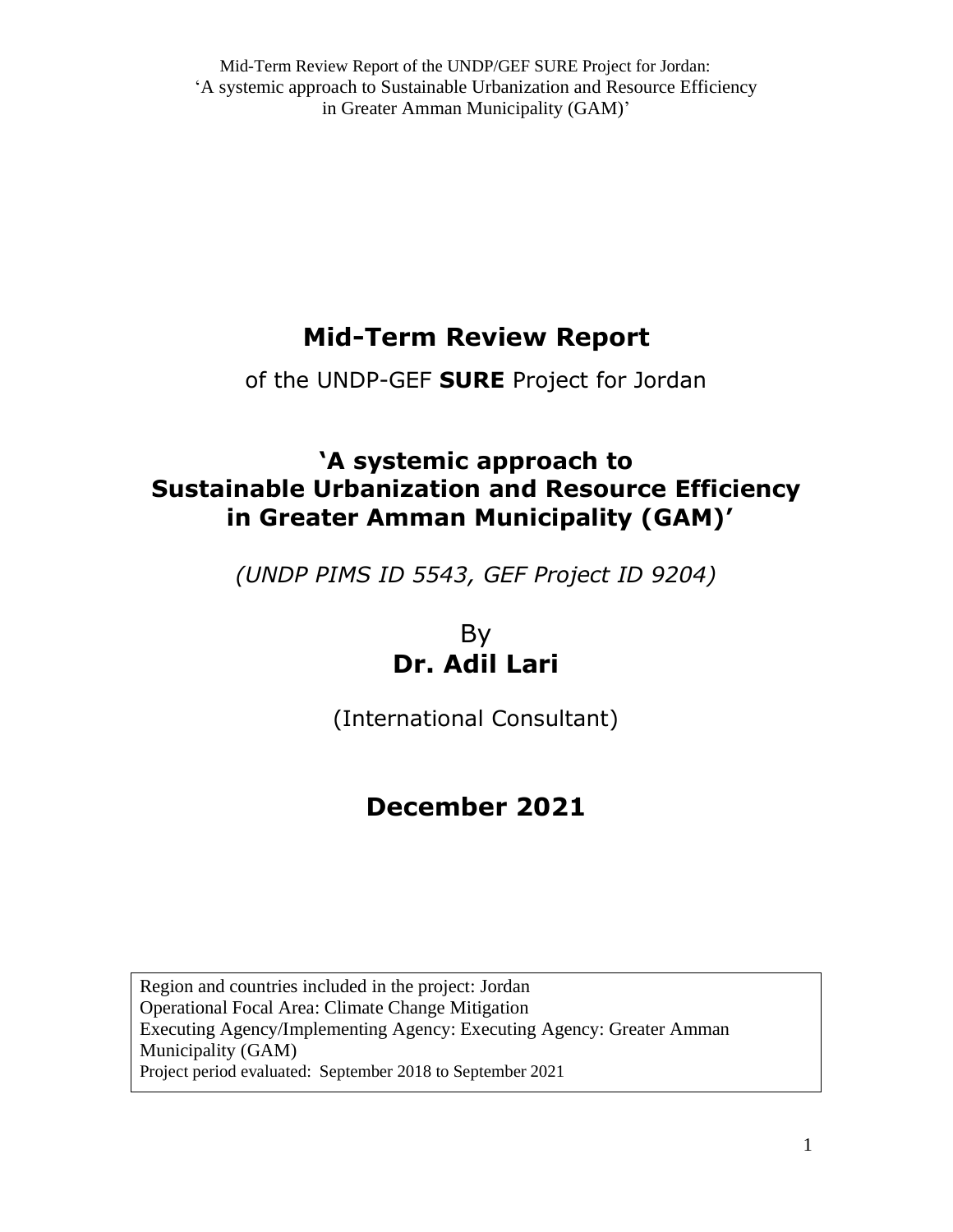# **Mid-Term Review Report**

of the UNDP-GEF **SURE** Project for Jordan

# **'A systemic approach to Sustainable Urbanization and Resource Efficiency in Greater Amman Municipality (GAM)'**

*(UNDP PIMS ID 5543, GEF Project ID 9204)*

By **Dr. Adil Lari**

(International Consultant)

# **December 2021**

Region and countries included in the project: Jordan Operational Focal Area: Climate Change Mitigation Executing Agency/Implementing Agency: Executing Agency: Greater Amman Municipality (GAM) Project period evaluated: September 2018 to September 2021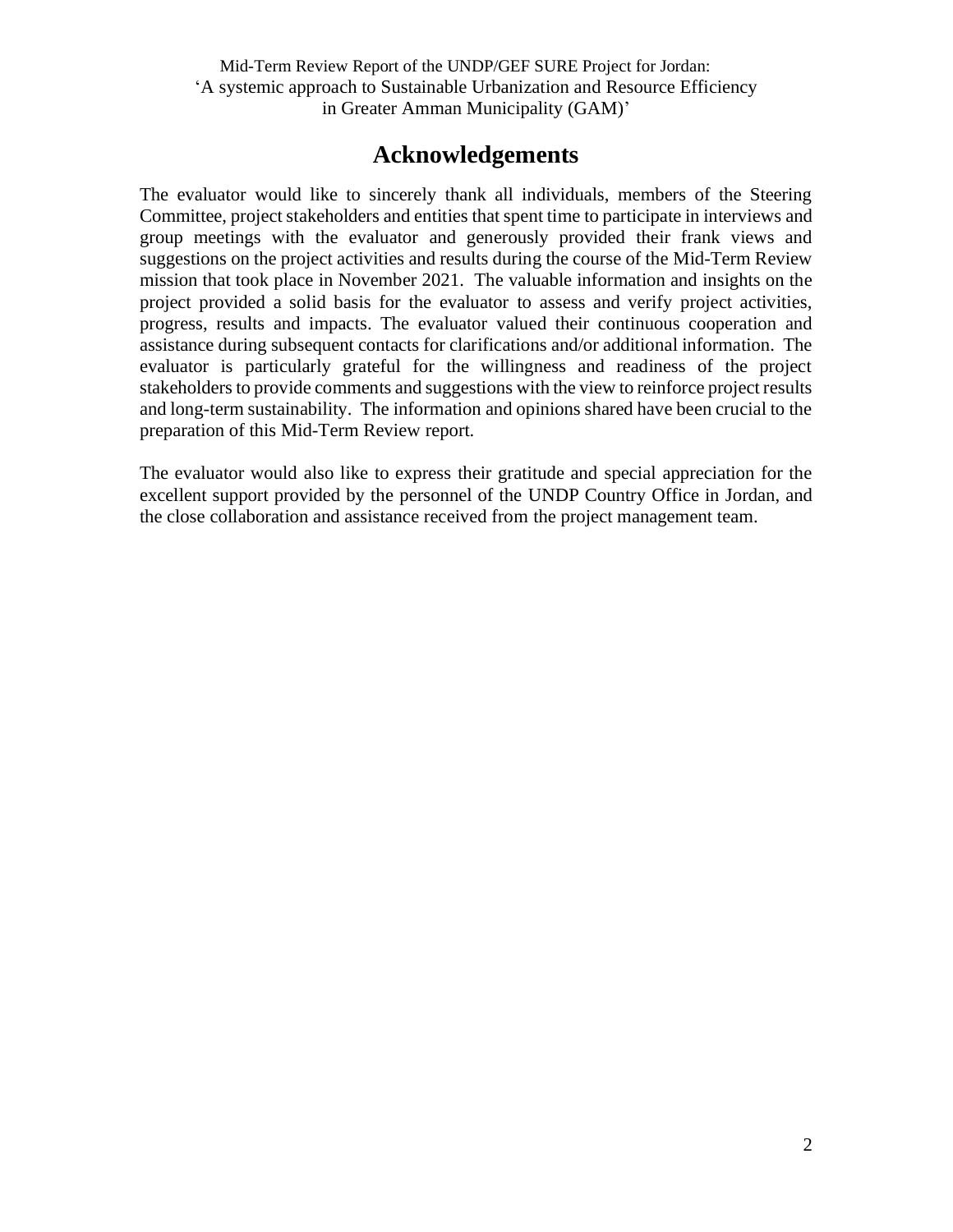## **Acknowledgements**

The evaluator would like to sincerely thank all individuals, members of the Steering Committee, project stakeholders and entities that spent time to participate in interviews and group meetings with the evaluator and generously provided their frank views and suggestions on the project activities and results during the course of the Mid-Term Review mission that took place in November 2021. The valuable information and insights on the project provided a solid basis for the evaluator to assess and verify project activities, progress, results and impacts. The evaluator valued their continuous cooperation and assistance during subsequent contacts for clarifications and/or additional information. The evaluator is particularly grateful for the willingness and readiness of the project stakeholders to provide comments and suggestions with the view to reinforce project results and long-term sustainability. The information and opinions shared have been crucial to the preparation of this Mid-Term Review report.

The evaluator would also like to express their gratitude and special appreciation for the excellent support provided by the personnel of the UNDP Country Office in Jordan, and the close collaboration and assistance received from the project management team.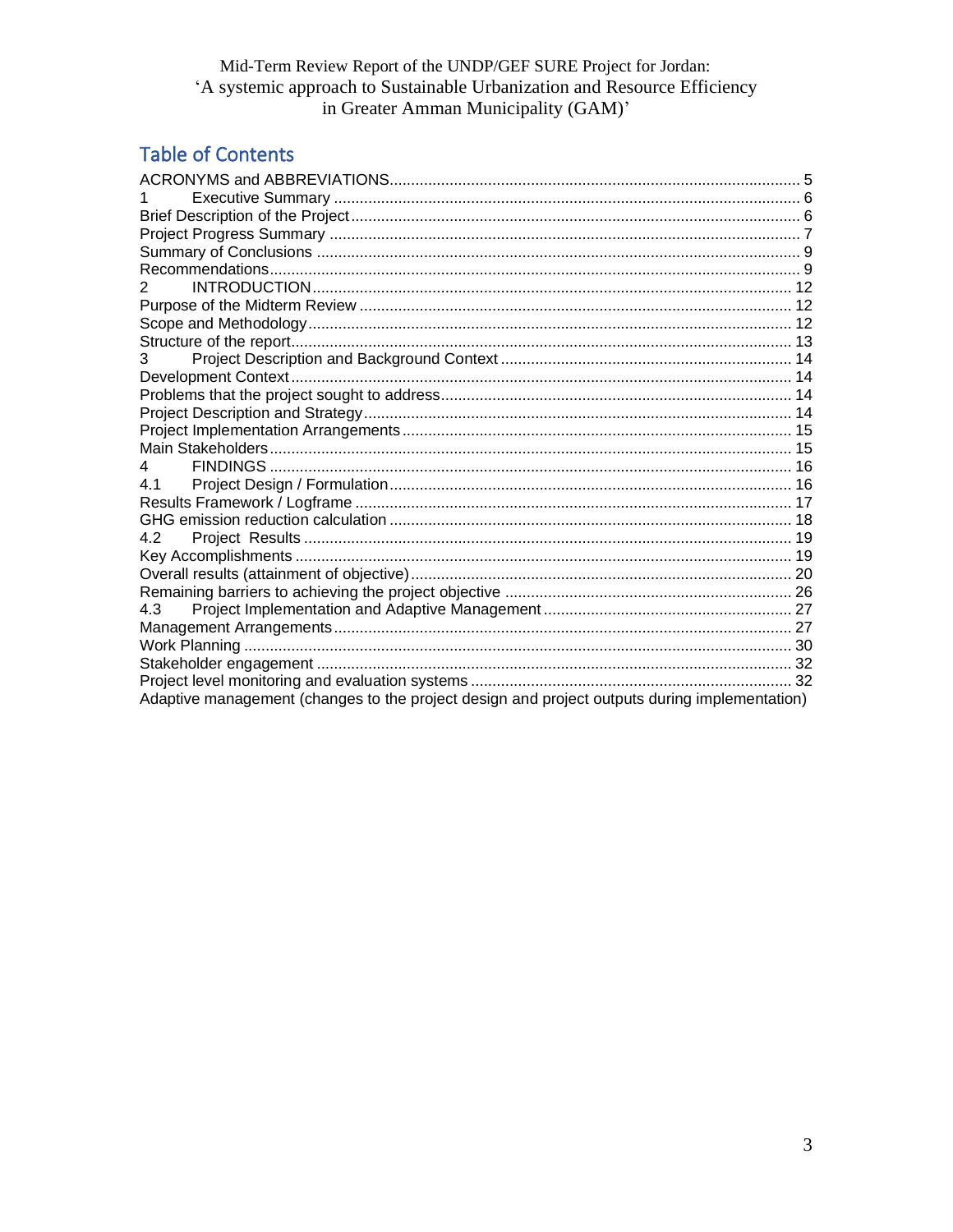## **Table of Contents**

| 2                                                                                             |  |
|-----------------------------------------------------------------------------------------------|--|
|                                                                                               |  |
|                                                                                               |  |
|                                                                                               |  |
| 3                                                                                             |  |
|                                                                                               |  |
|                                                                                               |  |
|                                                                                               |  |
|                                                                                               |  |
|                                                                                               |  |
| 4                                                                                             |  |
| 4.1                                                                                           |  |
|                                                                                               |  |
|                                                                                               |  |
| 4.2                                                                                           |  |
|                                                                                               |  |
|                                                                                               |  |
|                                                                                               |  |
| 4.3                                                                                           |  |
|                                                                                               |  |
|                                                                                               |  |
|                                                                                               |  |
|                                                                                               |  |
| Adaptive management (changes to the project design and project outputs during implementation) |  |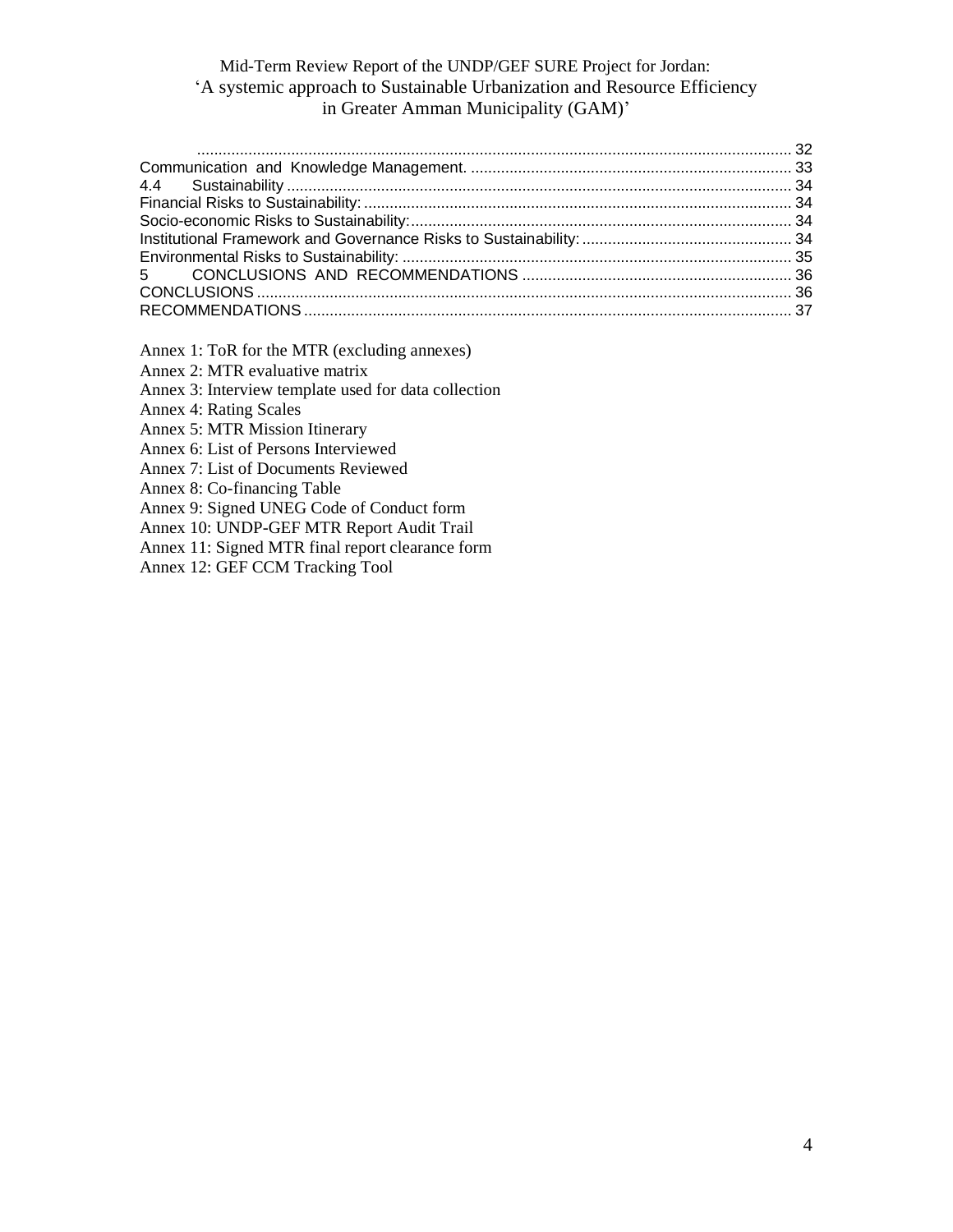Annex 1: ToR for the MTR (excluding annexes)

Annex 2: MTR evaluative matrix

Annex 3: Interview template used for data collection

Annex 4: Rating Scales

Annex 5: MTR Mission Itinerary

Annex 6: List of Persons Interviewed

Annex 7: List of Documents Reviewed

Annex 8: Co-financing Table

Annex 9: Signed UNEG Code of Conduct form

Annex 10: UNDP-GEF MTR Report Audit Trail

Annex 11: Signed MTR final report clearance form

Annex 12: GEF CCM Tracking Tool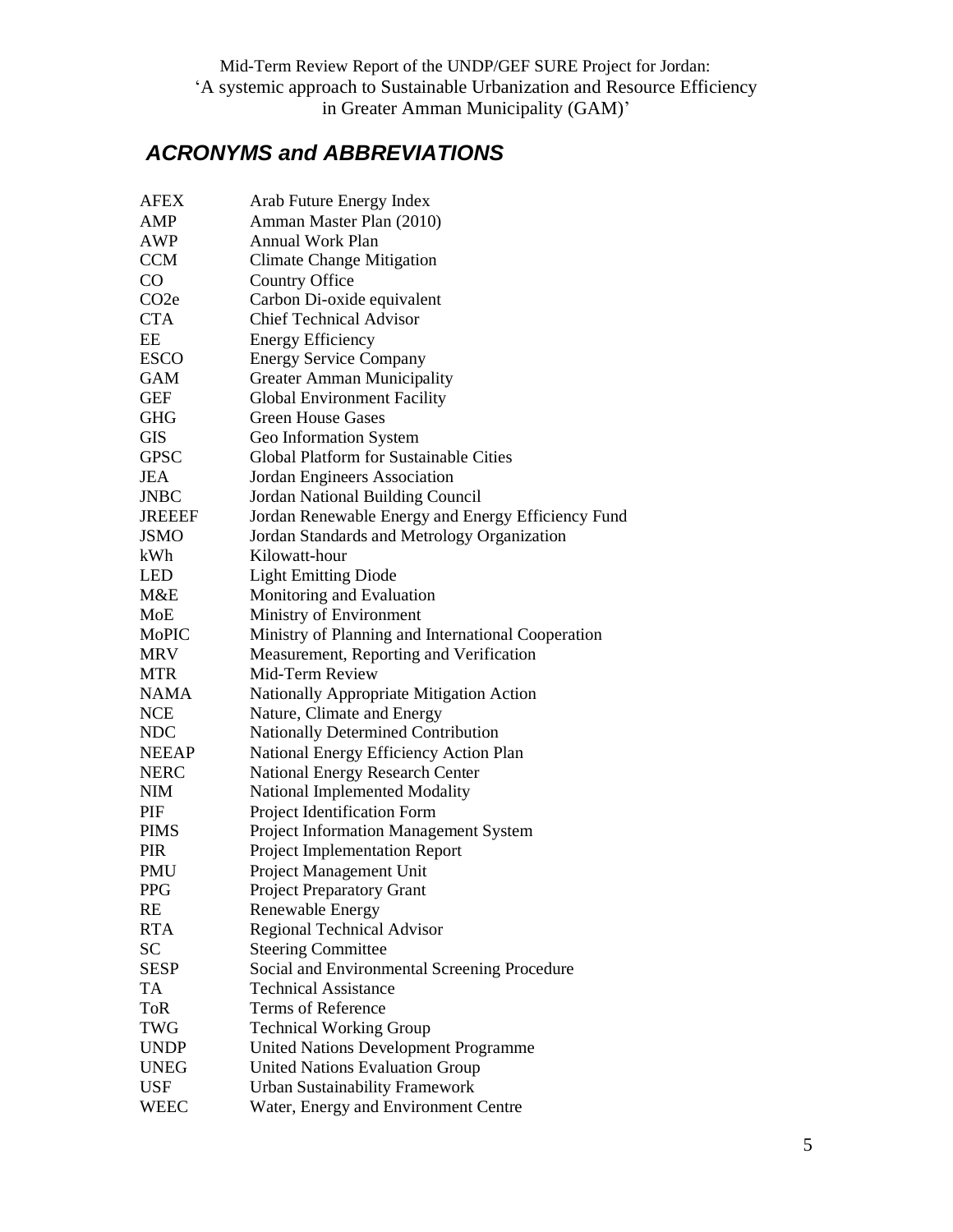## <span id="page-4-0"></span>*ACRONYMS and ABBREVIATIONS*

| <b>AFEX</b>       | Arab Future Energy Index                           |
|-------------------|----------------------------------------------------|
| AMP               | Amman Master Plan (2010)                           |
| <b>AWP</b>        | <b>Annual Work Plan</b>                            |
| <b>CCM</b>        | Climate Change Mitigation                          |
| $\rm CO$          | Country Office                                     |
| CO <sub>2</sub> e | Carbon Di-oxide equivalent                         |
| <b>CTA</b>        | <b>Chief Technical Advisor</b>                     |
| EE                | <b>Energy Efficiency</b>                           |
| <b>ESCO</b>       | <b>Energy Service Company</b>                      |
| <b>GAM</b>        | <b>Greater Amman Municipality</b>                  |
| <b>GEF</b>        | <b>Global Environment Facility</b>                 |
| <b>GHG</b>        | <b>Green House Gases</b>                           |
| <b>GIS</b>        | Geo Information System                             |
| <b>GPSC</b>       | <b>Global Platform for Sustainable Cities</b>      |
| <b>JEA</b>        | Jordan Engineers Association                       |
| <b>JNBC</b>       | Jordan National Building Council                   |
| <b>JREEEF</b>     | Jordan Renewable Energy and Energy Efficiency Fund |
| <b>JSMO</b>       | Jordan Standards and Metrology Organization        |
| kWh               | Kilowatt-hour                                      |
| <b>LED</b>        | <b>Light Emitting Diode</b>                        |
| M&E               | Monitoring and Evaluation                          |
| MoE               | Ministry of Environment                            |
| MoPIC             | Ministry of Planning and International Cooperation |
| <b>MRV</b>        | Measurement, Reporting and Verification            |
| <b>MTR</b>        | Mid-Term Review                                    |
| <b>NAMA</b>       | Nationally Appropriate Mitigation Action           |
| <b>NCE</b>        | Nature, Climate and Energy                         |
| <b>NDC</b>        | Nationally Determined Contribution                 |
| <b>NEEAP</b>      | National Energy Efficiency Action Plan             |
| <b>NERC</b>       | <b>National Energy Research Center</b>             |
| <b>NIM</b>        | National Implemented Modality                      |
| PIF               | Project Identification Form                        |
| <b>PIMS</b>       | Project Information Management System              |
| <b>PIR</b>        | Project Implementation Report                      |
| <b>PMU</b>        | Project Management Unit                            |
| <b>PPG</b>        | <b>Project Preparatory Grant</b>                   |
| <b>RE</b>         | Renewable Energy                                   |
| <b>RTA</b>        | Regional Technical Advisor                         |
| <b>SC</b>         | <b>Steering Committee</b>                          |
| <b>SESP</b>       | Social and Environmental Screening Procedure       |
| <b>TA</b>         | <b>Technical Assistance</b>                        |
| <b>ToR</b>        | <b>Terms of Reference</b>                          |
| <b>TWG</b>        | <b>Technical Working Group</b>                     |
| <b>UNDP</b>       | <b>United Nations Development Programme</b>        |
| <b>UNEG</b>       | <b>United Nations Evaluation Group</b>             |
| <b>USF</b>        | <b>Urban Sustainability Framework</b>              |
| WEEC              | Water, Energy and Environment Centre               |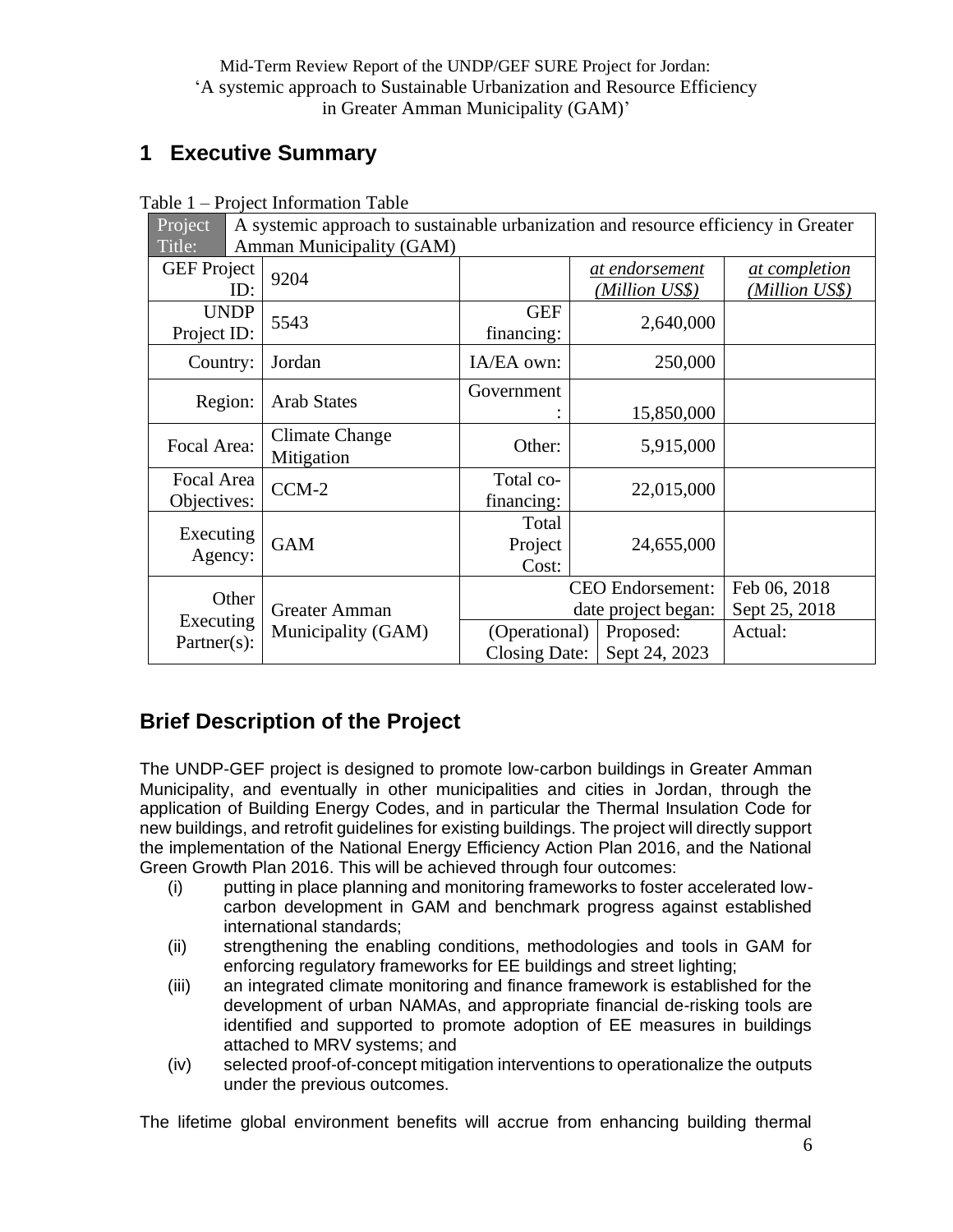## <span id="page-5-0"></span>**1 Executive Summary**

| Project                       |  |                                     | A systemic approach to sustainable urbanization and resource efficiency in Greater |            |                                                |                                        |  |
|-------------------------------|--|-------------------------------------|------------------------------------------------------------------------------------|------------|------------------------------------------------|----------------------------------------|--|
| Title:                        |  | Amman Municipality (GAM)            |                                                                                    |            |                                                |                                        |  |
| <b>GEF</b> Project<br>ID:     |  | 9204                                |                                                                                    |            | at endorsement<br>(Million US\$)               | <u>at completion</u><br>(Million US\$) |  |
| <b>UNDP</b><br>Project ID:    |  | 5543                                | <b>GEF</b><br>financing:                                                           |            | 2,640,000                                      |                                        |  |
| Country:                      |  | Jordan                              | IA/EA own:                                                                         |            | 250,000                                        |                                        |  |
| Region:<br><b>Arab States</b> |  | Government                          |                                                                                    | 15,850,000 |                                                |                                        |  |
| Focal Area:                   |  | <b>Climate Change</b><br>Mitigation | Other:                                                                             | 5,915,000  |                                                |                                        |  |
| Focal Area<br>Objectives:     |  | $CCM-2$                             | Total co-<br>financing:                                                            | 22,015,000 |                                                |                                        |  |
| Executing<br>Agency:          |  | <b>GAM</b>                          | Total<br>Project<br>Cost:                                                          | 24,655,000 |                                                |                                        |  |
| Other                         |  | Greater Amman                       |                                                                                    |            | <b>CEO</b> Endorsement:<br>date project began: | Feb 06, 2018<br>Sept 25, 2018          |  |
| Executing<br>$Partner(s)$ :   |  | Municipality (GAM)                  | (Operational)<br>Proposed:<br>Sept 24, 2023<br>Closing Date:                       |            | Actual:                                        |                                        |  |

Table 1 – Project Information Table

## <span id="page-5-1"></span>**Brief Description of the Project**

The UNDP-GEF project is designed to promote low-carbon buildings in Greater Amman Municipality, and eventually in other municipalities and cities in Jordan, through the application of Building Energy Codes, and in particular the Thermal Insulation Code for new buildings, and retrofit guidelines for existing buildings. The project will directly support the implementation of the National Energy Efficiency Action Plan 2016, and the National Green Growth Plan 2016. This will be achieved through four outcomes:

- (i) putting in place planning and monitoring frameworks to foster accelerated lowcarbon development in GAM and benchmark progress against established international standards;
- (ii) strengthening the enabling conditions, methodologies and tools in GAM for enforcing regulatory frameworks for EE buildings and street lighting;
- (iii) an integrated climate monitoring and finance framework is established for the development of urban NAMAs, and appropriate financial de-risking tools are identified and supported to promote adoption of EE measures in buildings attached to MRV systems; and
- (iv) selected proof-of-concept mitigation interventions to operationalize the outputs under the previous outcomes.

The lifetime global environment benefits will accrue from enhancing building thermal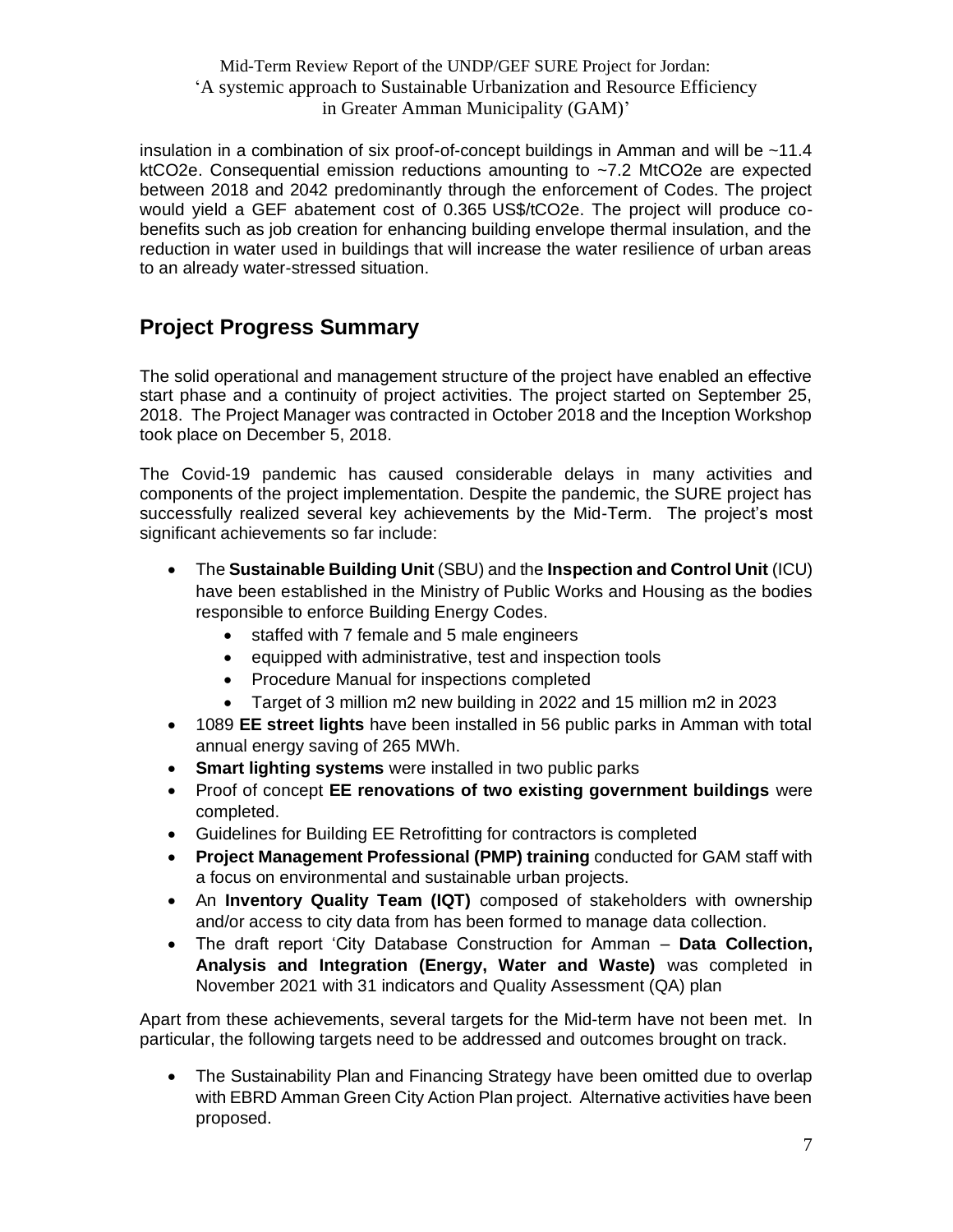insulation in a combination of six proof-of-concept buildings in Amman and will be ~11.4 ktCO2e. Consequential emission reductions amounting to ~7.2 MtCO2e are expected between 2018 and 2042 predominantly through the enforcement of Codes. The project would yield a GEF abatement cost of 0.365 US\$/tCO2e. The project will produce cobenefits such as job creation for enhancing building envelope thermal insulation, and the reduction in water used in buildings that will increase the water resilience of urban areas to an already water-stressed situation.

## <span id="page-6-0"></span>**Project Progress Summary**

The solid operational and management structure of the project have enabled an effective start phase and a continuity of project activities. The project started on September 25, 2018. The Project Manager was contracted in October 2018 and the Inception Workshop took place on December 5, 2018.

The Covid-19 pandemic has caused considerable delays in many activities and components of the project implementation. Despite the pandemic, the SURE project has successfully realized several key achievements by the Mid-Term. The project's most significant achievements so far include:

- The **Sustainable Building Unit** (SBU) and the **Inspection and Control Unit** (ICU) have been established in the Ministry of Public Works and Housing as the bodies responsible to enforce Building Energy Codes.
	- staffed with 7 female and 5 male engineers
	- equipped with administrative, test and inspection tools
	- Procedure Manual for inspections completed
	- Target of 3 million m2 new building in 2022 and 15 million m2 in 2023
- 1089 **EE street lights** have been installed in 56 public parks in Amman with total annual energy saving of 265 MWh.
- **Smart lighting systems** were installed in two public parks
- Proof of concept **EE renovations of two existing government buildings** were completed.
- Guidelines for Building EE Retrofitting for contractors is completed
- **Project Management Professional (PMP) training** conducted for GAM staff with a focus on environmental and sustainable urban projects.
- An **Inventory Quality Team (IQT)** composed of stakeholders with ownership and/or access to city data from has been formed to manage data collection.
- The draft report 'City Database Construction for Amman **Data Collection, Analysis and Integration (Energy, Water and Waste)** was completed in November 2021 with 31 indicators and Quality Assessment (QA) plan

Apart from these achievements, several targets for the Mid-term have not been met. In particular, the following targets need to be addressed and outcomes brought on track.

• The Sustainability Plan and Financing Strategy have been omitted due to overlap with EBRD Amman Green City Action Plan project. Alternative activities have been proposed.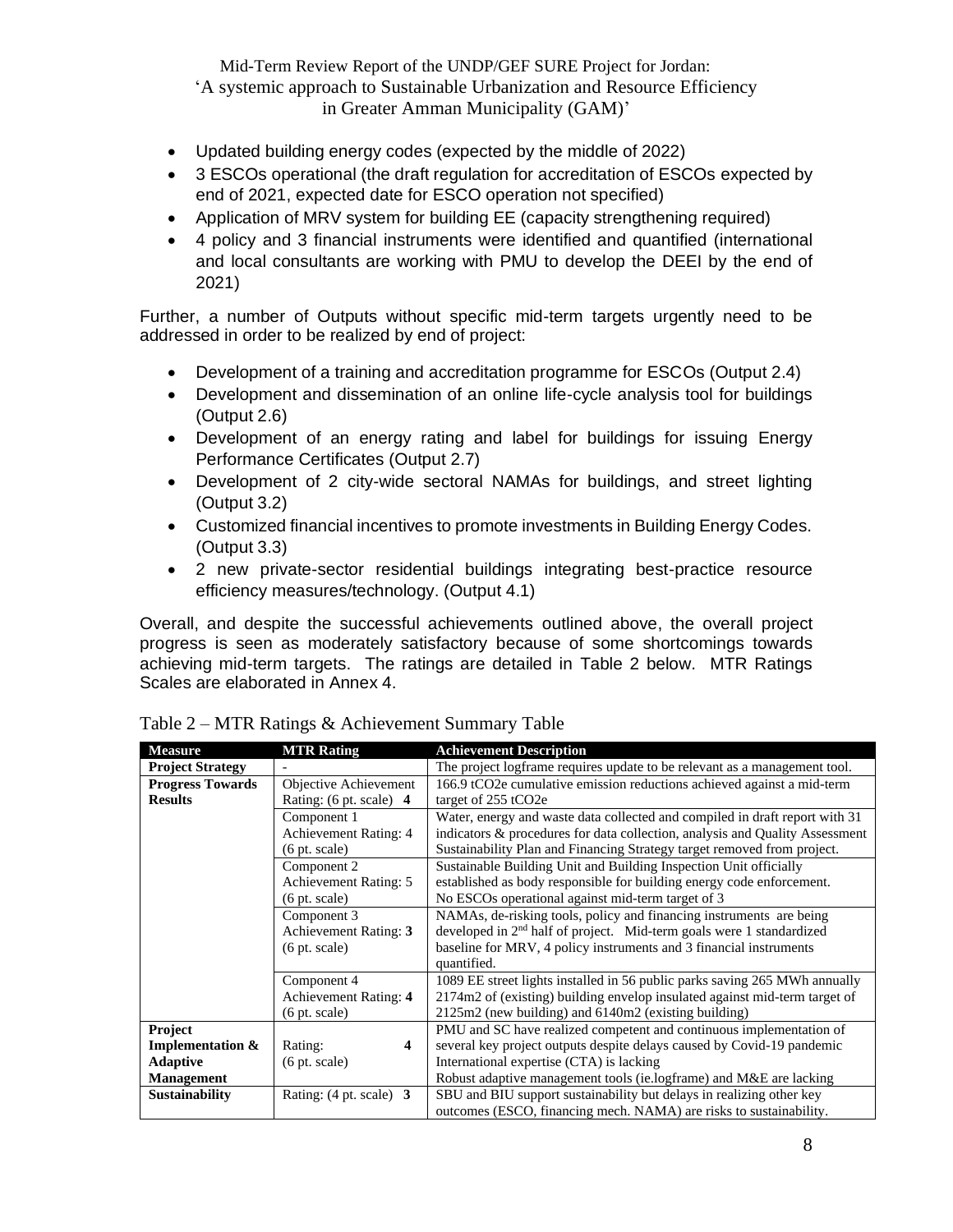- Updated building energy codes (expected by the middle of 2022)
- 3 ESCOs operational (the draft regulation for accreditation of ESCOs expected by end of 2021, expected date for ESCO operation not specified)
- Application of MRV system for building EE (capacity strengthening required)
- 4 policy and 3 financial instruments were identified and quantified (international and local consultants are working with PMU to develop the DEEI by the end of 2021)

Further, a number of Outputs without specific mid-term targets urgently need to be addressed in order to be realized by end of project:

- Development of a training and accreditation programme for ESCOs (Output 2.4)
- Development and dissemination of an online life-cycle analysis tool for buildings (Output 2.6)
- Development of an energy rating and label for buildings for issuing Energy Performance Certificates (Output 2.7)
- Development of 2 city-wide sectoral NAMAs for buildings, and street lighting (Output 3.2)
- Customized financial incentives to promote investments in Building Energy Codes. (Output 3.3)
- 2 new private-sector residential buildings integrating best-practice resource efficiency measures/technology. (Output 4.1)

Overall, and despite the successful achievements outlined above, the overall project progress is seen as moderately satisfactory because of some shortcomings towards achieving mid-term targets. The ratings are detailed in Table 2 below. MTR Ratings Scales are elaborated in Annex 4.

| <b>Measure</b>              | <b>MTR Rating</b>                 | <b>Achievement Description</b>                                               |
|-----------------------------|-----------------------------------|------------------------------------------------------------------------------|
| <b>Project Strategy</b>     |                                   | The project logframe requires update to be relevant as a management tool.    |
| <b>Progress Towards</b>     | Objective Achievement             | 166.9 tCO2e cumulative emission reductions achieved against a mid-term       |
| <b>Results</b>              | Rating: (6 pt. scale) 4           | target of 255 tCO2e                                                          |
|                             | Component 1                       | Water, energy and waste data collected and compiled in draft report with 31  |
|                             | <b>Achievement Rating: 4</b>      | indicators & procedures for data collection, analysis and Quality Assessment |
|                             | $(6 \text{ pt. scale})$           | Sustainability Plan and Financing Strategy target removed from project.      |
|                             | Component 2                       | Sustainable Building Unit and Building Inspection Unit officially            |
|                             | Achievement Rating: 5             | established as body responsible for building energy code enforcement.        |
|                             | $(6 \text{ pt. scale})$           | No ESCOs operational against mid-term target of 3                            |
|                             | Component 3                       | NAMAs, de-risking tools, policy and financing instruments are being          |
|                             | Achievement Rating: 3             | developed in $2nd$ half of project. Mid-term goals were 1 standardized       |
|                             | $(6 \text{ pt. scale})$           | baseline for MRV, 4 policy instruments and 3 financial instruments           |
|                             |                                   | quantified.                                                                  |
|                             | Component 4                       | 1089 EE street lights installed in 56 public parks saving 265 MWh annually   |
|                             | Achievement Rating: 4             | 2174m2 of (existing) building envelop insulated against mid-term target of   |
|                             | $(6 \text{ pt. scale})$           | $2125m2$ (new building) and $6140m2$ (existing building)                     |
| Project                     |                                   | PMU and SC have realized competent and continuous implementation of          |
| <b>Implementation &amp;</b> | Rating:<br>4                      | several key project outputs despite delays caused by Covid-19 pandemic       |
| <b>Adaptive</b>             | $(6 \text{ pt. scale})$           | International expertise (CTA) is lacking                                     |
| <b>Management</b>           |                                   | Robust adaptive management tools (ie.logframe) and M&E are lacking           |
| <b>Sustainability</b>       | Rating: $(4 \text{ pt. scale})$ 3 | SBU and BIU support sustainability but delays in realizing other key         |
|                             |                                   | outcomes (ESCO, financing mech. NAMA) are risks to sustainability.           |

Table 2 – MTR Ratings & Achievement Summary Table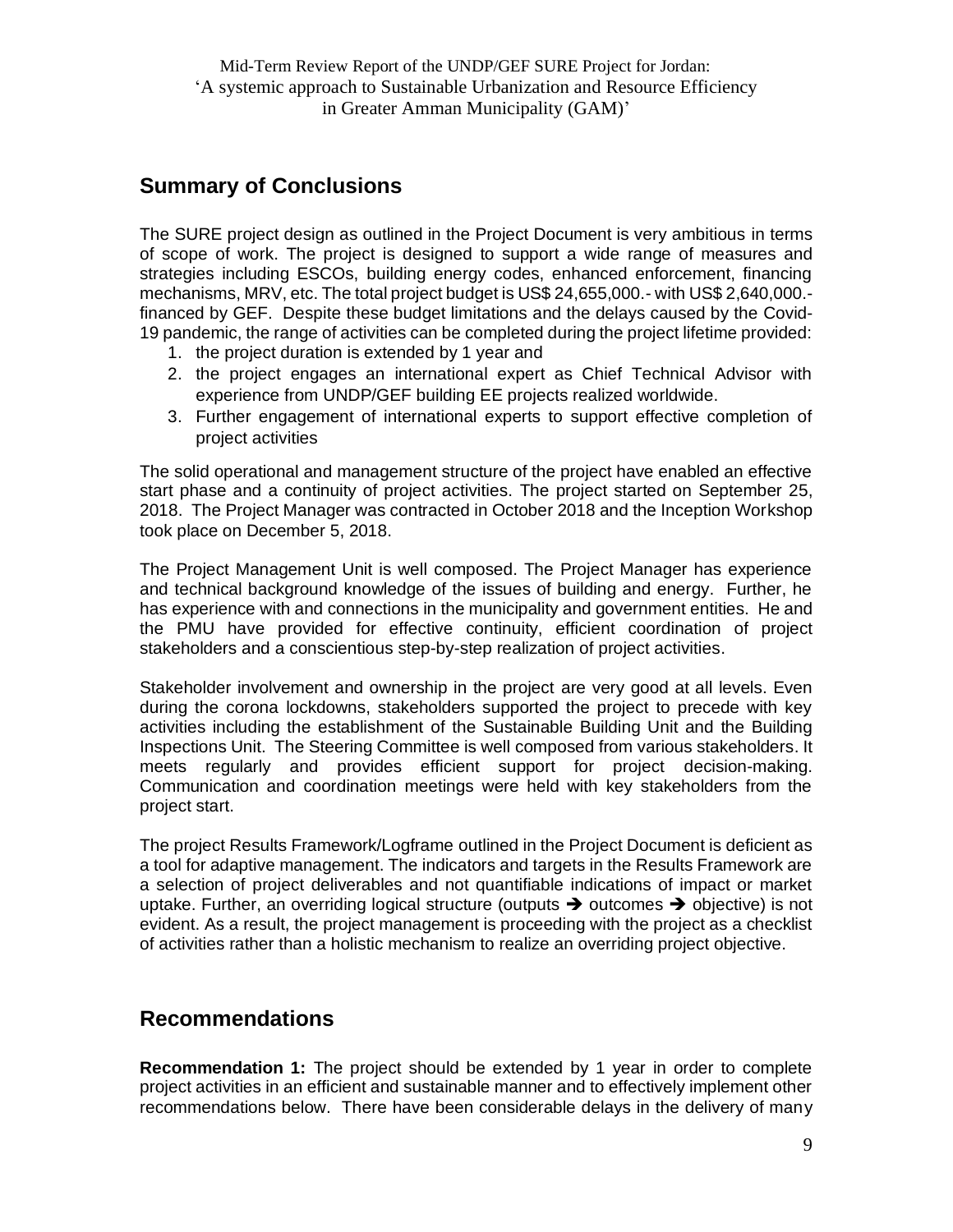## <span id="page-8-0"></span>**Summary of Conclusions**

The SURE project design as outlined in the Project Document is very ambitious in terms of scope of work. The project is designed to support a wide range of measures and strategies including ESCOs, building energy codes, enhanced enforcement, financing mechanisms, MRV, etc. The total project budget is US\$ 24,655,000.- with US\$ 2,640,000. financed by GEF. Despite these budget limitations and the delays caused by the Covid-19 pandemic, the range of activities can be completed during the project lifetime provided:

- 1. the project duration is extended by 1 year and
- 2. the project engages an international expert as Chief Technical Advisor with experience from UNDP/GEF building EE projects realized worldwide.
- 3. Further engagement of international experts to support effective completion of project activities

The solid operational and management structure of the project have enabled an effective start phase and a continuity of project activities. The project started on September 25, 2018. The Project Manager was contracted in October 2018 and the Inception Workshop took place on December 5, 2018.

The Project Management Unit is well composed. The Project Manager has experience and technical background knowledge of the issues of building and energy. Further, he has experience with and connections in the municipality and government entities. He and the PMU have provided for effective continuity, efficient coordination of project stakeholders and a conscientious step-by-step realization of project activities.

Stakeholder involvement and ownership in the project are very good at all levels. Even during the corona lockdowns, stakeholders supported the project to precede with key activities including the establishment of the Sustainable Building Unit and the Building Inspections Unit. The Steering Committee is well composed from various stakeholders. It meets regularly and provides efficient support for project decision-making. Communication and coordination meetings were held with key stakeholders from the project start.

The project Results Framework/Logframe outlined in the Project Document is deficient as a tool for adaptive management. The indicators and targets in the Results Framework are a selection of project deliverables and not quantifiable indications of impact or market uptake. Further, an overriding logical structure (outputs  $\rightarrow$  outcomes  $\rightarrow$  objective) is not evident. As a result, the project management is proceeding with the project as a checklist of activities rather than a holistic mechanism to realize an overriding project objective.

### <span id="page-8-1"></span>**Recommendations**

**Recommendation 1:** The project should be extended by 1 year in order to complete project activities in an efficient and sustainable manner and to effectively implement other recommendations below. There have been considerable delays in the delivery of many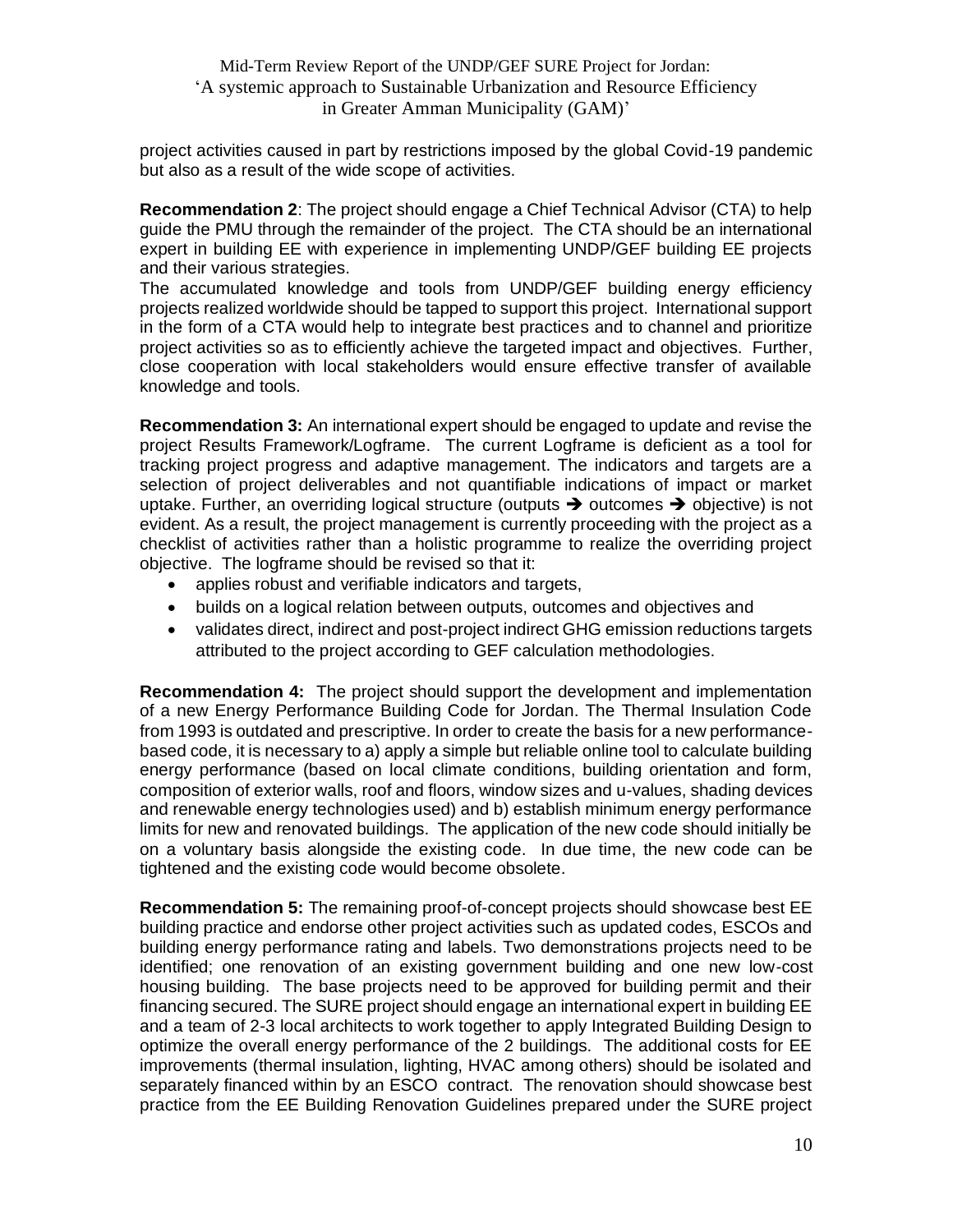project activities caused in part by restrictions imposed by the global Covid-19 pandemic but also as a result of the wide scope of activities.

**Recommendation 2**: The project should engage a Chief Technical Advisor (CTA) to help guide the PMU through the remainder of the project. The CTA should be an international expert in building EE with experience in implementing UNDP/GEF building EE projects and their various strategies.

The accumulated knowledge and tools from UNDP/GEF building energy efficiency projects realized worldwide should be tapped to support this project. International support in the form of a CTA would help to integrate best practices and to channel and prioritize project activities so as to efficiently achieve the targeted impact and objectives. Further, close cooperation with local stakeholders would ensure effective transfer of available knowledge and tools.

**Recommendation 3:** An international expert should be engaged to update and revise the project Results Framework/Logframe. The current Logframe is deficient as a tool for tracking project progress and adaptive management. The indicators and targets are a selection of project deliverables and not quantifiable indications of impact or market uptake. Further, an overriding logical structure (outputs  $\rightarrow$  outcomes  $\rightarrow$  objective) is not evident. As a result, the project management is currently proceeding with the project as a checklist of activities rather than a holistic programme to realize the overriding project objective. The logframe should be revised so that it:

- applies robust and verifiable indicators and targets,
- builds on a logical relation between outputs, outcomes and objectives and
- validates direct, indirect and post-project indirect GHG emission reductions targets attributed to the project according to GEF calculation methodologies.

**Recommendation 4:** The project should support the development and implementation of a new Energy Performance Building Code for Jordan. The Thermal Insulation Code from 1993 is outdated and prescriptive. In order to create the basis for a new performancebased code, it is necessary to a) apply a simple but reliable online tool to calculate building energy performance (based on local climate conditions, building orientation and form, composition of exterior walls, roof and floors, window sizes and u-values, shading devices and renewable energy technologies used) and b) establish minimum energy performance limits for new and renovated buildings. The application of the new code should initially be on a voluntary basis alongside the existing code. In due time, the new code can be tightened and the existing code would become obsolete.

**Recommendation 5:** The remaining proof-of-concept projects should showcase best EE building practice and endorse other project activities such as updated codes, ESCOs and building energy performance rating and labels. Two demonstrations projects need to be identified; one renovation of an existing government building and one new low-cost housing building. The base projects need to be approved for building permit and their financing secured. The SURE project should engage an international expert in building EE and a team of 2-3 local architects to work together to apply Integrated Building Design to optimize the overall energy performance of the 2 buildings. The additional costs for EE improvements (thermal insulation, lighting, HVAC among others) should be isolated and separately financed within by an ESCO contract. The renovation should showcase best practice from the EE Building Renovation Guidelines prepared under the SURE project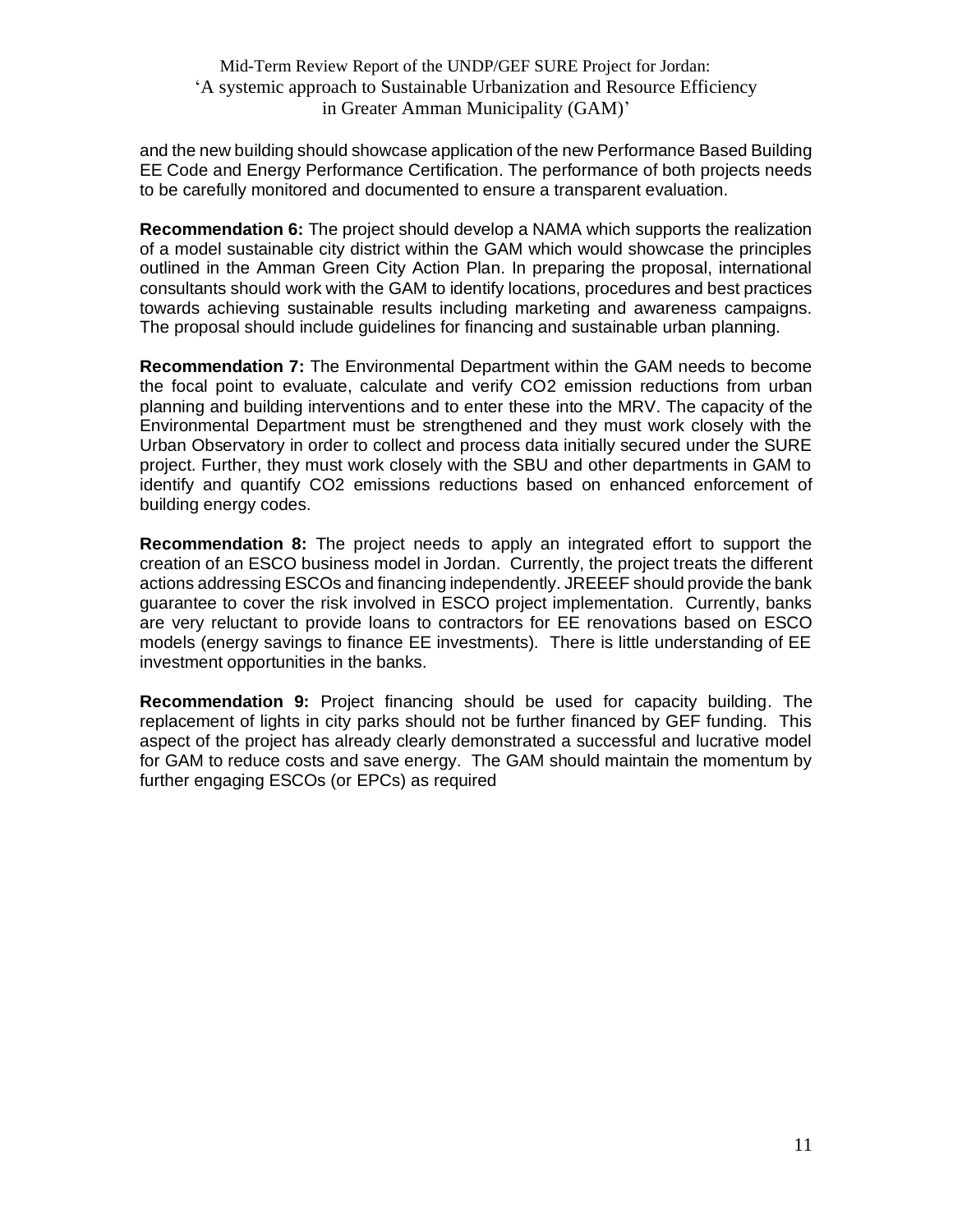and the new building should showcase application of the new Performance Based Building EE Code and Energy Performance Certification. The performance of both projects needs to be carefully monitored and documented to ensure a transparent evaluation.

**Recommendation 6:** The project should develop a NAMA which supports the realization of a model sustainable city district within the GAM which would showcase the principles outlined in the Amman Green City Action Plan. In preparing the proposal, international consultants should work with the GAM to identify locations, procedures and best practices towards achieving sustainable results including marketing and awareness campaigns. The proposal should include guidelines for financing and sustainable urban planning.

**Recommendation 7:** The Environmental Department within the GAM needs to become the focal point to evaluate, calculate and verify CO2 emission reductions from urban planning and building interventions and to enter these into the MRV. The capacity of the Environmental Department must be strengthened and they must work closely with the Urban Observatory in order to collect and process data initially secured under the SURE project. Further, they must work closely with the SBU and other departments in GAM to identify and quantify CO2 emissions reductions based on enhanced enforcement of building energy codes.

**Recommendation 8:** The project needs to apply an integrated effort to support the creation of an ESCO business model in Jordan. Currently, the project treats the different actions addressing ESCOs and financing independently. JREEEF should provide the bank guarantee to cover the risk involved in ESCO project implementation. Currently, banks are very reluctant to provide loans to contractors for EE renovations based on ESCO models (energy savings to finance EE investments). There is little understanding of EE investment opportunities in the banks.

**Recommendation 9:** Project financing should be used for capacity building. The replacement of lights in city parks should not be further financed by GEF funding. This aspect of the project has already clearly demonstrated a successful and lucrative model for GAM to reduce costs and save energy. The GAM should maintain the momentum by further engaging ESCOs (or EPCs) as required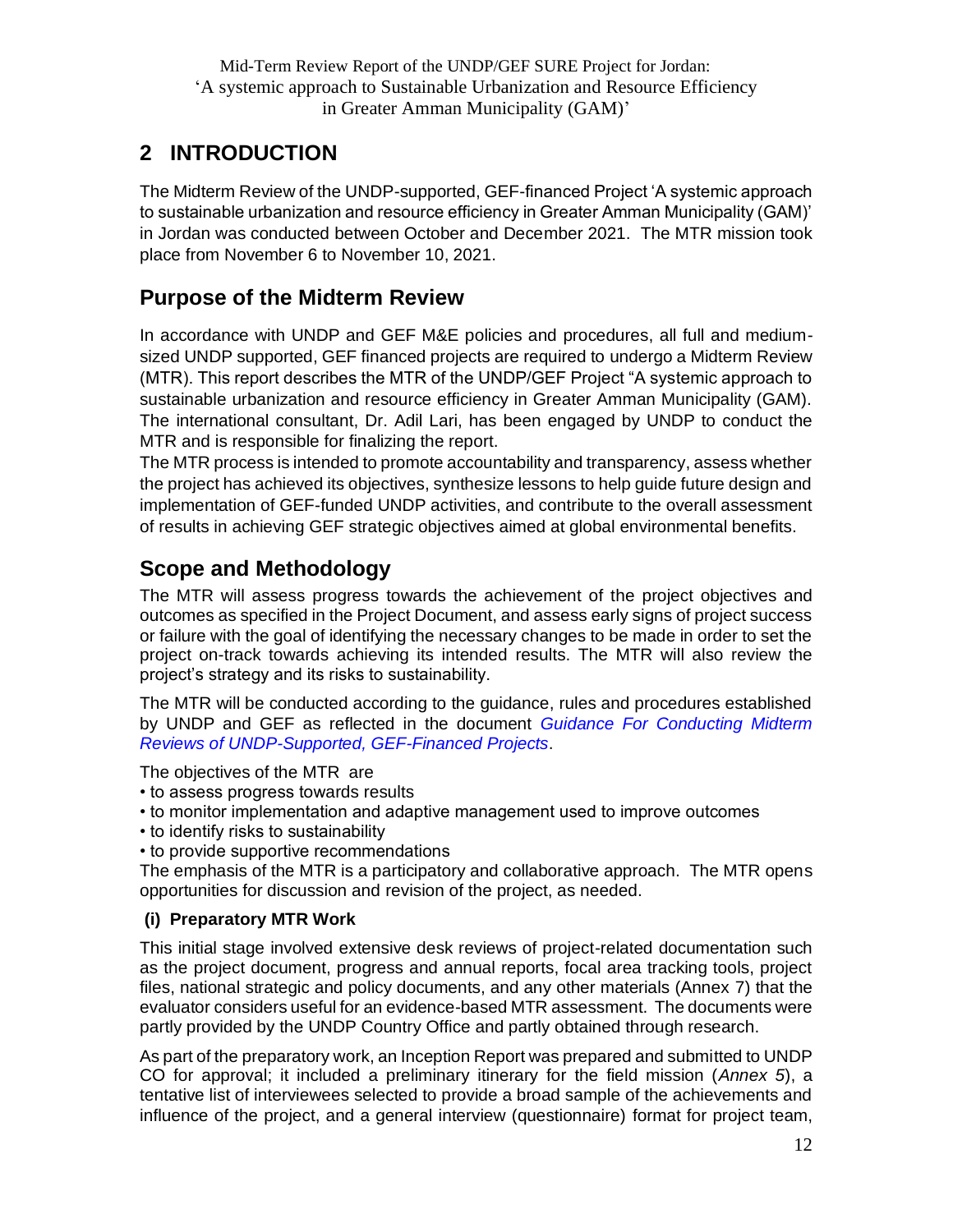## <span id="page-11-0"></span>**2 INTRODUCTION**

The Midterm Review of the UNDP-supported, GEF-financed Project 'A systemic approach to sustainable urbanization and resource efficiency in Greater Amman Municipality (GAM)' in Jordan was conducted between October and December 2021. The MTR mission took place from November 6 to November 10, 2021.

## <span id="page-11-1"></span>**Purpose of the Midterm Review**

In accordance with UNDP and GEF M&E policies and procedures, all full and mediumsized UNDP supported, GEF financed projects are required to undergo a Midterm Review (MTR). This report describes the MTR of the UNDP/GEF Project "A systemic approach to sustainable urbanization and resource efficiency in Greater Amman Municipality (GAM). The international consultant, Dr. Adil Lari, has been engaged by UNDP to conduct the MTR and is responsible for finalizing the report.

The MTR process is intended to promote accountability and transparency, assess whether the project has achieved its objectives, synthesize lessons to help guide future design and implementation of GEF-funded UNDP activities, and contribute to the overall assessment of results in achieving GEF strategic objectives aimed at global environmental benefits.

## <span id="page-11-2"></span>**Scope and Methodology**

The MTR will assess progress towards the achievement of the project objectives and outcomes as specified in the Project Document, and assess early signs of project success or failure with the goal of identifying the necessary changes to be made in order to set the project on-track towards achieving its intended results. The MTR will also review the project's strategy and its risks to sustainability.

The MTR will be conducted according to the guidance, rules and procedures established by UNDP and GEF as reflected in the document *[Guidance For Conducting Midterm](http://web.undp.org/evaluation/documents/guidance/GEF/mid-term/Guidance_Midterm%20Review%20_EN_2014.pdf)  [Reviews of UNDP-Supported, GEF-Financed Projects](http://web.undp.org/evaluation/documents/guidance/GEF/mid-term/Guidance_Midterm%20Review%20_EN_2014.pdf)*.

The objectives of the MTR are

- to assess progress towards results
- to monitor implementation and adaptive management used to improve outcomes
- to identify risks to sustainability
- to provide supportive recommendations

The emphasis of the MTR is a participatory and collaborative approach. The MTR opens opportunities for discussion and revision of the project, as needed.

#### **(i) Preparatory MTR Work**

This initial stage involved extensive desk reviews of project-related documentation such as the project document, progress and annual reports, focal area tracking tools, project files, national strategic and policy documents, and any other materials (Annex 7) that the evaluator considers useful for an evidence-based MTR assessment. The documents were partly provided by the UNDP Country Office and partly obtained through research.

As part of the preparatory work, an Inception Report was prepared and submitted to UNDP CO for approval; it included a preliminary itinerary for the field mission (*Annex 5*), a tentative list of interviewees selected to provide a broad sample of the achievements and influence of the project, and a general interview (questionnaire) format for project team,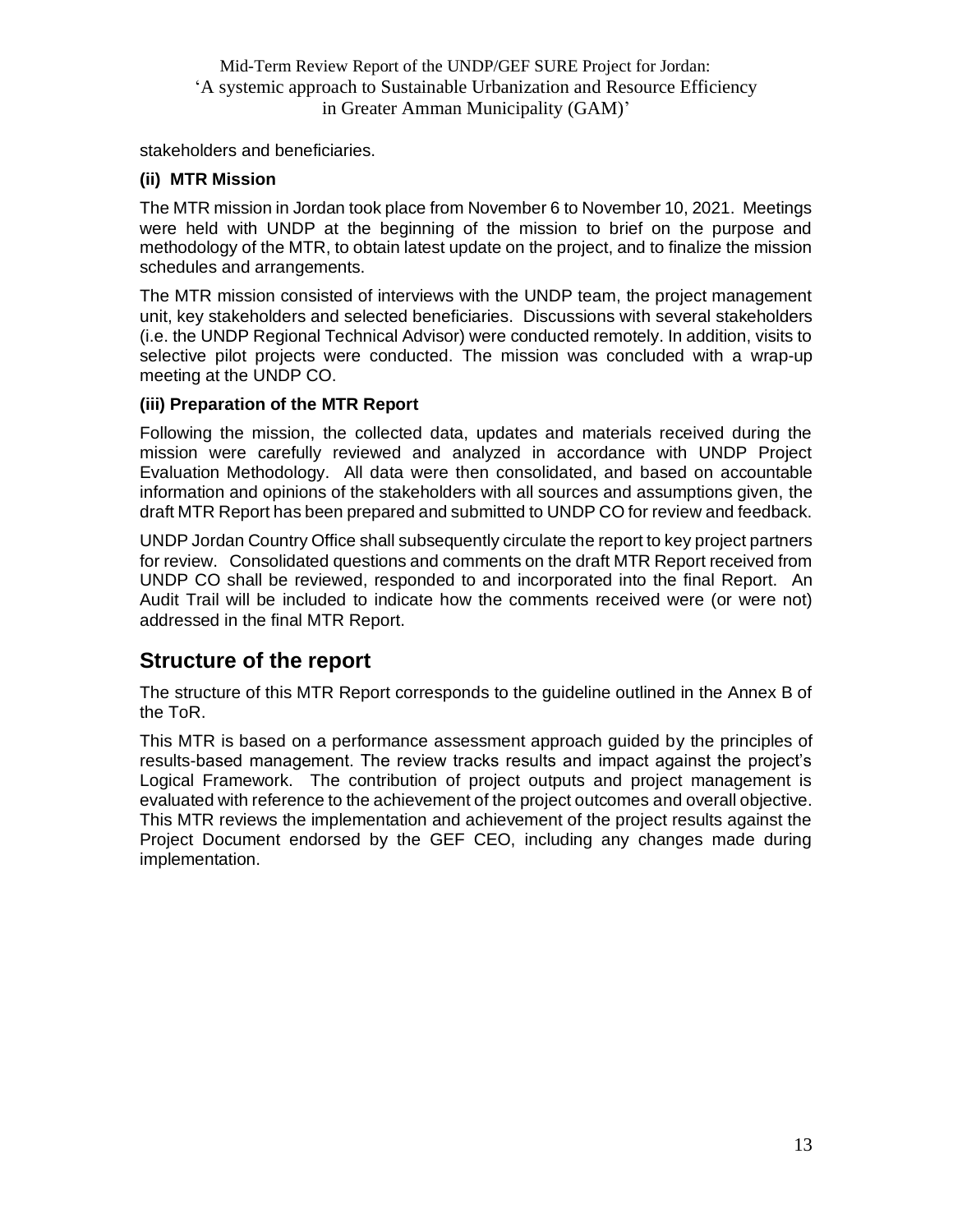stakeholders and beneficiaries.

#### **(ii) MTR Mission**

The MTR mission in Jordan took place from November 6 to November 10, 2021. Meetings were held with UNDP at the beginning of the mission to brief on the purpose and methodology of the MTR, to obtain latest update on the project, and to finalize the mission schedules and arrangements.

The MTR mission consisted of interviews with the UNDP team, the project management unit, key stakeholders and selected beneficiaries. Discussions with several stakeholders (i.e. the UNDP Regional Technical Advisor) were conducted remotely. In addition, visits to selective pilot projects were conducted. The mission was concluded with a wrap-up meeting at the UNDP CO.

#### **(iii) Preparation of the MTR Report**

Following the mission, the collected data, updates and materials received during the mission were carefully reviewed and analyzed in accordance with UNDP Project Evaluation Methodology. All data were then consolidated, and based on accountable information and opinions of the stakeholders with all sources and assumptions given, the draft MTR Report has been prepared and submitted to UNDP CO for review and feedback.

UNDP Jordan Country Office shall subsequently circulate the report to key project partners for review. Consolidated questions and comments on the draft MTR Report received from UNDP CO shall be reviewed, responded to and incorporated into the final Report. An Audit Trail will be included to indicate how the comments received were (or were not) addressed in the final MTR Report.

## <span id="page-12-0"></span>**Structure of the report**

The structure of this MTR Report corresponds to the guideline outlined in the Annex B of the ToR.

This MTR is based on a performance assessment approach guided by the principles of results-based management. The review tracks results and impact against the project's Logical Framework. The contribution of project outputs and project management is evaluated with reference to the achievement of the project outcomes and overall objective. This MTR reviews the implementation and achievement of the project results against the Project Document endorsed by the GEF CEO, including any changes made during implementation.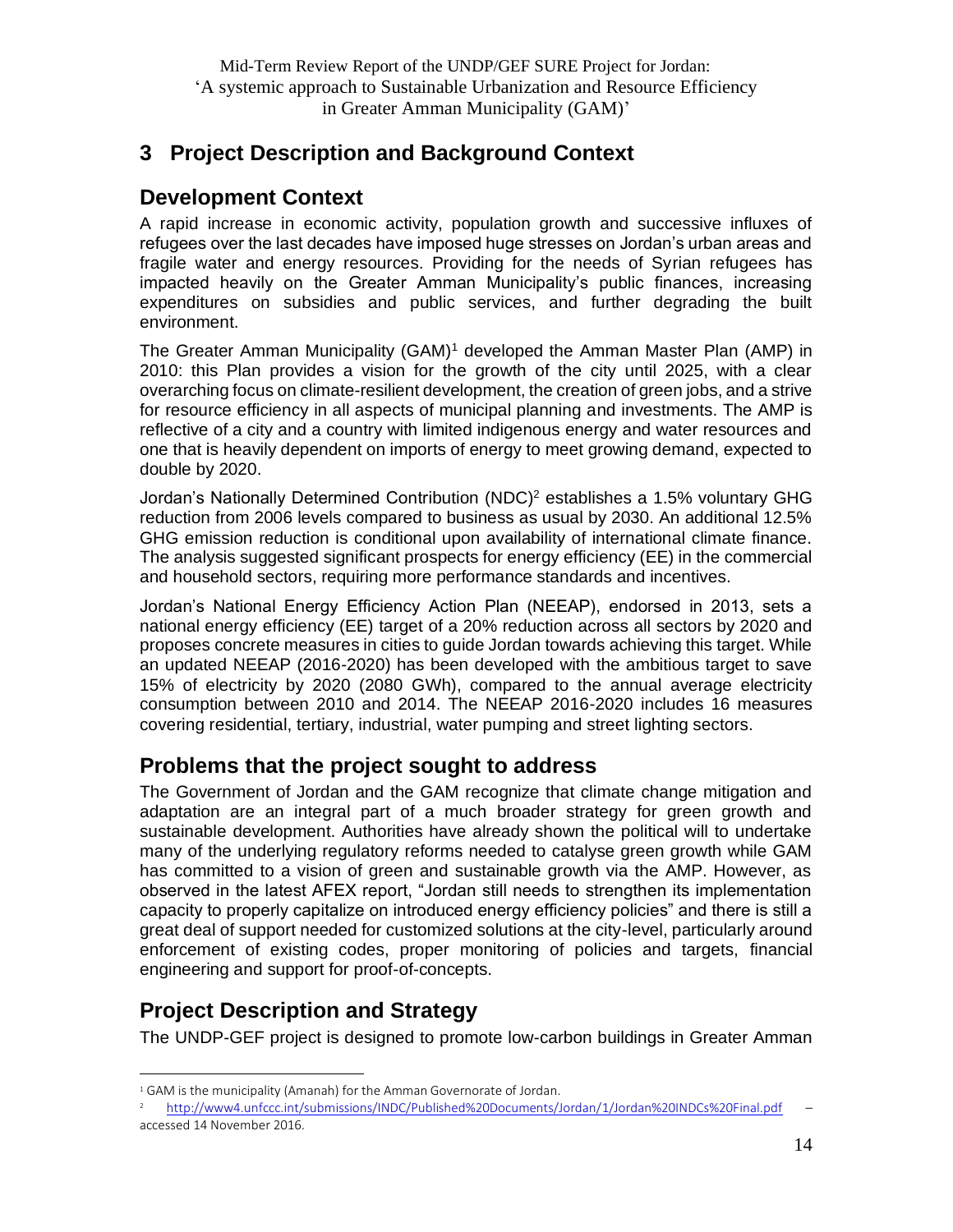## <span id="page-13-0"></span>**3 Project Description and Background Context**

### <span id="page-13-1"></span>**Development Context**

A rapid increase in economic activity, population growth and successive influxes of refugees over the last decades have imposed huge stresses on Jordan's urban areas and fragile water and energy resources. Providing for the needs of Syrian refugees has impacted heavily on the Greater Amman Municipality's public finances, increasing expenditures on subsidies and public services, and further degrading the built environment.

The Greater Amman Municipality (GAM)<sup>1</sup> developed the Amman Master Plan (AMP) in 2010: this Plan provides a vision for the growth of the city until 2025, with a clear overarching focus on climate-resilient development, the creation of green jobs, and a strive for resource efficiency in all aspects of municipal planning and investments. The AMP is reflective of a city and a country with limited indigenous energy and water resources and one that is heavily dependent on imports of energy to meet growing demand, expected to double by 2020.

Jordan's Nationally Determined Contribution (NDC)<sup>2</sup> establishes a 1.5% voluntary GHG reduction from 2006 levels compared to business as usual by 2030. An additional 12.5% GHG emission reduction is conditional upon availability of international climate finance. The analysis suggested significant prospects for energy efficiency (EE) in the commercial and household sectors, requiring more performance standards and incentives.

Jordan's National Energy Efficiency Action Plan (NEEAP), endorsed in 2013, sets a national energy efficiency (EE) target of a 20% reduction across all sectors by 2020 and proposes concrete measures in cities to guide Jordan towards achieving this target. While an updated NEEAP (2016-2020) has been developed with the ambitious target to save 15% of electricity by 2020 (2080 GWh), compared to the annual average electricity consumption between 2010 and 2014. The NEEAP 2016-2020 includes 16 measures covering residential, tertiary, industrial, water pumping and street lighting sectors.

### <span id="page-13-2"></span>**Problems that the project sought to address**

The Government of Jordan and the GAM recognize that climate change mitigation and adaptation are an integral part of a much broader strategy for green growth and sustainable development. Authorities have already shown the political will to undertake many of the underlying regulatory reforms needed to catalyse green growth while GAM has committed to a vision of green and sustainable growth via the AMP. However, as observed in the latest AFEX report, "Jordan still needs to strengthen its implementation capacity to properly capitalize on introduced energy efficiency policies" and there is still a great deal of support needed for customized solutions at the city-level, particularly around enforcement of existing codes, proper monitoring of policies and targets, financial engineering and support for proof-of-concepts.

## <span id="page-13-3"></span>**Project Description and Strategy**

The UNDP-GEF project is designed to promote low-carbon buildings in Greater Amman

<sup>&</sup>lt;sup>1</sup> GAM is the municipality (Amanah) for the Amman Governorate of Jordan.

<sup>2</sup> <http://www4.unfccc.int/submissions/INDC/Published%20Documents/Jordan/1/Jordan%20INDCs%20Final.pdf> – accessed 14 November 2016.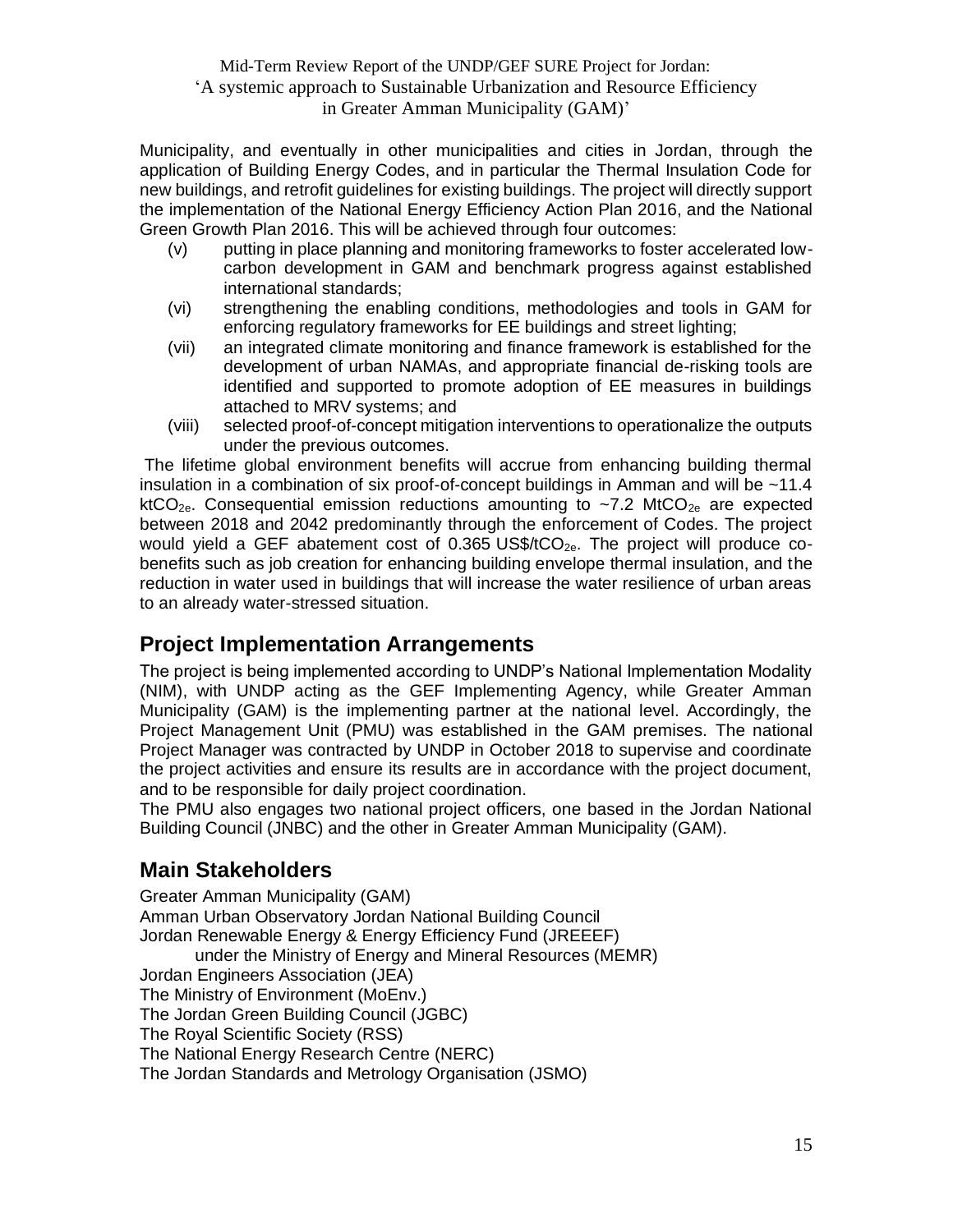Municipality, and eventually in other municipalities and cities in Jordan, through the application of Building Energy Codes, and in particular the Thermal Insulation Code for new buildings, and retrofit guidelines for existing buildings. The project will directly support the implementation of the National Energy Efficiency Action Plan 2016, and the National Green Growth Plan 2016. This will be achieved through four outcomes:

- (v) putting in place planning and monitoring frameworks to foster accelerated lowcarbon development in GAM and benchmark progress against established international standards;
- (vi) strengthening the enabling conditions, methodologies and tools in GAM for enforcing regulatory frameworks for EE buildings and street lighting;
- (vii) an integrated climate monitoring and finance framework is established for the development of urban NAMAs, and appropriate financial de-risking tools are identified and supported to promote adoption of EE measures in buildings attached to MRV systems; and
- (viii) selected proof-of-concept mitigation interventions to operationalize the outputs under the previous outcomes.

The lifetime global environment benefits will accrue from enhancing building thermal insulation in a combination of six proof-of-concept buildings in Amman and will be ~11.4 ktCO<sub>2e</sub>. Consequential emission reductions amounting to ~7.2 MtCO<sub>2e</sub> are expected between 2018 and 2042 predominantly through the enforcement of Codes. The project would yield a GEF abatement cost of 0.365 US\$/ $tCO_{2e}$ . The project will produce cobenefits such as job creation for enhancing building envelope thermal insulation, and the reduction in water used in buildings that will increase the water resilience of urban areas to an already water-stressed situation.

## <span id="page-14-0"></span>**Project Implementation Arrangements**

The project is being implemented according to UNDP's National Implementation Modality (NIM), with UNDP acting as the GEF Implementing Agency, while Greater Amman Municipality (GAM) is the implementing partner at the national level. Accordingly, the Project Management Unit (PMU) was established in the GAM premises. The national Project Manager was contracted by UNDP in October 2018 to supervise and coordinate the project activities and ensure its results are in accordance with the project document, and to be responsible for daily project coordination.

The PMU also engages two national project officers, one based in the Jordan National Building Council (JNBC) and the other in Greater Amman Municipality (GAM).

## <span id="page-14-1"></span>**Main Stakeholders**

Greater Amman Municipality (GAM) Amman Urban Observatory Jordan National Building Council Jordan Renewable Energy & Energy Efficiency Fund (JREEEF) under the Ministry of Energy and Mineral Resources (MEMR) Jordan Engineers Association (JEA) The Ministry of Environment (MoEnv.) The Jordan Green Building Council (JGBC) The Royal Scientific Society (RSS) The National Energy Research Centre (NERC) The Jordan Standards and Metrology Organisation (JSMO)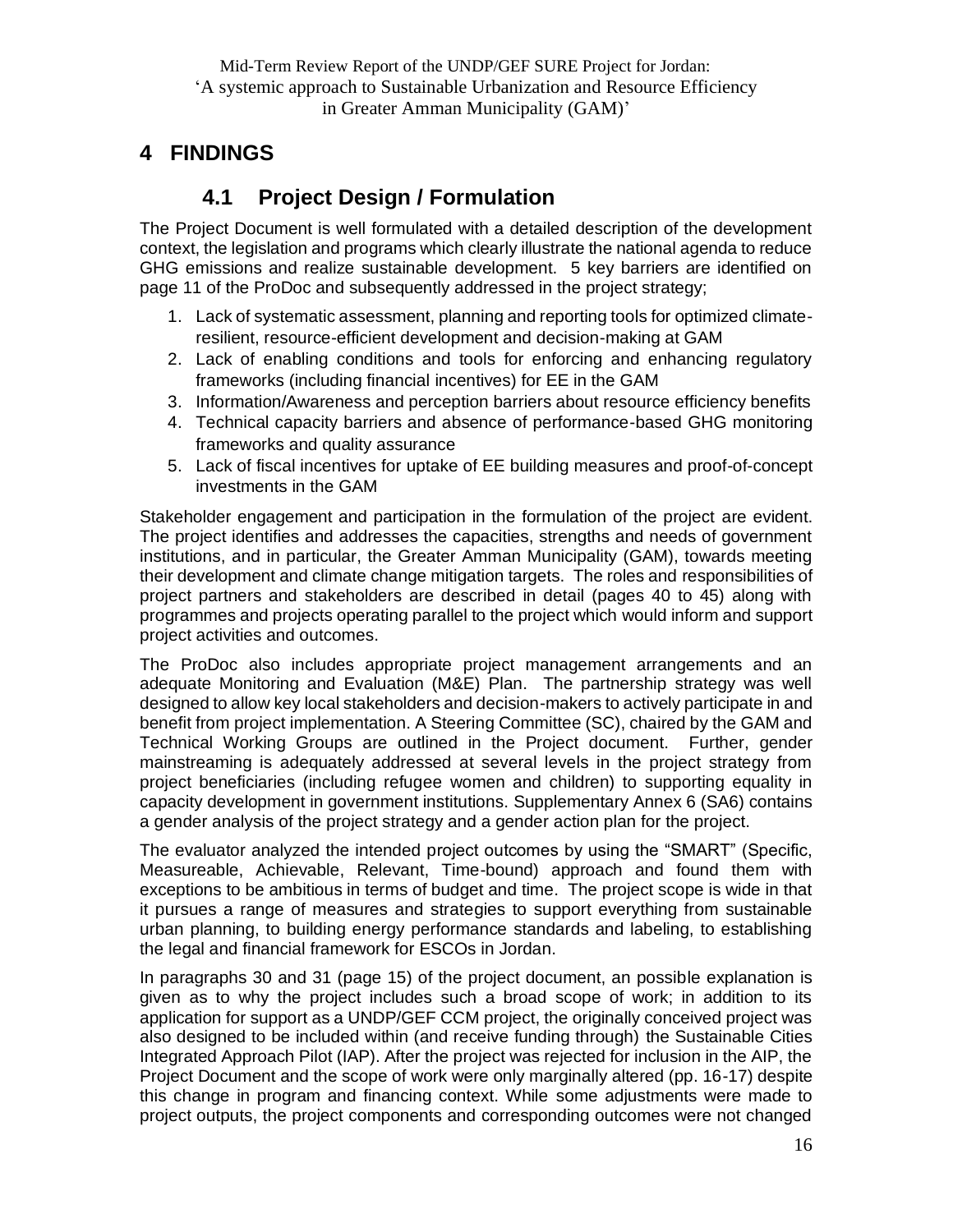## <span id="page-15-1"></span><span id="page-15-0"></span>**4 FINDINGS**

## **4.1 Project Design / Formulation**

The Project Document is well formulated with a detailed description of the development context, the legislation and programs which clearly illustrate the national agenda to reduce GHG emissions and realize sustainable development. 5 key barriers are identified on page 11 of the ProDoc and subsequently addressed in the project strategy;

- 1. Lack of systematic assessment, planning and reporting tools for optimized climateresilient, resource-efficient development and decision-making at GAM
- 2. Lack of enabling conditions and tools for enforcing and enhancing regulatory frameworks (including financial incentives) for EE in the GAM
- 3. Information/Awareness and perception barriers about resource efficiency benefits
- 4. Technical capacity barriers and absence of performance-based GHG monitoring frameworks and quality assurance
- 5. Lack of fiscal incentives for uptake of EE building measures and proof-of-concept investments in the GAM

Stakeholder engagement and participation in the formulation of the project are evident. The project identifies and addresses the capacities, strengths and needs of government institutions, and in particular, the Greater Amman Municipality (GAM), towards meeting their development and climate change mitigation targets. The roles and responsibilities of project partners and stakeholders are described in detail (pages 40 to 45) along with programmes and projects operating parallel to the project which would inform and support project activities and outcomes.

The ProDoc also includes appropriate project management arrangements and an adequate Monitoring and Evaluation (M&E) Plan. The partnership strategy was well designed to allow key local stakeholders and decision-makers to actively participate in and benefit from project implementation. A Steering Committee (SC), chaired by the GAM and Technical Working Groups are outlined in the Project document. Further, gender mainstreaming is adequately addressed at several levels in the project strategy from project beneficiaries (including refugee women and children) to supporting equality in capacity development in government institutions. Supplementary Annex 6 (SA6) contains a gender analysis of the project strategy and a gender action plan for the project.

The evaluator analyzed the intended project outcomes by using the "SMART" (Specific, Measureable, Achievable, Relevant, Time-bound) approach and found them with exceptions to be ambitious in terms of budget and time. The project scope is wide in that it pursues a range of measures and strategies to support everything from sustainable urban planning, to building energy performance standards and labeling, to establishing the legal and financial framework for ESCOs in Jordan.

In paragraphs 30 and 31 (page 15) of the project document, an possible explanation is given as to why the project includes such a broad scope of work; in addition to its application for support as a UNDP/GEF CCM project, the originally conceived project was also designed to be included within (and receive funding through) the Sustainable Cities Integrated Approach Pilot (IAP). After the project was rejected for inclusion in the AIP, the Project Document and the scope of work were only marginally altered (pp. 16-17) despite this change in program and financing context. While some adjustments were made to project outputs, the project components and corresponding outcomes were not changed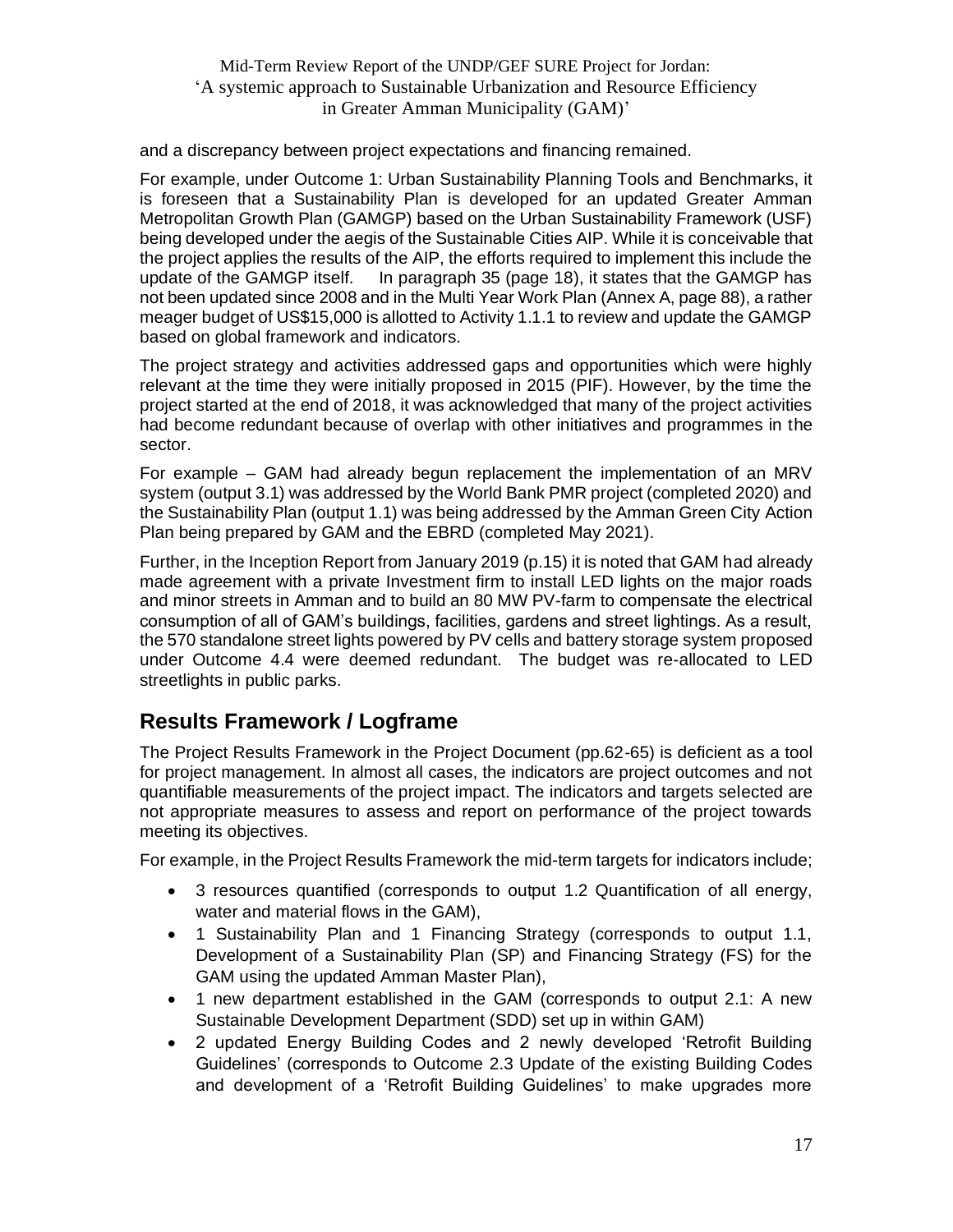and a discrepancy between project expectations and financing remained.

For example, under Outcome 1: Urban Sustainability Planning Tools and Benchmarks, it is foreseen that a Sustainability Plan is developed for an updated Greater Amman Metropolitan Growth Plan (GAMGP) based on the Urban Sustainability Framework (USF) being developed under the aegis of the Sustainable Cities AIP. While it is conceivable that the project applies the results of the AIP, the efforts required to implement this include the update of the GAMGP itself. In paragraph 35 (page 18), it states that the GAMGP has In paragraph 35 (page 18), it states that the GAMGP has not been updated since 2008 and in the Multi Year Work Plan (Annex A, page 88), a rather meager budget of US\$15,000 is allotted to Activity 1.1.1 to review and update the GAMGP based on global framework and indicators.

The project strategy and activities addressed gaps and opportunities which were highly relevant at the time they were initially proposed in 2015 (PIF). However, by the time the project started at the end of 2018, it was acknowledged that many of the project activities had become redundant because of overlap with other initiatives and programmes in the sector.

For example – GAM had already begun replacement the implementation of an MRV system (output 3.1) was addressed by the World Bank PMR project (completed 2020) and the Sustainability Plan (output 1.1) was being addressed by the Amman Green City Action Plan being prepared by GAM and the EBRD (completed May 2021).

Further, in the Inception Report from January 2019 (p.15) it is noted that GAM had already made agreement with a private Investment firm to install LED lights on the major roads and minor streets in Amman and to build an 80 MW PV-farm to compensate the electrical consumption of all of GAM's buildings, facilities, gardens and street lightings. As a result, the 570 standalone street lights powered by PV cells and battery storage system proposed under Outcome 4.4 were deemed redundant. The budget was re-allocated to LED streetlights in public parks.

## <span id="page-16-0"></span>**Results Framework / Logframe**

The Project Results Framework in the Project Document (pp.62-65) is deficient as a tool for project management. In almost all cases, the indicators are project outcomes and not quantifiable measurements of the project impact. The indicators and targets selected are not appropriate measures to assess and report on performance of the project towards meeting its objectives.

For example, in the Project Results Framework the mid-term targets for indicators include;

- 3 resources quantified (corresponds to output 1.2 Quantification of all energy, water and material flows in the GAM),
- 1 Sustainability Plan and 1 Financing Strategy (corresponds to output 1.1, Development of a Sustainability Plan (SP) and Financing Strategy (FS) for the GAM using the updated Amman Master Plan),
- 1 new department established in the GAM (corresponds to output 2.1: A new Sustainable Development Department (SDD) set up in within GAM)
- 2 updated Energy Building Codes and 2 newly developed 'Retrofit Building Guidelines' (corresponds to Outcome 2.3 Update of the existing Building Codes and development of a 'Retrofit Building Guidelines' to make upgrades more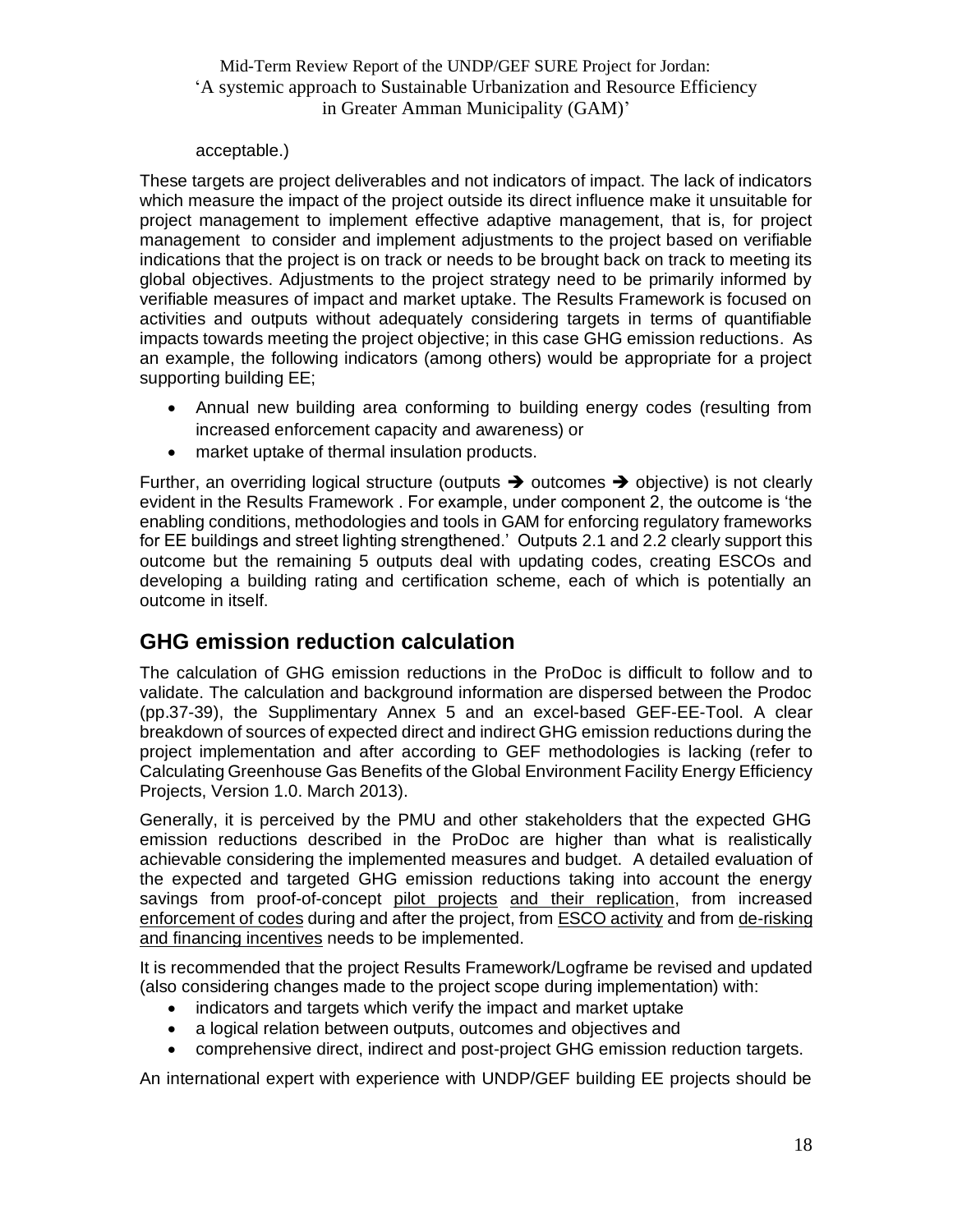#### acceptable.)

These targets are project deliverables and not indicators of impact. The lack of indicators which measure the impact of the project outside its direct influence make it unsuitable for project management to implement effective adaptive management, that is, for project management to consider and implement adjustments to the project based on verifiable indications that the project is on track or needs to be brought back on track to meeting its global objectives. Adjustments to the project strategy need to be primarily informed by verifiable measures of impact and market uptake. The Results Framework is focused on activities and outputs without adequately considering targets in terms of quantifiable impacts towards meeting the project objective; in this case GHG emission reductions. As an example, the following indicators (among others) would be appropriate for a project supporting building EE;

- Annual new building area conforming to building energy codes (resulting from increased enforcement capacity and awareness) or
- market uptake of thermal insulation products.

Further, an overriding logical structure (outputs  $\rightarrow$  outcomes  $\rightarrow$  objective) is not clearly evident in the Results Framework . For example, under component 2, the outcome is 'the enabling conditions, methodologies and tools in GAM for enforcing regulatory frameworks for EE buildings and street lighting strengthened.' Outputs 2.1 and 2.2 clearly support this outcome but the remaining 5 outputs deal with updating codes, creating ESCOs and developing a building rating and certification scheme, each of which is potentially an outcome in itself.

## <span id="page-17-0"></span>**GHG emission reduction calculation**

The calculation of GHG emission reductions in the ProDoc is difficult to follow and to validate. The calculation and background information are dispersed between the Prodoc (pp.37-39), the Supplimentary Annex 5 and an excel-based GEF-EE-Tool. A clear breakdown of sources of expected direct and indirect GHG emission reductions during the project implementation and after according to GEF methodologies is lacking (refer to Calculating Greenhouse Gas Benefits of the Global Environment Facility Energy Efficiency Projects, Version 1.0. March 2013).

Generally, it is perceived by the PMU and other stakeholders that the expected GHG emission reductions described in the ProDoc are higher than what is realistically achievable considering the implemented measures and budget. A detailed evaluation of the expected and targeted GHG emission reductions taking into account the energy savings from proof-of-concept pilot projects and their replication, from increased enforcement of codes during and after the project, from ESCO activity and from de-risking and financing incentives needs to be implemented.

It is recommended that the project Results Framework/Logframe be revised and updated (also considering changes made to the project scope during implementation) with:

- indicators and targets which verify the impact and market uptake
- a logical relation between outputs, outcomes and objectives and
- comprehensive direct, indirect and post-project GHG emission reduction targets.

An international expert with experience with UNDP/GEF building EE projects should be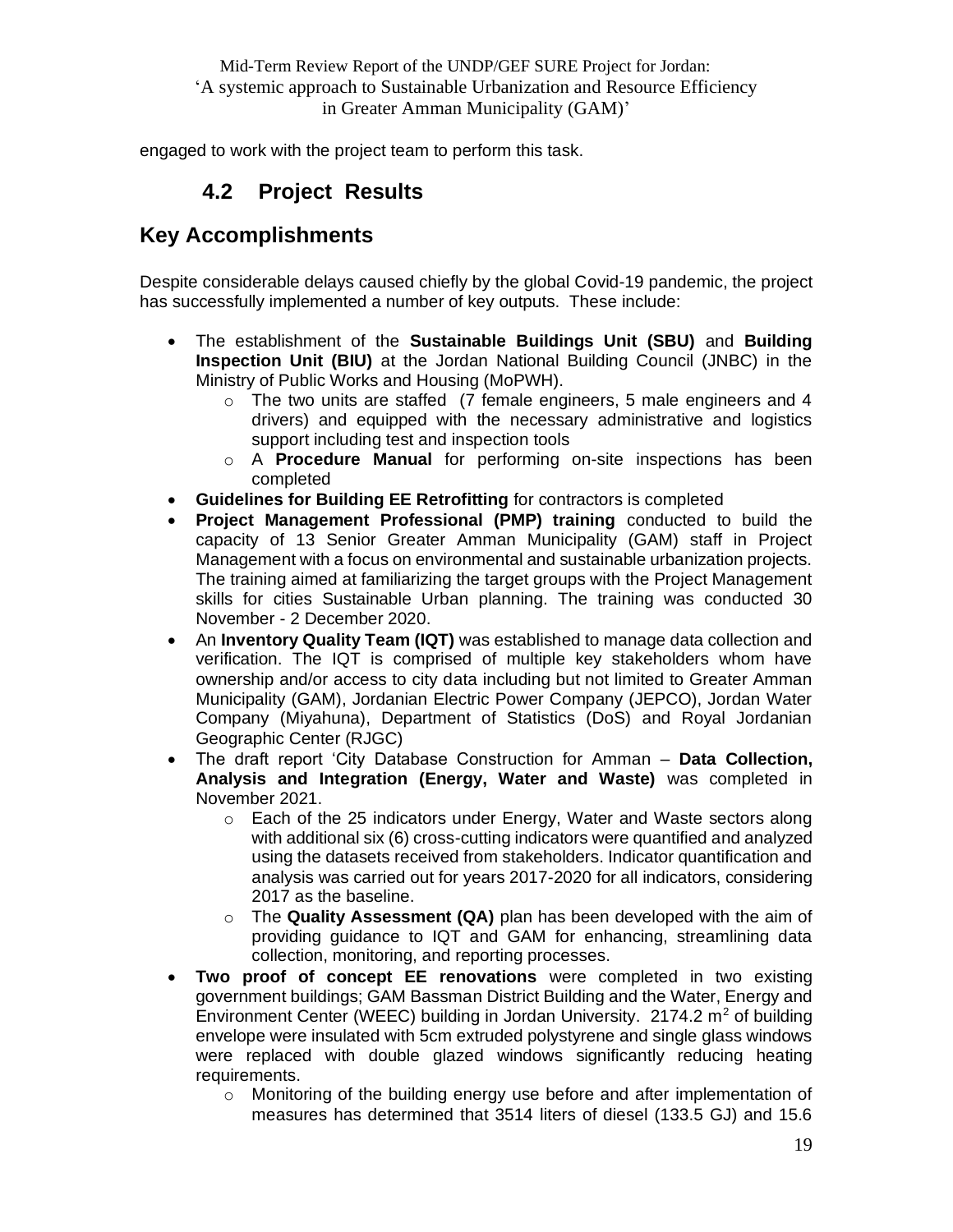<span id="page-18-0"></span>engaged to work with the project team to perform this task.

## **4.2 Project Results**

## <span id="page-18-1"></span>**Key Accomplishments**

Despite considerable delays caused chiefly by the global Covid-19 pandemic, the project has successfully implemented a number of key outputs. These include:

- The establishment of the **Sustainable Buildings Unit (SBU)** and **Building Inspection Unit (BIU)** at the Jordan National Building Council (JNBC) in the Ministry of Public Works and Housing (MoPWH).
	- $\circ$  The two units are staffed (7 female engineers, 5 male engineers and 4 drivers) and equipped with the necessary administrative and logistics support including test and inspection tools
	- o A **Procedure Manual** for performing on-site inspections has been completed
- **Guidelines for Building EE Retrofitting** for contractors is completed
- **Project Management Professional (PMP) training** conducted to build the capacity of 13 Senior Greater Amman Municipality (GAM) staff in Project Management with a focus on environmental and sustainable urbanization projects. The training aimed at familiarizing the target groups with the Project Management skills for cities Sustainable Urban planning. The training was conducted 30 November - 2 December 2020.
- An **Inventory Quality Team (IQT)** was established to manage data collection and verification. The IQT is comprised of multiple key stakeholders whom have ownership and/or access to city data including but not limited to Greater Amman Municipality (GAM), Jordanian Electric Power Company (JEPCO), Jordan Water Company (Miyahuna), Department of Statistics (DoS) and Royal Jordanian Geographic Center (RJGC)
- The draft report 'City Database Construction for Amman **Data Collection, Analysis and Integration (Energy, Water and Waste)** was completed in November 2021.
	- $\circ$  Each of the 25 indicators under Energy, Water and Waste sectors along with additional six (6) cross-cutting indicators were quantified and analyzed using the datasets received from stakeholders. Indicator quantification and analysis was carried out for years 2017-2020 for all indicators, considering 2017 as the baseline.
	- o The **Quality Assessment (QA)** plan has been developed with the aim of providing guidance to IQT and GAM for enhancing, streamlining data collection, monitoring, and reporting processes.
- **Two proof of concept EE renovations** were completed in two existing government buildings; GAM Bassman District Building and the Water, Energy and Environment Center (WEEC) building in Jordan University.  $2174.2 \text{ m}^2$  of building envelope were insulated with 5cm extruded polystyrene and single glass windows were replaced with double glazed windows significantly reducing heating requirements.
	- o Monitoring of the building energy use before and after implementation of measures has determined that 3514 liters of diesel (133.5 GJ) and 15.6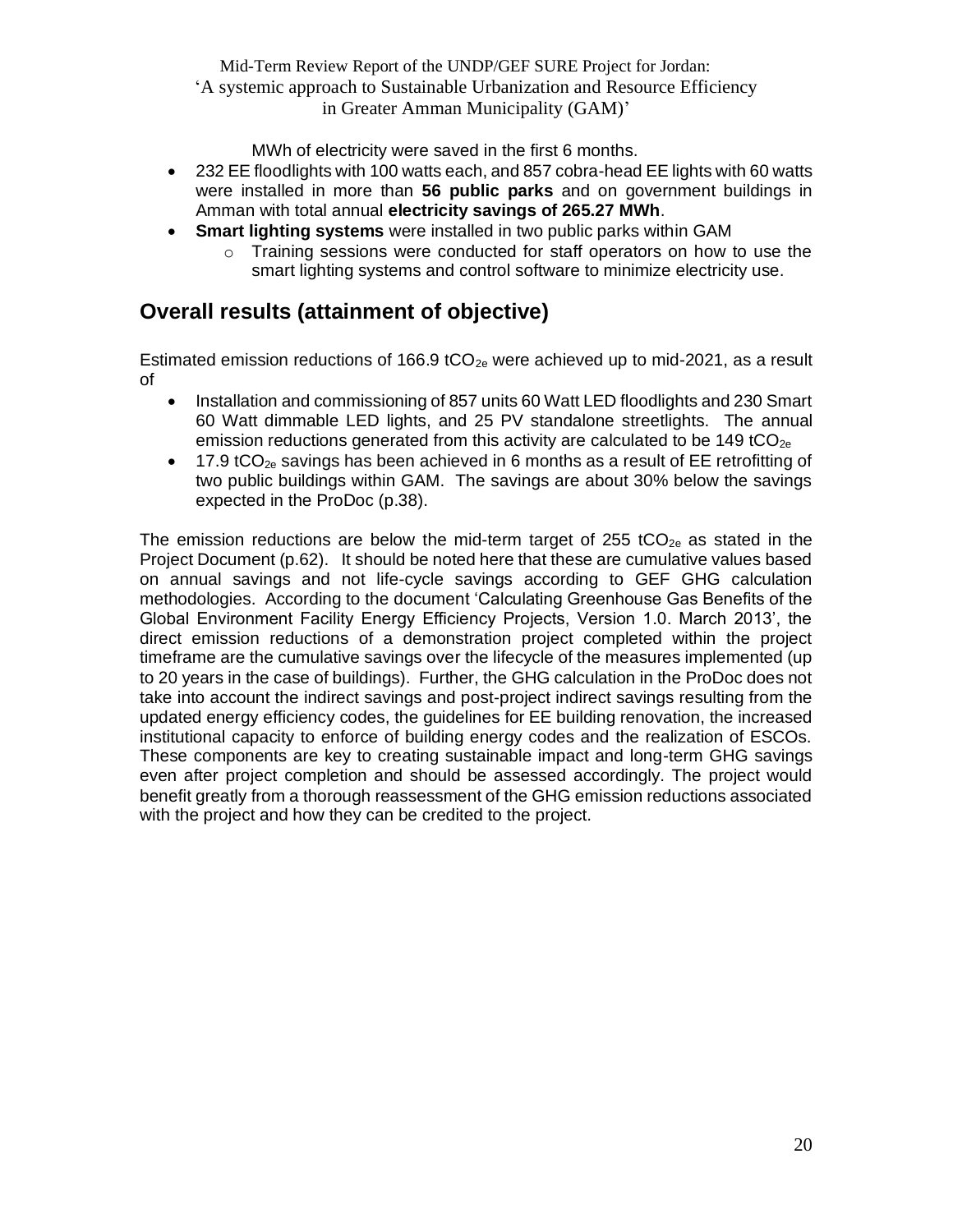MWh of electricity were saved in the first 6 months.

- 232 EE floodlights with 100 watts each, and 857 cobra-head EE lights with 60 watts were installed in more than **56 public parks** and on government buildings in Amman with total annual **electricity savings of 265.27 MWh**.
- **Smart lighting systems** were installed in two public parks within GAM
	- $\circ$  Training sessions were conducted for staff operators on how to use the smart lighting systems and control software to minimize electricity use.

### <span id="page-19-0"></span>**Overall results (attainment of objective)**

Estimated emission reductions of 166.9 tCO<sub>2e</sub> were achieved up to mid-2021, as a result of

- Installation and commissioning of 857 units 60 Watt LED floodlights and 230 Smart 60 Watt dimmable LED lights, and 25 PV standalone streetlights. The annual emission reductions generated from this activity are calculated to be 149 tCO<sub>2e</sub>
- $\bullet$  17.9 tCO<sub>2e</sub> savings has been achieved in 6 months as a result of EE retrofitting of two public buildings within GAM. The savings are about 30% below the savings expected in the ProDoc (p.38).

The emission reductions are below the mid-term target of 255 tCO<sub>2e</sub> as stated in the Project Document (p.62). It should be noted here that these are cumulative values based on annual savings and not life-cycle savings according to GEF GHG calculation methodologies. According to the document 'Calculating Greenhouse Gas Benefits of the Global Environment Facility Energy Efficiency Projects, Version 1.0. March 2013', the direct emission reductions of a demonstration project completed within the project timeframe are the cumulative savings over the lifecycle of the measures implemented (up to 20 years in the case of buildings). Further, the GHG calculation in the ProDoc does not take into account the indirect savings and post-project indirect savings resulting from the updated energy efficiency codes, the guidelines for EE building renovation, the increased institutional capacity to enforce of building energy codes and the realization of ESCOs. These components are key to creating sustainable impact and long-term GHG savings even after project completion and should be assessed accordingly. The project would benefit greatly from a thorough reassessment of the GHG emission reductions associated with the project and how they can be credited to the project.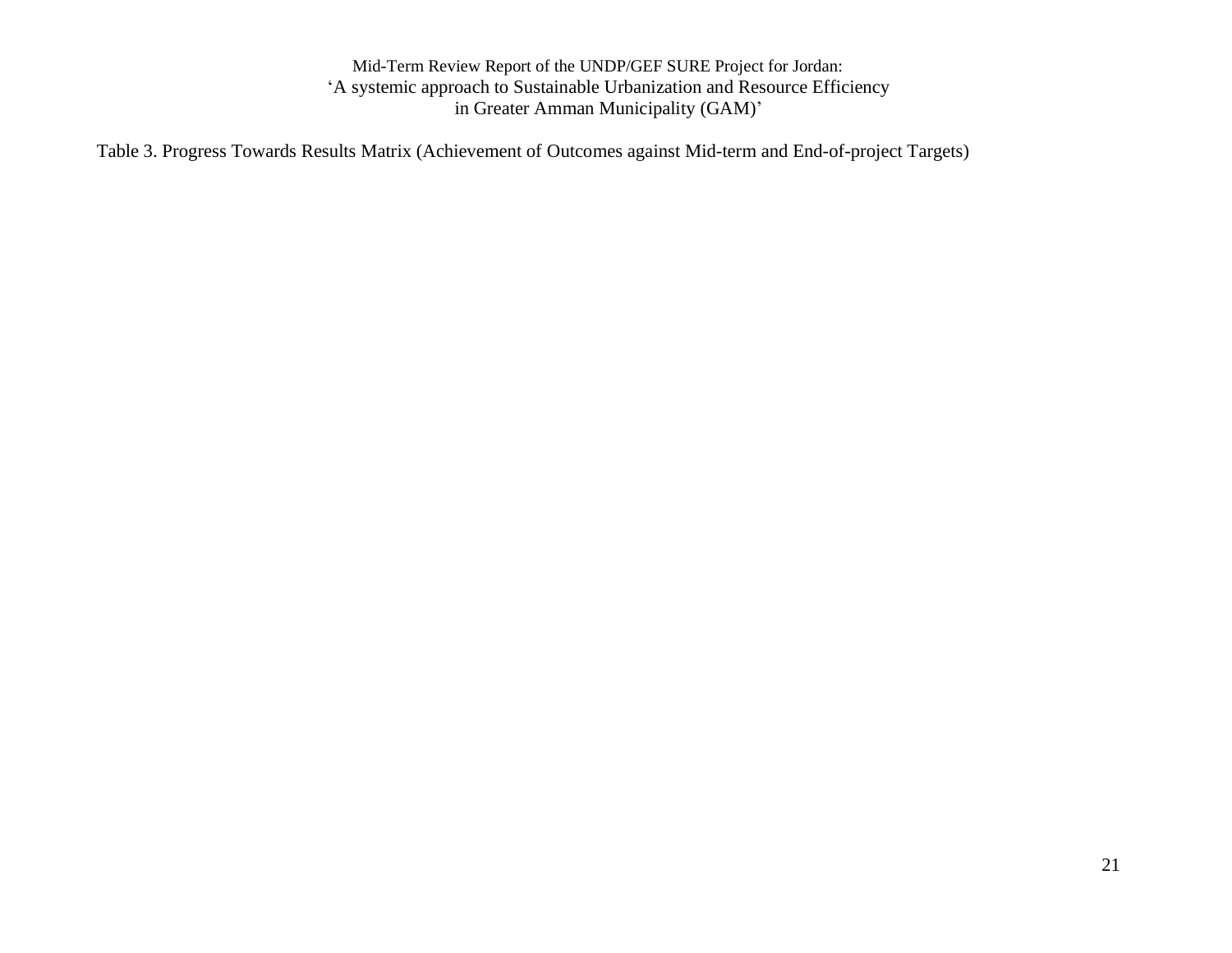Table 3. Progress Towards Results Matrix (Achievement of Outcomes against Mid-term and End-of-project Targets)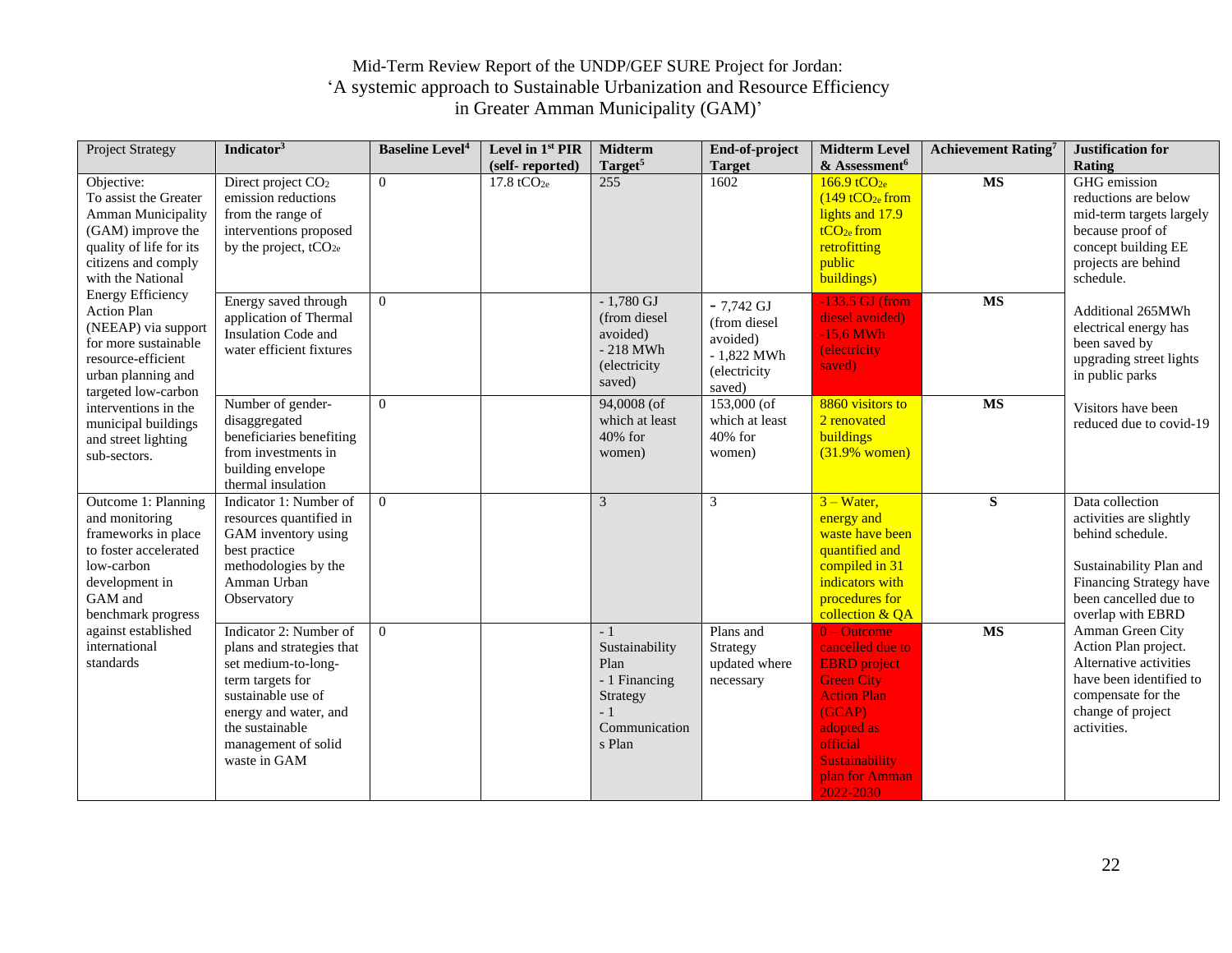| <b>Project Strategy</b>                                                                                                                                                                                                                                                                                                                                                                                                                                                                                                                                                                                                        | Indicator <sup>3</sup>                                                                                                                                                        | <b>Baseline Level<sup>4</sup></b> | Level in 1st PIR        | <b>Midterm</b>                                                                         | End-of-project                                                                    | <b>Midterm Level</b>                                                                                                                                                           | <b>Achievement Rating</b> 7 | Justification for                                                                                                                                                                      |
|--------------------------------------------------------------------------------------------------------------------------------------------------------------------------------------------------------------------------------------------------------------------------------------------------------------------------------------------------------------------------------------------------------------------------------------------------------------------------------------------------------------------------------------------------------------------------------------------------------------------------------|-------------------------------------------------------------------------------------------------------------------------------------------------------------------------------|-----------------------------------|-------------------------|----------------------------------------------------------------------------------------|-----------------------------------------------------------------------------------|--------------------------------------------------------------------------------------------------------------------------------------------------------------------------------|-----------------------------|----------------------------------------------------------------------------------------------------------------------------------------------------------------------------------------|
|                                                                                                                                                                                                                                                                                                                                                                                                                                                                                                                                                                                                                                |                                                                                                                                                                               |                                   | (self-reported)         | Target <sup>5</sup>                                                                    | <b>Target</b>                                                                     | & Assessment <sup>6</sup>                                                                                                                                                      |                             | Rating                                                                                                                                                                                 |
| Objective:<br>To assist the Greater<br>Amman Municipality<br>(GAM) improve the<br>quality of life for its<br>citizens and comply<br>with the National<br><b>Energy Efficiency</b><br><b>Action Plan</b><br>(NEEAP) via support<br>for more sustainable<br>resource-efficient<br>urban planning and<br>targeted low-carbon<br>interventions in the<br>municipal buildings<br>and street lighting<br>sub-sectors.<br>Outcome 1: Planning<br>and monitoring<br>frameworks in place<br>to foster accelerated<br>low-carbon<br>development in<br>GAM and<br>benchmark progress<br>against established<br>international<br>standards | Direct project CO <sub>2</sub><br>emission reductions<br>from the range of<br>interventions proposed<br>by the project, $tCO_{2e}$                                            | $\overline{0}$                    | $17.8 \text{ tCO}_{2e}$ | 255                                                                                    | 1602                                                                              | $166.9 \text{ tCO}_{2e}$<br>$(149 \t{tCO}_{2e}$ from<br>lights and 17.9<br>$tCO2e$ from<br>retrofitting<br>public<br>buildings)                                                | <b>MS</b>                   | GHG emission<br>reductions are below<br>mid-term targets largely<br>because proof of<br>concept building EE<br>projects are behind<br>schedule.                                        |
|                                                                                                                                                                                                                                                                                                                                                                                                                                                                                                                                                                                                                                | Energy saved through<br>application of Thermal<br>Insulation Code and<br>water efficient fixtures                                                                             | $\theta$                          |                         | $-1,780$ GJ<br>(from diesel<br>avoided)<br>$-218$ MWh<br>(electricity<br>saved)        | $-7,742$ GJ<br>(from diesel<br>avoided)<br>$-1,822$ MWh<br>(electricity<br>saved) | $-133.5$ GJ (from<br>diesel avoided)<br>$-15,6$ MWh<br><i>(electricity)</i><br>saved)                                                                                          | $\overline{\text{MS}}$      | Additional 265MWh<br>electrical energy has<br>been saved by<br>upgrading street lights<br>in public parks                                                                              |
|                                                                                                                                                                                                                                                                                                                                                                                                                                                                                                                                                                                                                                | Number of gender-<br>disaggregated<br>beneficiaries benefiting<br>from investments in<br>building envelope<br>thermal insulation                                              | $\theta$                          |                         | 94,0008 (of<br>which at least<br>40% for<br>women)                                     | 153,000 (of<br>which at least<br>40% for<br>women)                                | 8860 visitors to<br>2 renovated<br>buildings<br>$(31.9%$ women)                                                                                                                | $\overline{\text{MS}}$      | Visitors have been<br>reduced due to covid-19                                                                                                                                          |
|                                                                                                                                                                                                                                                                                                                                                                                                                                                                                                                                                                                                                                | Indicator 1: Number of<br>resources quantified in<br>GAM inventory using<br>best practice<br>methodologies by the<br>Amman Urban<br>Observatory<br>Indicator 2: Number of     | $\Omega$<br>$\theta$              |                         | 3<br>$-1$                                                                              | 3<br>Plans and                                                                    | $3 - Water$ ,<br>energy and<br>waste have been<br>quantified and<br>compiled in 31<br>indicators with<br>procedures for<br>collection & QA<br>$0 - Outcome$                    | ${\bf S}$<br><b>MS</b>      | Data collection<br>activities are slightly<br>behind schedule.<br>Sustainability Plan and<br>Financing Strategy have<br>been cancelled due to<br>overlap with EBRD<br>Amman Green City |
|                                                                                                                                                                                                                                                                                                                                                                                                                                                                                                                                                                                                                                | plans and strategies that<br>set medium-to-long-<br>term targets for<br>sustainable use of<br>energy and water, and<br>the sustainable<br>management of solid<br>waste in GAM |                                   |                         | Sustainability<br>Plan<br>- 1 Financing<br>Strategy<br>$-1$<br>Communication<br>s Plan | Strategy<br>updated where<br>necessary                                            | cancelled due to<br><b>EBRD</b> project<br><b>Green City</b><br><b>Action Plan</b><br>(GCAP)<br>adopted as<br>official<br><b>Sustainability</b><br>plan for Amman<br>2022-2030 |                             | Action Plan project.<br>Alternative activities<br>have been identified to<br>compensate for the<br>change of project<br>activities.                                                    |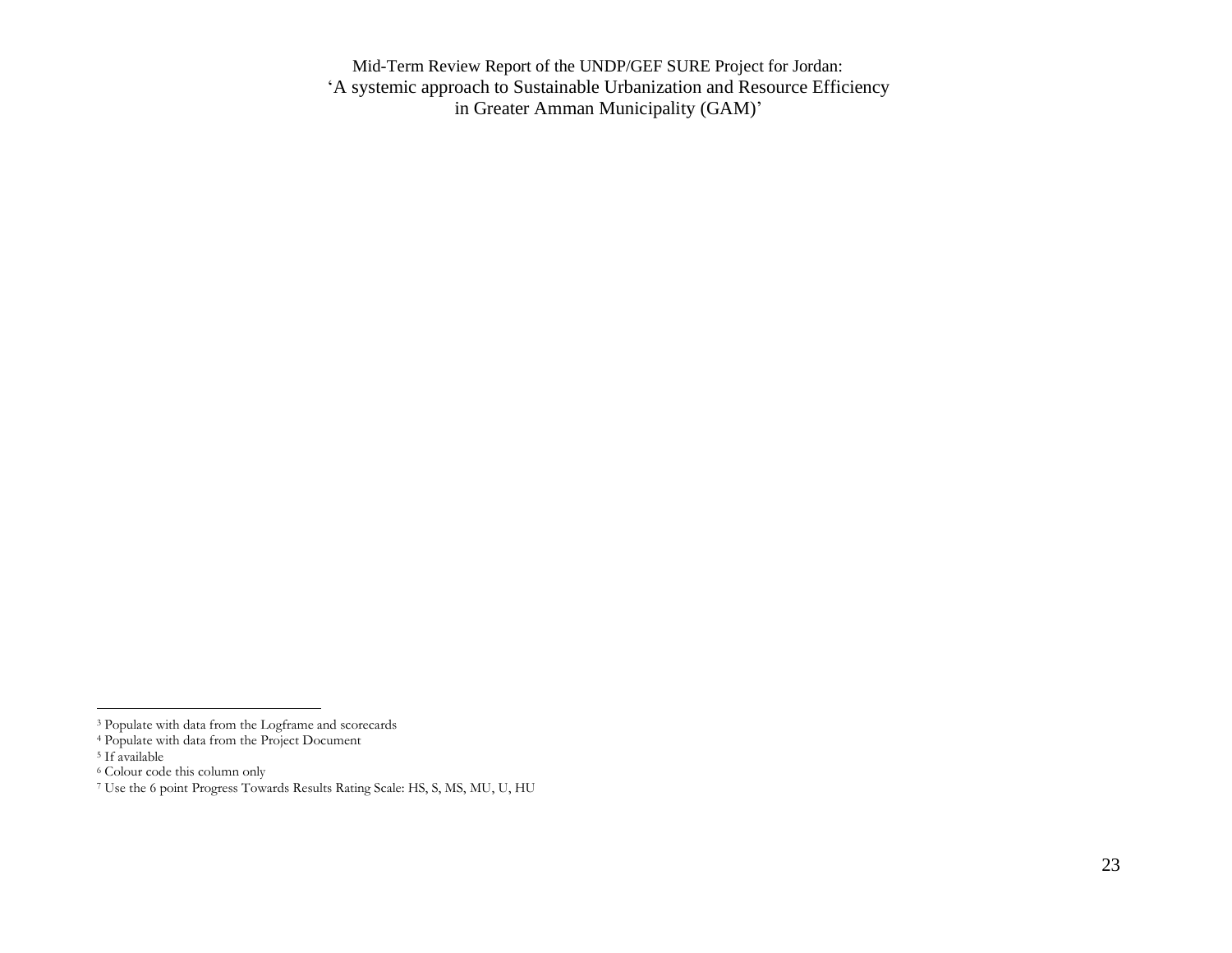<sup>&</sup>lt;sup>3</sup> Populate with data from the Logframe and scorecards

<sup>4</sup> Populate with data from the Project Document

<sup>5</sup> If available

<sup>6</sup> Colour code this column only

<sup>7</sup> Use the 6 point Progress Towards Results Rating Scale: HS, S, MS, MU, U, HU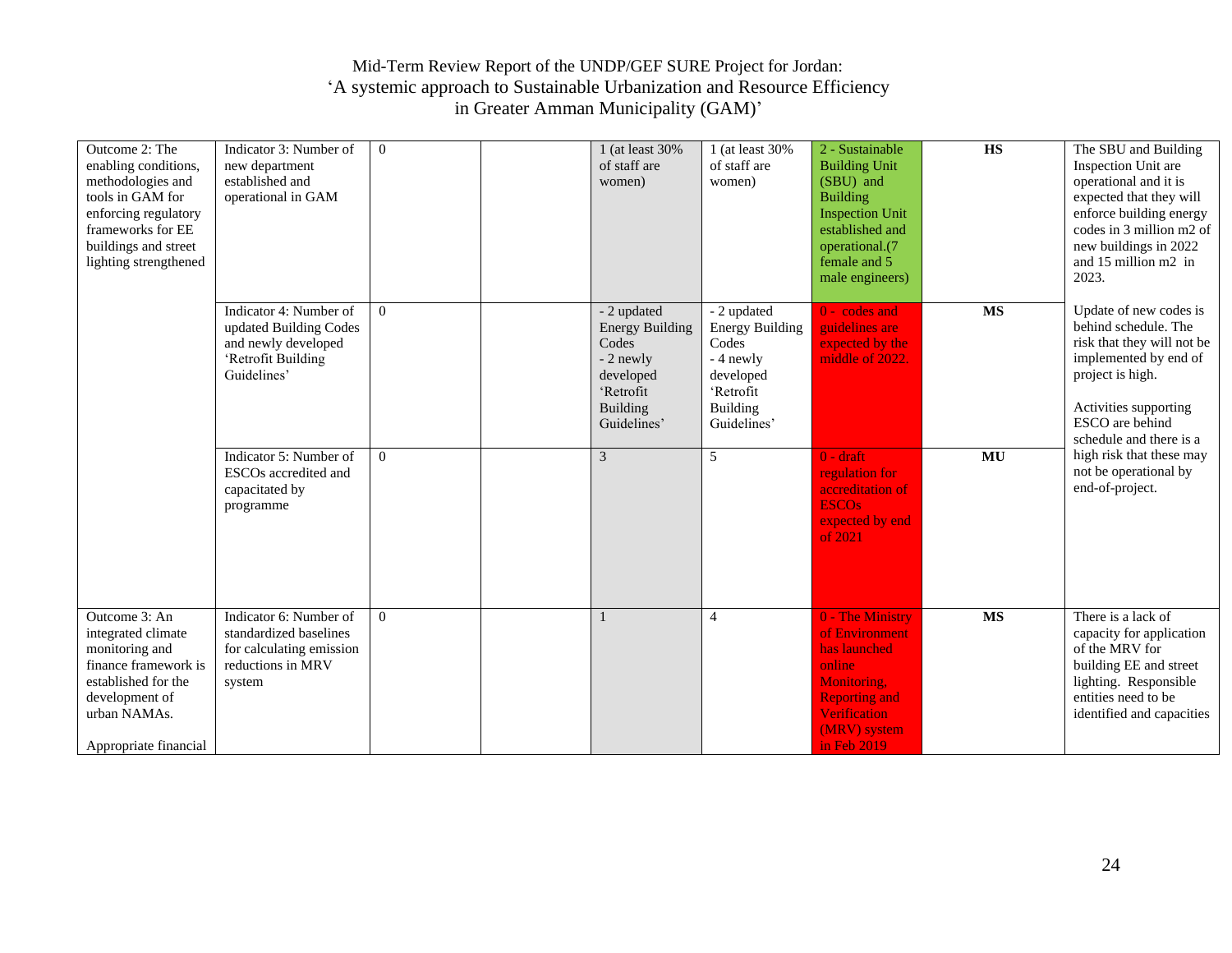| Outcome 2: The<br>enabling conditions,<br>methodologies and<br>tools in GAM for<br>enforcing regulatory<br>frameworks for EE<br>buildings and street<br>lighting strengthened | Indicator 3: Number of<br>new department<br>established and<br>operational in GAM                            | $\overline{0}$ | 1 (at least 30%<br>of staff are<br>women)                                                                               | 1 (at least 30%<br>of staff are<br>women)                                                                        | 2 - Sustainable<br><b>Building Unit</b><br>(SBU) and<br><b>Building</b><br><b>Inspection Unit</b><br>established and<br>operational.(7<br>female and 5<br>male engineers) | $\overline{\text{HS}}$ | The SBU and Building<br>Inspection Unit are<br>operational and it is<br>expected that they will<br>enforce building energy<br>codes in 3 million m2 of<br>new buildings in 2022<br>and 15 million m2 in<br>2023. |
|-------------------------------------------------------------------------------------------------------------------------------------------------------------------------------|--------------------------------------------------------------------------------------------------------------|----------------|-------------------------------------------------------------------------------------------------------------------------|------------------------------------------------------------------------------------------------------------------|---------------------------------------------------------------------------------------------------------------------------------------------------------------------------|------------------------|------------------------------------------------------------------------------------------------------------------------------------------------------------------------------------------------------------------|
|                                                                                                                                                                               | Indicator 4: Number of<br>updated Building Codes<br>and newly developed<br>'Retrofit Building<br>Guidelines' | $\Omega$       | - 2 updated<br><b>Energy Building</b><br>Codes<br>- 2 newly<br>developed<br>'Retrofit<br><b>Building</b><br>Guidelines' | - 2 updated<br><b>Energy Building</b><br>Codes<br>- 4 newly<br>developed<br>'Retrofit<br>Building<br>Guidelines' | $0 - \text{codes}$ and<br>guidelines are<br>expected by the<br>middle of 2022.                                                                                            | <b>MS</b>              | Update of new codes is<br>behind schedule. The<br>risk that they will not be<br>implemented by end of<br>project is high.<br>Activities supporting<br>ESCO are behind<br>schedule and there is a                 |
|                                                                                                                                                                               | Indicator 5: Number of<br>ESCOs accredited and<br>capacitated by<br>programme                                | $\overline{0}$ | 3                                                                                                                       | 5                                                                                                                | $0 - \text{drift}$<br>regulation for<br>accreditation of<br><b>ESCOs</b><br>expected by end<br>of 2021                                                                    | MU                     | high risk that these may<br>not be operational by<br>end-of-project.                                                                                                                                             |
| Outcome 3: An<br>integrated climate<br>monitoring and<br>finance framework is<br>established for the<br>development of<br>urban NAMAs.<br>Appropriate financial               | Indicator 6: Number of<br>standardized baselines<br>for calculating emission<br>reductions in MRV<br>system  | $\overline{0}$ |                                                                                                                         | 4                                                                                                                | 0 - The Ministry<br>of Environment<br>has launched<br>online<br>Monitoring,<br><b>Reporting and</b><br><b>Verification</b><br>(MRV) system<br>in Feb 2019                 | $\overline{\text{MS}}$ | There is a lack of<br>capacity for application<br>of the MRV for<br>building EE and street<br>lighting. Responsible<br>entities need to be<br>identified and capacities                                          |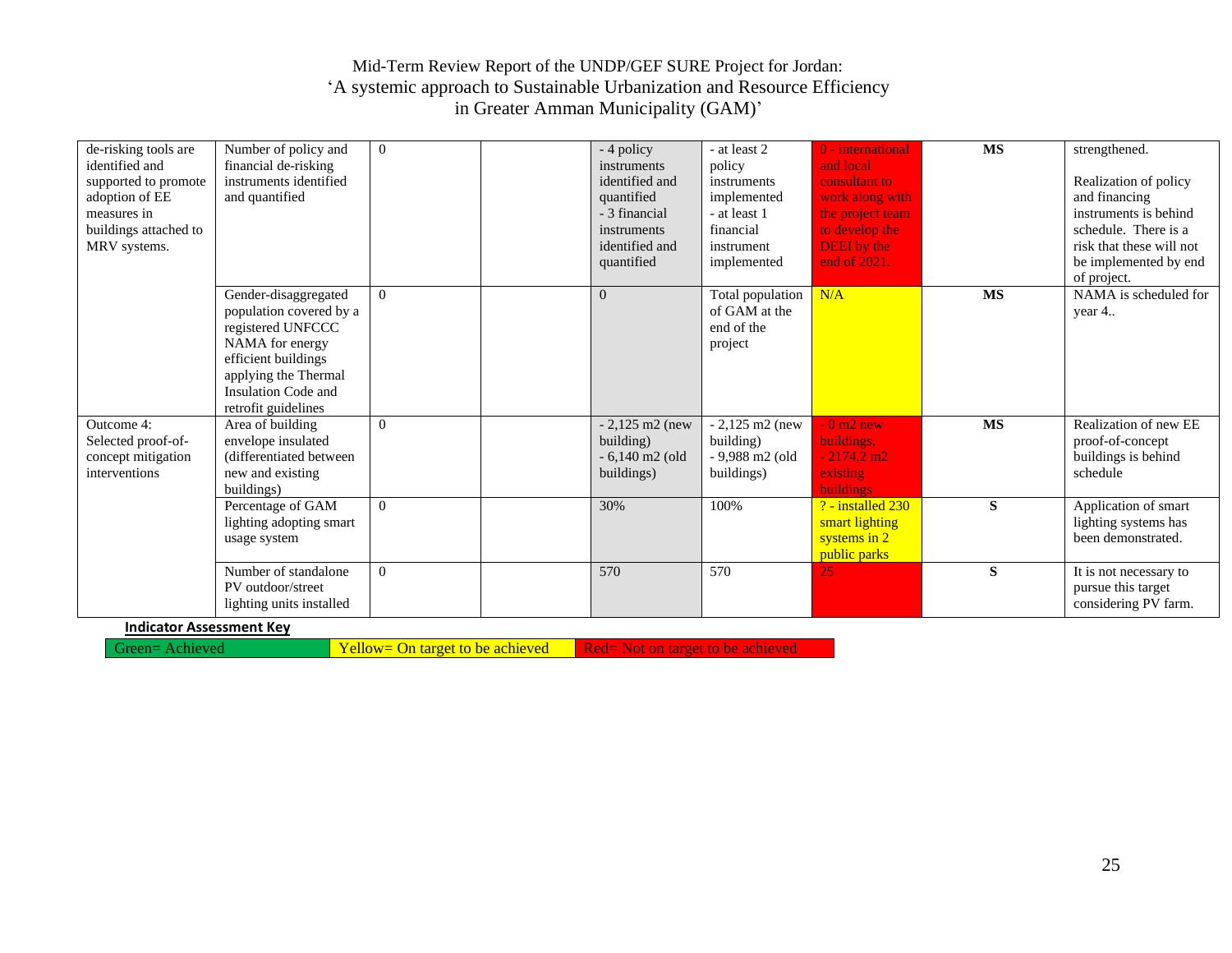| de-risking tools are<br>identified and<br>supported to promote<br>adoption of EE<br>measures in<br>buildings attached to<br>MRV systems. | Number of policy and<br>financial de-risking<br>instruments identified<br>and quantified                                                                                             | $\overline{0}$ | - 4 policy<br>instruments<br>identified and<br>quantified<br>- 3 financial<br>instruments<br>identified and<br>quantified | - at least 2<br>policy<br>instruments<br>implemented<br>- at least 1<br>financial<br>instrument<br>implemented | 0 - international<br>and local<br>consultant to<br>work along with<br>the project team<br>to develop the<br><b>DEEI</b> by the<br>end of 2021. | <b>MS</b> | strengthened.<br>Realization of policy<br>and financing<br>instruments is behind<br>schedule. There is a<br>risk that these will not<br>be implemented by end<br>of project. |
|------------------------------------------------------------------------------------------------------------------------------------------|--------------------------------------------------------------------------------------------------------------------------------------------------------------------------------------|----------------|---------------------------------------------------------------------------------------------------------------------------|----------------------------------------------------------------------------------------------------------------|------------------------------------------------------------------------------------------------------------------------------------------------|-----------|------------------------------------------------------------------------------------------------------------------------------------------------------------------------------|
|                                                                                                                                          | Gender-disaggregated<br>population covered by a<br>registered UNFCCC<br>NAMA for energy<br>efficient buildings<br>applying the Thermal<br>Insulation Code and<br>retrofit guidelines | $\overline{0}$ | $\Omega$                                                                                                                  | Total population<br>of GAM at the<br>end of the<br>project                                                     | N/A                                                                                                                                            | <b>MS</b> | NAMA is scheduled for<br>year 4                                                                                                                                              |
| Outcome 4:<br>Selected proof-of-<br>concept mitigation<br>interventions                                                                  | Area of building<br>envelope insulated<br>(differentiated between)<br>new and existing<br>buildings)                                                                                 | $\overline{0}$ | $-2,125 \text{ m}2$ (new<br>building)<br>$-6,140$ m2 (old<br>buildings)                                                   | $-2,125 \text{ m}2 \text{ (new)}$<br>building)<br>- 9,988 m2 (old<br>buildings)                                | $-0 \text{ m2 new}$<br>buildings,<br>$-2174.2 \text{ m2}$<br>existing<br><b>buildings</b>                                                      | <b>MS</b> | Realization of new EE<br>proof-of-concept<br>buildings is behind<br>schedule                                                                                                 |
|                                                                                                                                          | Percentage of GAM<br>lighting adopting smart<br>usage system                                                                                                                         | $\Omega$       | 30%                                                                                                                       | 100%                                                                                                           | $?$ - installed $230$<br>smart lighting<br>systems in 2<br>public parks                                                                        | S         | Application of smart<br>lighting systems has<br>been demonstrated.                                                                                                           |
|                                                                                                                                          | Number of standalone<br>PV outdoor/street<br>lighting units installed                                                                                                                | $\overline{0}$ | 570                                                                                                                       | 570                                                                                                            | 25                                                                                                                                             | S         | It is not necessary to<br>pursue this target<br>considering PV farm.                                                                                                         |

#### **Indicator Assessment Key**

Green= Achieved Yellow= On target to be achieved Red= Not on target to be achieved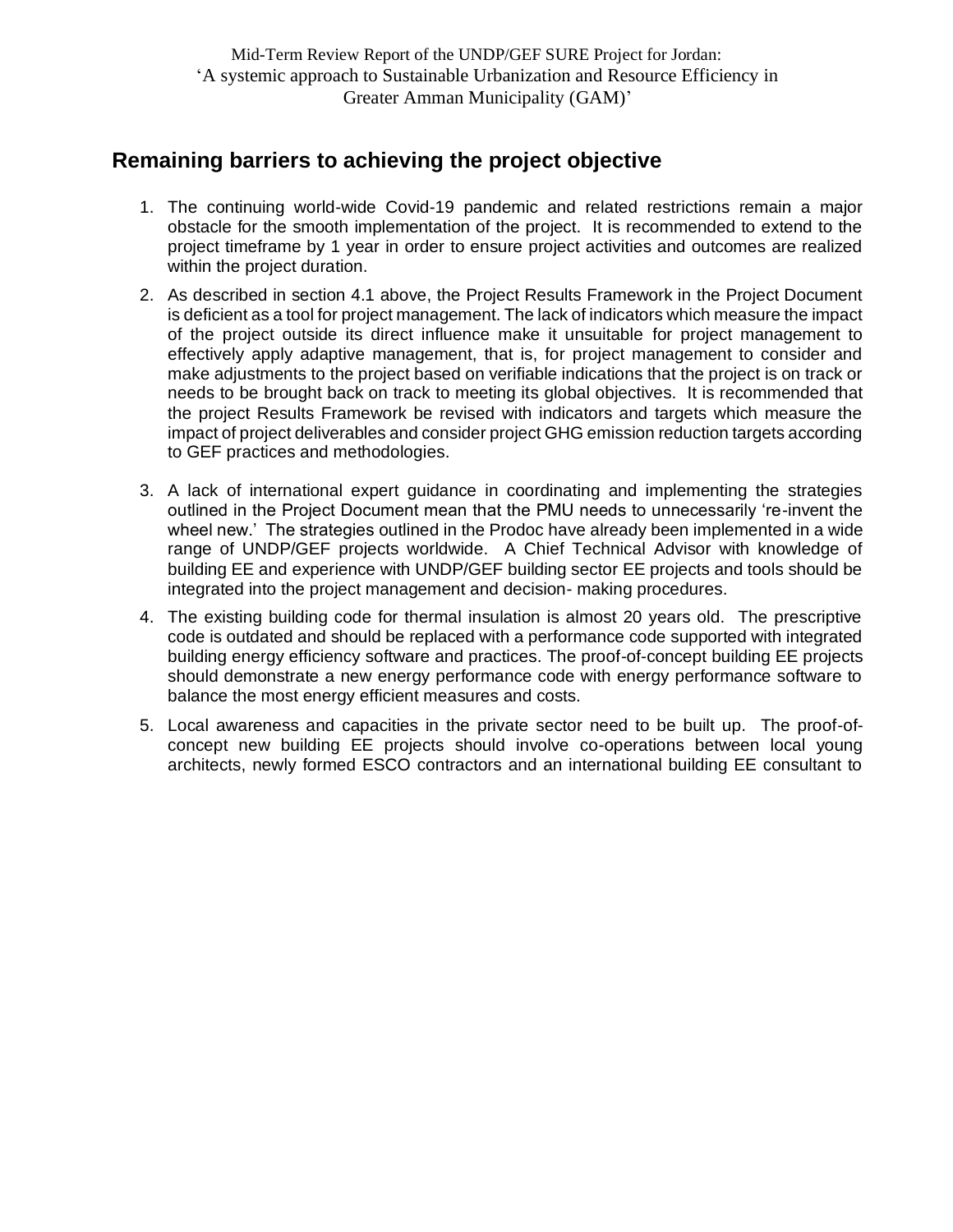## <span id="page-25-0"></span>**Remaining barriers to achieving the project objective**

- 1. The continuing world-wide Covid-19 pandemic and related restrictions remain a major obstacle for the smooth implementation of the project. It is recommended to extend to the project timeframe by 1 year in order to ensure project activities and outcomes are realized within the project duration.
- 2. As described in section 4.1 above, the Project Results Framework in the Project Document is deficient as a tool for project management. The lack of indicators which measure the impact of the project outside its direct influence make it unsuitable for project management to effectively apply adaptive management, that is, for project management to consider and make adjustments to the project based on verifiable indications that the project is on track or needs to be brought back on track to meeting its global objectives. It is recommended that the project Results Framework be revised with indicators and targets which measure the impact of project deliverables and consider project GHG emission reduction targets according to GEF practices and methodologies.
- 3. A lack of international expert guidance in coordinating and implementing the strategies outlined in the Project Document mean that the PMU needs to unnecessarily 're-invent the wheel new.' The strategies outlined in the Prodoc have already been implemented in a wide range of UNDP/GEF projects worldwide. A Chief Technical Advisor with knowledge of building EE and experience with UNDP/GEF building sector EE projects and tools should be integrated into the project management and decision- making procedures.
- 4. The existing building code for thermal insulation is almost 20 years old. The prescriptive code is outdated and should be replaced with a performance code supported with integrated building energy efficiency software and practices. The proof-of-concept building EE projects should demonstrate a new energy performance code with energy performance software to balance the most energy efficient measures and costs.
- 5. Local awareness and capacities in the private sector need to be built up. The proof-ofconcept new building EE projects should involve co-operations between local young architects, newly formed ESCO contractors and an international building EE consultant to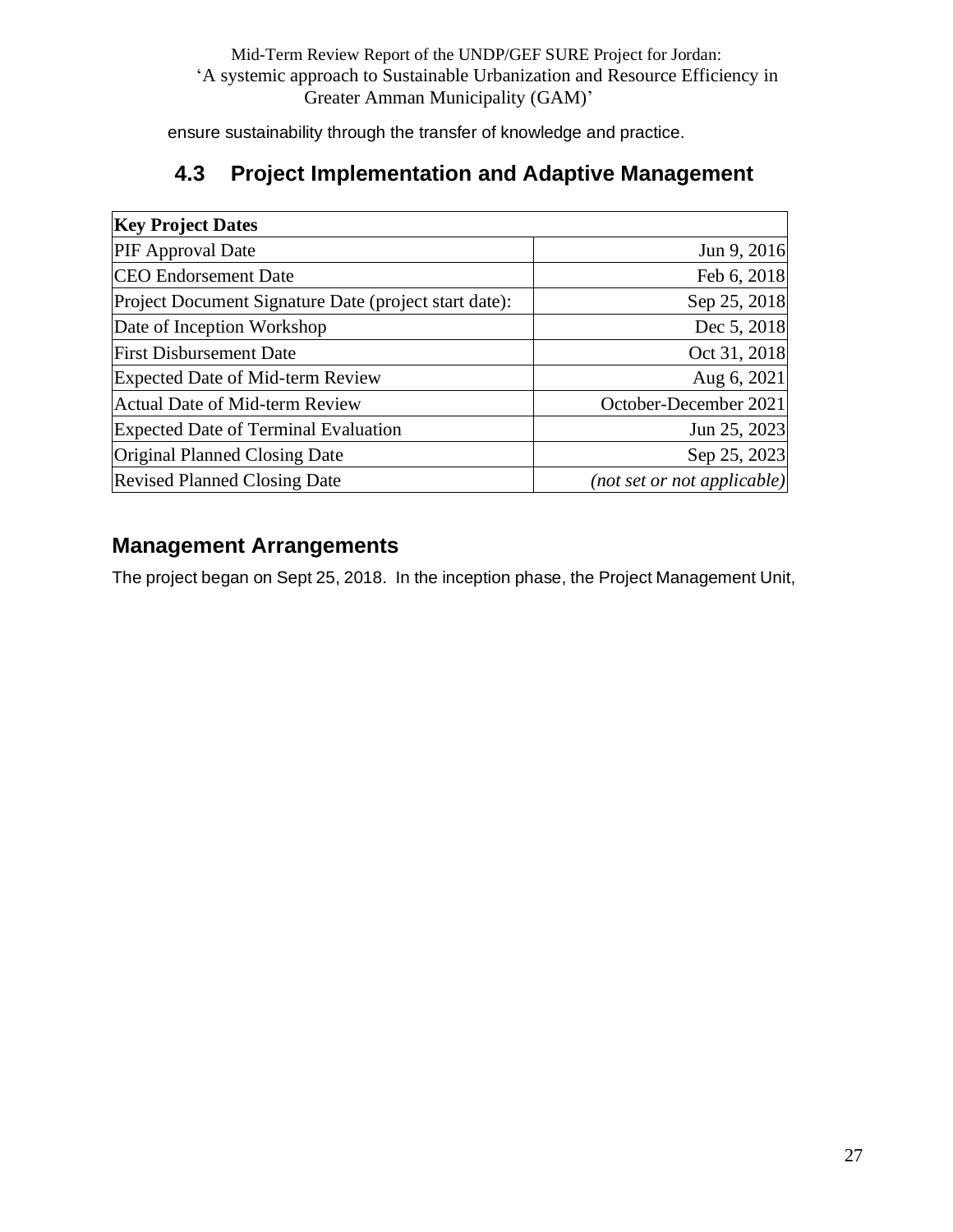ensure sustainability through the transfer of knowledge and practice.

## **4.3 Project Implementation and Adaptive Management**

<span id="page-26-0"></span>

| <b>Key Project Dates</b>                              |                             |
|-------------------------------------------------------|-----------------------------|
| <b>PIF</b> Approval Date                              | Jun 9, 2016                 |
| <b>CEO</b> Endorsement Date                           | Feb 6, 2018                 |
| Project Document Signature Date (project start date): | Sep 25, 2018                |
| Date of Inception Workshop                            | Dec 5, 2018                 |
| <b>First Disbursement Date</b>                        | Oct 31, 2018                |
| <b>Expected Date of Mid-term Review</b>               | Aug 6, 2021                 |
| <b>Actual Date of Mid-term Review</b>                 | October-December 2021       |
| <b>Expected Date of Terminal Evaluation</b>           | Jun 25, 2023                |
| Original Planned Closing Date                         | Sep 25, 2023                |
| <b>Revised Planned Closing Date</b>                   | (not set or not applicable) |

## <span id="page-26-1"></span>**Management Arrangements**

The project began on Sept 25, 2018. In the inception phase, the Project Management Unit,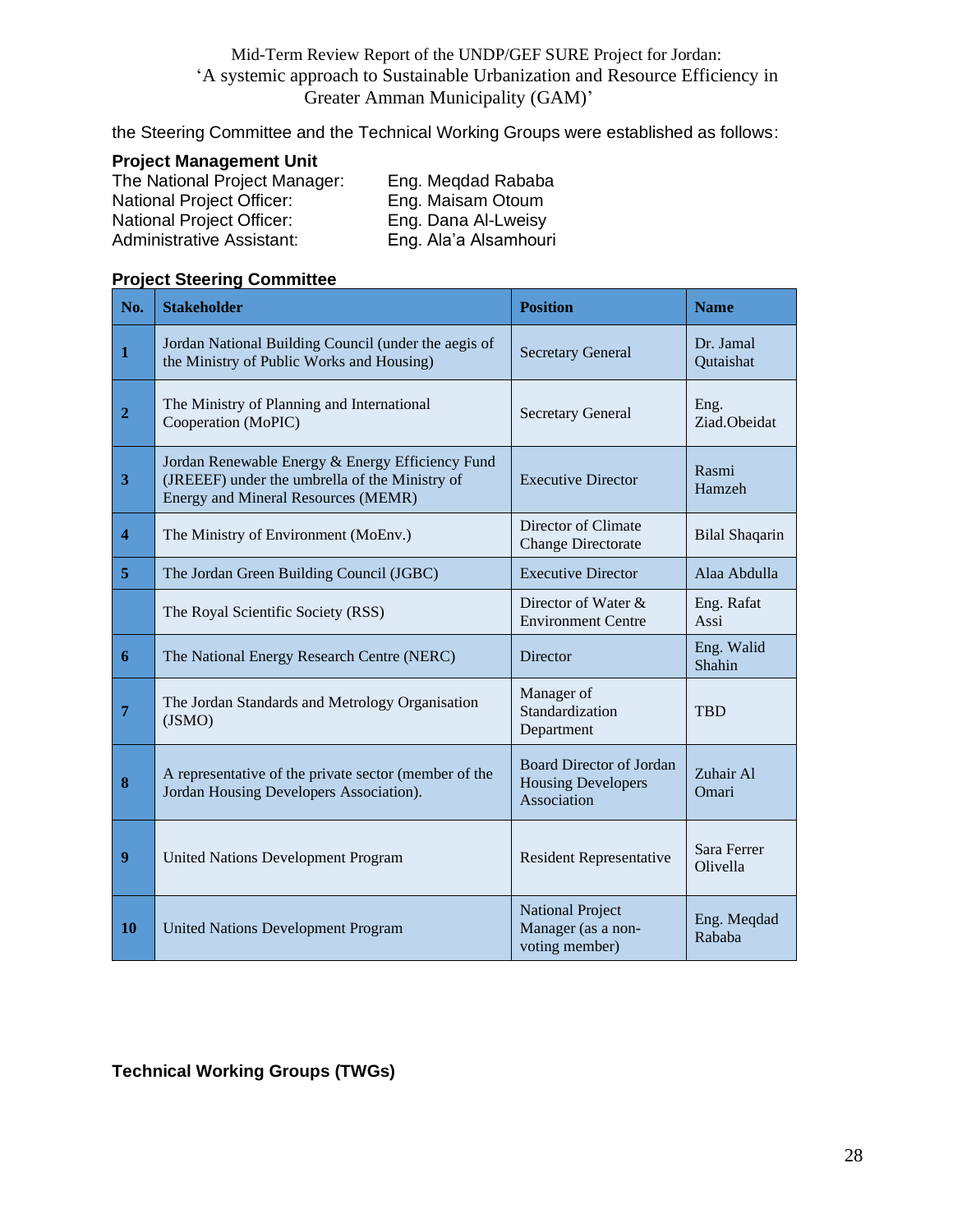the Steering Committee and the Technical Working Groups were established as follows:

#### **Project Management Unit**

The National Project Manager: Eng. Meqdad Rababa National Project Officer: Eng. Maisam Otoum National Project Officer: Eng. Dana Al-Lweisy Administrative Assistant: Eng. Ala'a Alsamhouri

#### **Project Steering Committee**

| No.                     | <b>Stakeholder</b>                                                                                                                        | <b>Position</b>                                                             | <b>Name</b>             |
|-------------------------|-------------------------------------------------------------------------------------------------------------------------------------------|-----------------------------------------------------------------------------|-------------------------|
| $\mathbf{1}$            | Jordan National Building Council (under the aegis of<br>the Ministry of Public Works and Housing)                                         | <b>Secretary General</b>                                                    | Dr. Jamal<br>Qutaishat  |
| $\overline{2}$          | The Ministry of Planning and International<br>Cooperation (MoPIC)                                                                         | <b>Secretary General</b>                                                    | Eng.<br>Ziad.Obeidat    |
| $\mathbf{3}$            | Jordan Renewable Energy & Energy Efficiency Fund<br>(JREEEF) under the umbrella of the Ministry of<br>Energy and Mineral Resources (MEMR) | <b>Executive Director</b>                                                   | Rasmi<br>Hamzeh         |
| $\overline{\mathbf{4}}$ | The Ministry of Environment (MoEnv.)                                                                                                      | Director of Climate<br><b>Change Directorate</b>                            | <b>Bilal Shaqarin</b>   |
| 5                       | The Jordan Green Building Council (JGBC)                                                                                                  | <b>Executive Director</b>                                                   | Alaa Abdulla            |
|                         | The Royal Scientific Society (RSS)                                                                                                        | Director of Water &<br><b>Environment Centre</b>                            | Eng. Rafat<br>Assi      |
| 6                       | The National Energy Research Centre (NERC)                                                                                                | <b>Director</b>                                                             | Eng. Walid<br>Shahin    |
| $\overline{7}$          | The Jordan Standards and Metrology Organisation<br>(JSMO)                                                                                 | Manager of<br>Standardization<br>Department                                 | <b>TRD</b>              |
| 8                       | A representative of the private sector (member of the<br>Jordan Housing Developers Association).                                          | <b>Board Director of Jordan</b><br><b>Housing Developers</b><br>Association | Zuhair Al<br>Omari      |
| $\boldsymbol{9}$        | <b>United Nations Development Program</b>                                                                                                 | <b>Resident Representative</b>                                              | Sara Ferrer<br>Olivella |
| 10                      | <b>United Nations Development Program</b>                                                                                                 | <b>National Project</b><br>Manager (as a non-<br>voting member)             | Eng. Meqdad<br>Rababa   |

#### **Technical Working Groups (TWGs)**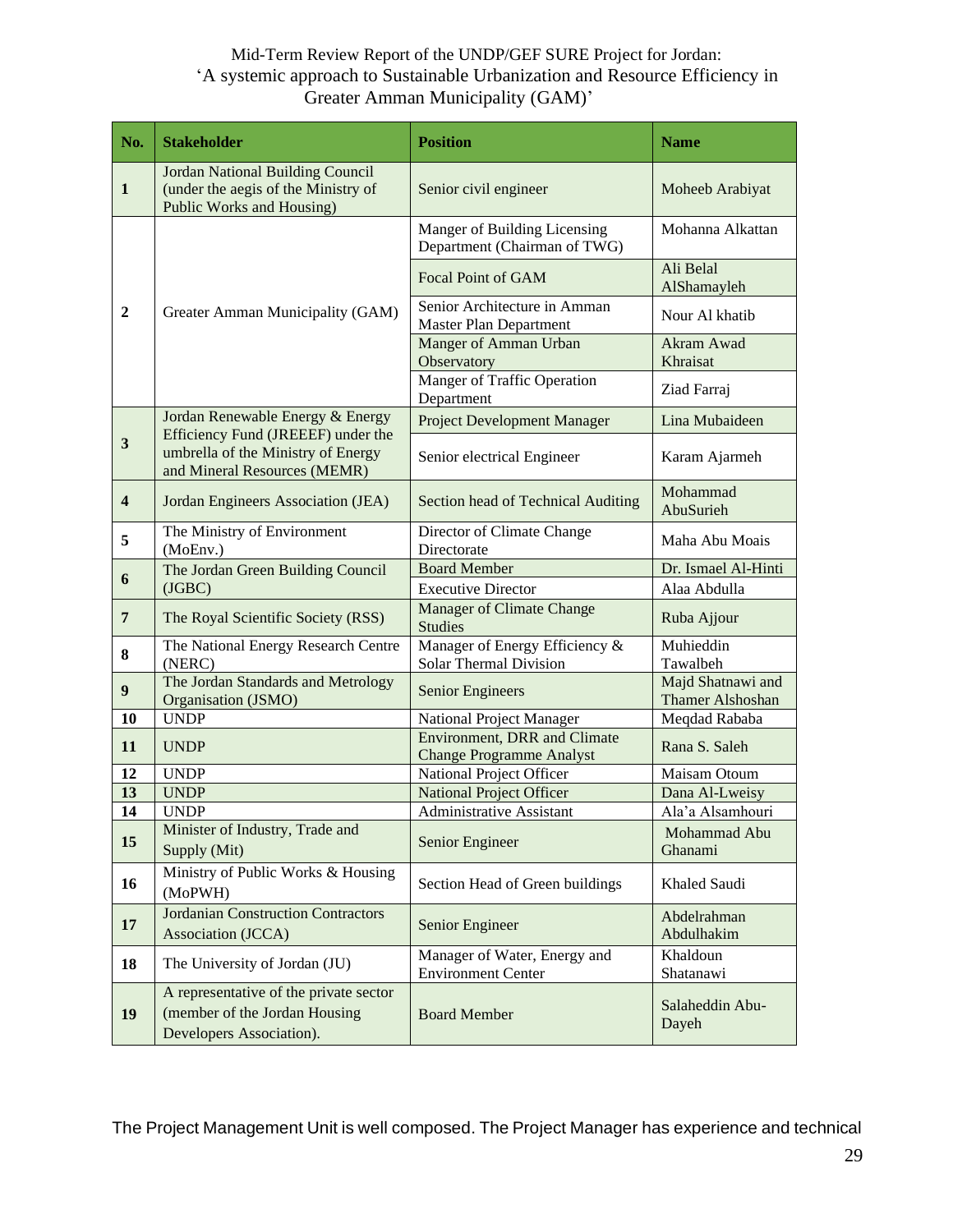| No.                     | <b>Stakeholder</b>                                                                                          | <b>Position</b>                                                        |                                              |  |  |
|-------------------------|-------------------------------------------------------------------------------------------------------------|------------------------------------------------------------------------|----------------------------------------------|--|--|
| $\mathbf{1}$            | <b>Jordan National Building Council</b><br>(under the aegis of the Ministry of<br>Public Works and Housing) | Senior civil engineer                                                  | Moheeb Arabiyat                              |  |  |
|                         |                                                                                                             | Manger of Building Licensing<br>Department (Chairman of TWG)           | Mohanna Alkattan                             |  |  |
|                         |                                                                                                             | <b>Focal Point of GAM</b>                                              | Ali Belal<br>AlShamayleh                     |  |  |
| $\boldsymbol{2}$        | Greater Amman Municipality (GAM)                                                                            | Senior Architecture in Amman<br><b>Master Plan Department</b>          | Nour Al khatib                               |  |  |
|                         |                                                                                                             | Manger of Amman Urban<br>Observatory                                   | Akram Awad<br>Khraisat                       |  |  |
|                         |                                                                                                             | <b>Manger of Traffic Operation</b><br>Department                       | Ziad Farraj                                  |  |  |
|                         | Jordan Renewable Energy & Energy                                                                            | <b>Project Development Manager</b>                                     | Lina Mubaideen                               |  |  |
| $\mathbf{3}$            | Efficiency Fund (JREEEF) under the<br>umbrella of the Ministry of Energy<br>and Mineral Resources (MEMR)    | Senior electrical Engineer                                             | Karam Ajarmeh                                |  |  |
| $\overline{\mathbf{4}}$ | Jordan Engineers Association (JEA)                                                                          | Section head of Technical Auditing                                     | Mohammad<br>AbuSurieh                        |  |  |
| 5                       | The Ministry of Environment<br>(MoEnv.)                                                                     | Director of Climate Change<br>Directorate                              | Maha Abu Moais                               |  |  |
| 6                       | The Jordan Green Building Council                                                                           | <b>Board Member</b>                                                    | Dr. Ismael Al-Hinti                          |  |  |
|                         | (JGBC)                                                                                                      | <b>Executive Director</b>                                              | Alaa Abdulla                                 |  |  |
| $\overline{7}$          | The Royal Scientific Society (RSS)                                                                          | Manager of Climate Change<br><b>Studies</b>                            | Ruba Ajjour                                  |  |  |
| 8                       | The National Energy Research Centre<br>(NERC)                                                               | Manager of Energy Efficiency $\&$<br><b>Solar Thermal Division</b>     | Muhieddin<br>Tawalbeh                        |  |  |
| $\boldsymbol{9}$        | The Jordan Standards and Metrology<br>Organisation (JSMO)                                                   | <b>Senior Engineers</b>                                                | Majd Shatnawi and<br><b>Thamer Alshoshan</b> |  |  |
| <b>10</b>               | <b>UNDP</b>                                                                                                 | National Project Manager                                               | Meqdad Rababa                                |  |  |
| 11                      | <b>UNDP</b>                                                                                                 | <b>Environment, DRR and Climate</b><br><b>Change Programme Analyst</b> | Rana S. Saleh                                |  |  |
| 12                      | <b>UNDP</b>                                                                                                 | National Project Officer                                               | Maisam Otoum                                 |  |  |
| 13                      | <b>UNDP</b>                                                                                                 | <b>National Project Officer</b>                                        | Dana Al-Lweisy                               |  |  |
| 14                      | <b>UNDP</b><br>Minister of Industry, Trade and                                                              | <b>Administrative Assistant</b>                                        | Ala'a Alsamhouri                             |  |  |
| 15                      | Supply (Mit)                                                                                                | Senior Engineer                                                        | Mohammad Abu<br>Ghanami                      |  |  |
| 16                      | Ministry of Public Works & Housing<br>(MoPWH)                                                               | Section Head of Green buildings                                        | Khaled Saudi                                 |  |  |
| 17                      | <b>Jordanian Construction Contractors</b><br>Association (JCCA)                                             | Senior Engineer                                                        | Abdelrahman<br>Abdulhakim                    |  |  |
| 18                      | The University of Jordan (JU)                                                                               | Manager of Water, Energy and<br><b>Environment Center</b>              | Khaldoun<br>Shatanawi                        |  |  |
| 19                      | A representative of the private sector<br>(member of the Jordan Housing<br>Developers Association).         | <b>Board Member</b>                                                    | Salaheddin Abu-<br>Dayeh                     |  |  |

The Project Management Unit is well composed. The Project Manager has experience and technical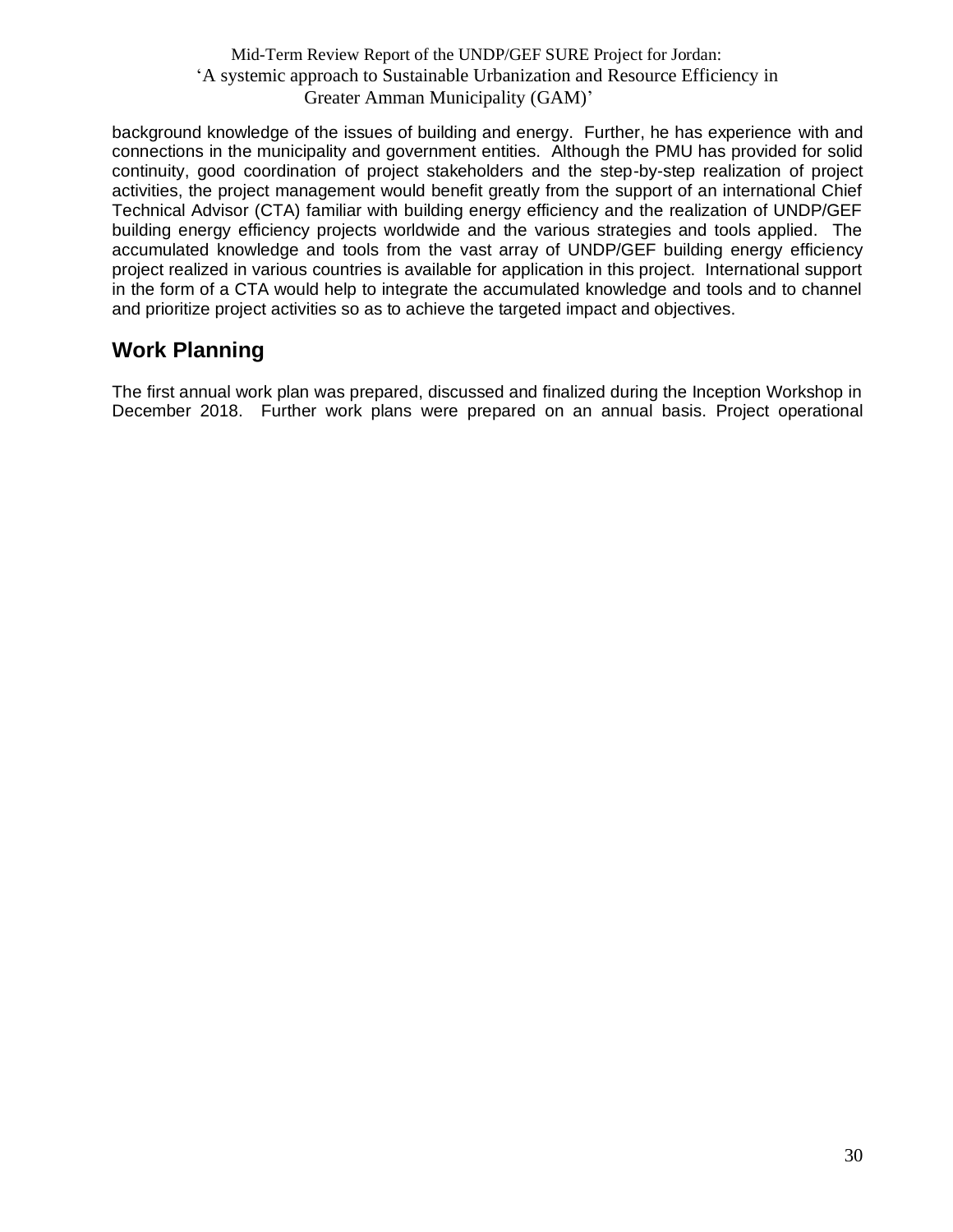background knowledge of the issues of building and energy. Further, he has experience with and connections in the municipality and government entities. Although the PMU has provided for solid continuity, good coordination of project stakeholders and the step-by-step realization of project activities, the project management would benefit greatly from the support of an international Chief Technical Advisor (CTA) familiar with building energy efficiency and the realization of UNDP/GEF building energy efficiency projects worldwide and the various strategies and tools applied. The accumulated knowledge and tools from the vast array of UNDP/GEF building energy efficiency project realized in various countries is available for application in this project. International support in the form of a CTA would help to integrate the accumulated knowledge and tools and to channel and prioritize project activities so as to achieve the targeted impact and objectives.

## <span id="page-29-0"></span>**Work Planning**

The first annual work plan was prepared, discussed and finalized during the Inception Workshop in December 2018. Further work plans were prepared on an annual basis. Project operational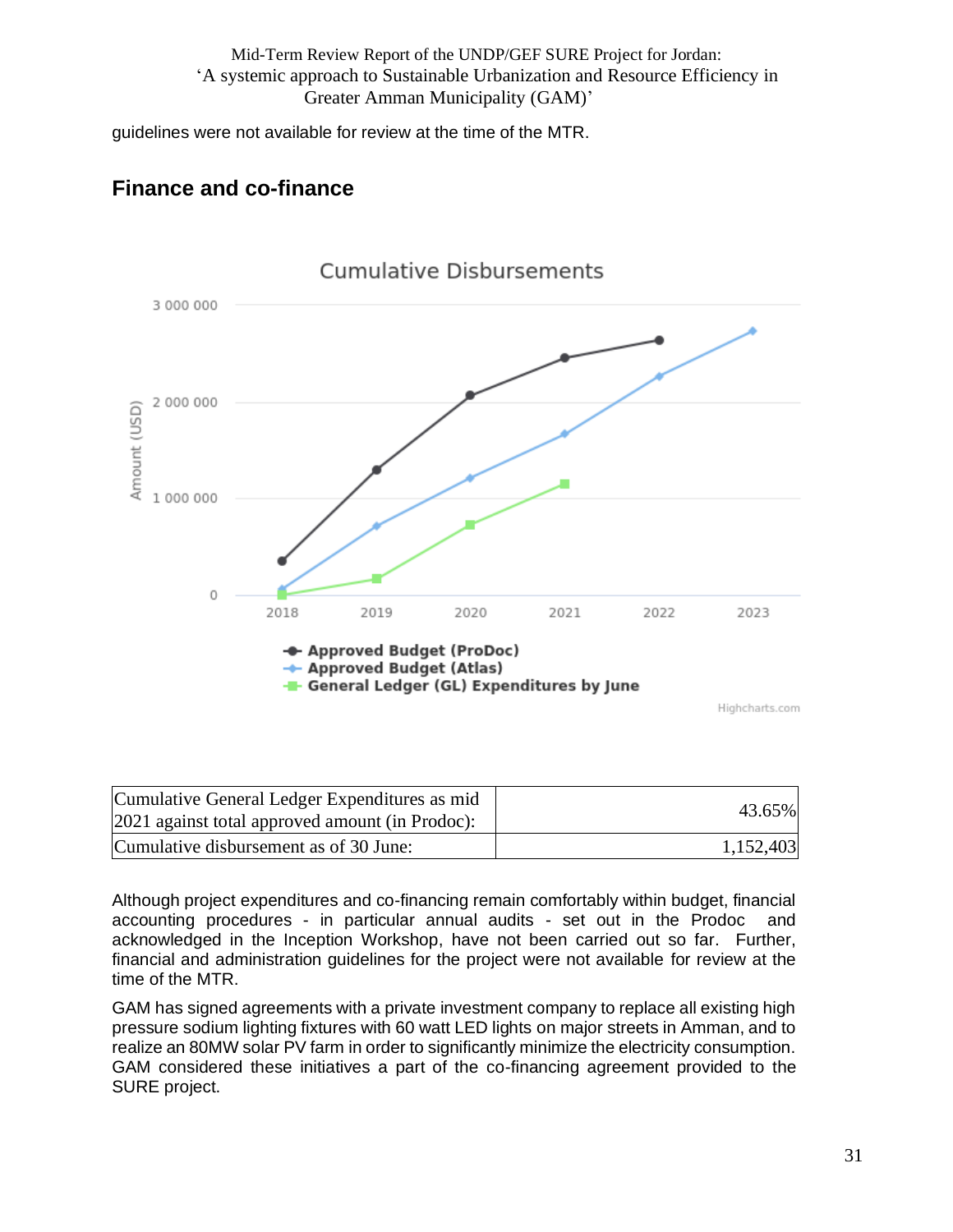guidelines were not available for review at the time of the MTR.

## **Finance and co-finance**



| Cumulative General Ledger Expenditures as mid<br>2021 against total approved amount (in Prodoc): | 43.65%    |
|--------------------------------------------------------------------------------------------------|-----------|
| Cumulative disbursement as of 30 June:                                                           | 1,152,403 |

Although project expenditures and co-financing remain comfortably within budget, financial accounting procedures - in particular annual audits - set out in the Prodoc and acknowledged in the Inception Workshop, have not been carried out so far. Further, financial and administration guidelines for the project were not available for review at the time of the MTR.

GAM has signed agreements with a private investment company to replace all existing high pressure sodium lighting fixtures with 60 watt LED lights on major streets in Amman, and to realize an 80MW solar PV farm in order to significantly minimize the electricity consumption. GAM considered these initiatives a part of the co-financing agreement provided to the SURE project.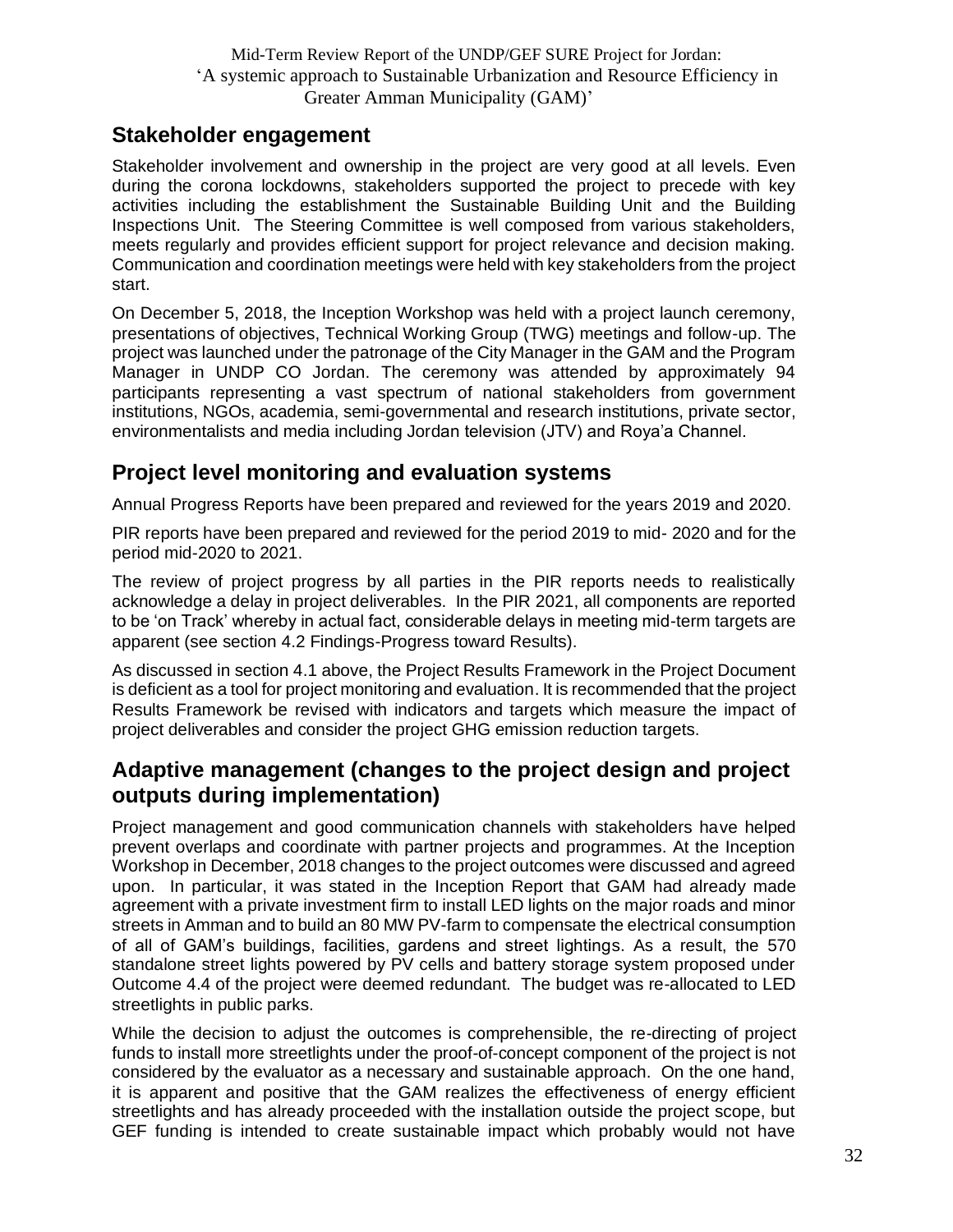## <span id="page-31-0"></span>**Stakeholder engagement**

Stakeholder involvement and ownership in the project are very good at all levels. Even during the corona lockdowns, stakeholders supported the project to precede with key activities including the establishment the Sustainable Building Unit and the Building Inspections Unit. The Steering Committee is well composed from various stakeholders, meets regularly and provides efficient support for project relevance and decision making. Communication and coordination meetings were held with key stakeholders from the project start.

On December 5, 2018, the Inception Workshop was held with a project launch ceremony, presentations of objectives, Technical Working Group (TWG) meetings and follow-up. The project was launched under the patronage of the City Manager in the GAM and the Program Manager in UNDP CO Jordan. The ceremony was attended by approximately 94 participants representing a vast spectrum of national stakeholders from government institutions, NGOs, academia, semi-governmental and research institutions, private sector, environmentalists and media including Jordan television (JTV) and Roya'a Channel.

## <span id="page-31-1"></span>**Project level monitoring and evaluation systems**

Annual Progress Reports have been prepared and reviewed for the years 2019 and 2020.

PIR reports have been prepared and reviewed for the period 2019 to mid- 2020 and for the period mid-2020 to 2021.

The review of project progress by all parties in the PIR reports needs to realistically acknowledge a delay in project deliverables. In the PIR 2021, all components are reported to be 'on Track' whereby in actual fact, considerable delays in meeting mid-term targets are apparent (see section 4.2 Findings-Progress toward Results).

As discussed in section 4.1 above, the Project Results Framework in the Project Document is deficient as a tool for project monitoring and evaluation. It is recommended that the project Results Framework be revised with indicators and targets which measure the impact of project deliverables and consider the project GHG emission reduction targets.

### <span id="page-31-2"></span>**Adaptive management (changes to the project design and project outputs during implementation)**

Project management and good communication channels with stakeholders have helped prevent overlaps and coordinate with partner projects and programmes. At the Inception Workshop in December, 2018 changes to the project outcomes were discussed and agreed upon. In particular, it was stated in the Inception Report that GAM had already made agreement with a private investment firm to install LED lights on the major roads and minor streets in Amman and to build an 80 MW PV-farm to compensate the electrical consumption of all of GAM's buildings, facilities, gardens and street lightings. As a result, the 570 standalone street lights powered by PV cells and battery storage system proposed under Outcome 4.4 of the project were deemed redundant. The budget was re-allocated to LED streetlights in public parks.

While the decision to adjust the outcomes is comprehensible, the re-directing of project funds to install more streetlights under the proof-of-concept component of the project is not considered by the evaluator as a necessary and sustainable approach. On the one hand, it is apparent and positive that the GAM realizes the effectiveness of energy efficient streetlights and has already proceeded with the installation outside the project scope, but GEF funding is intended to create sustainable impact which probably would not have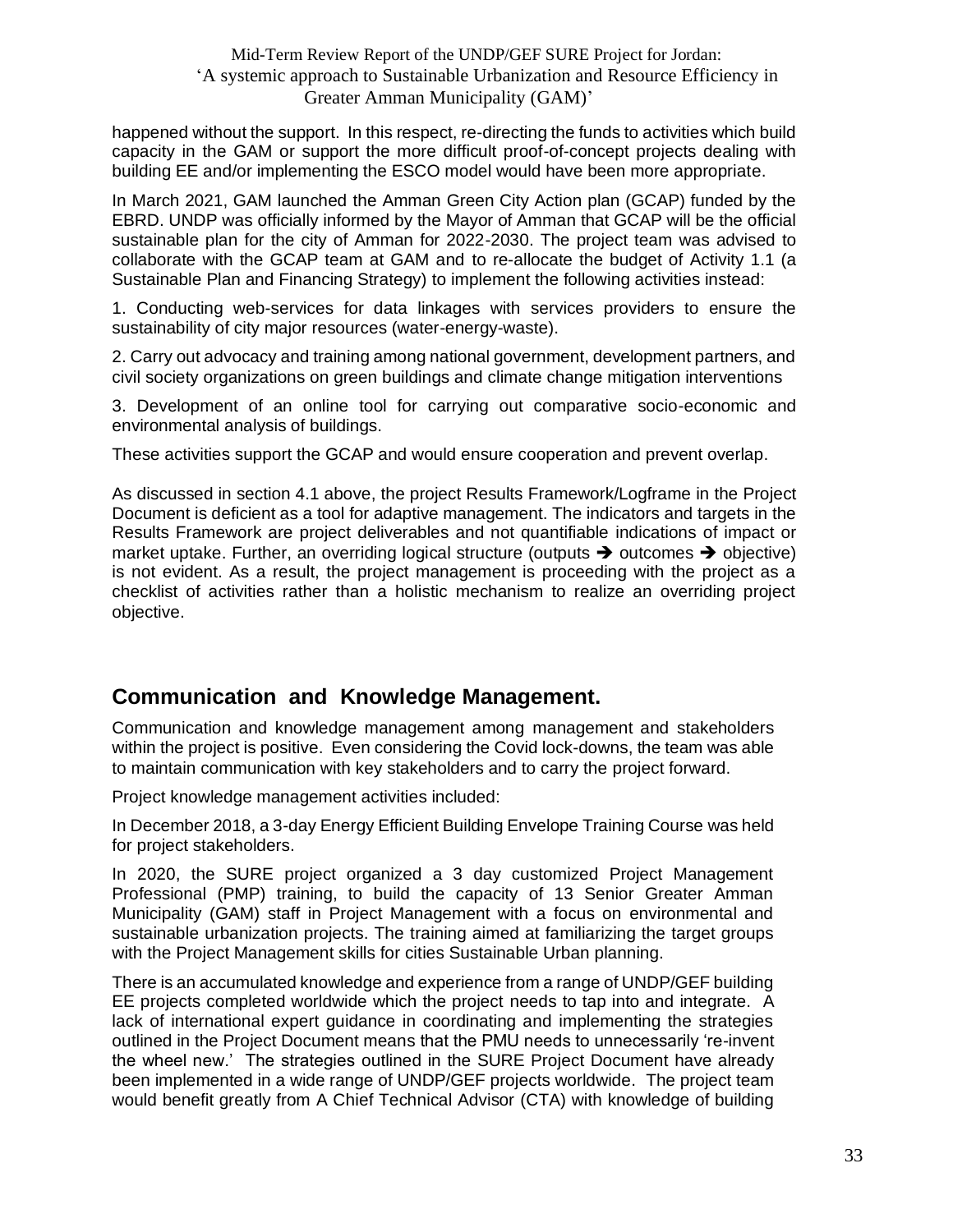happened without the support. In this respect, re-directing the funds to activities which build capacity in the GAM or support the more difficult proof-of-concept projects dealing with building EE and/or implementing the ESCO model would have been more appropriate.

In March 2021, GAM launched the Amman Green City Action plan (GCAP) funded by the EBRD. UNDP was officially informed by the Mayor of Amman that GCAP will be the official sustainable plan for the city of Amman for 2022-2030. The project team was advised to collaborate with the GCAP team at GAM and to re-allocate the budget of Activity 1.1 (a Sustainable Plan and Financing Strategy) to implement the following activities instead:

1. Conducting web-services for data linkages with services providers to ensure the sustainability of city major resources (water-energy-waste).

2. Carry out advocacy and training among national government, development partners, and civil society organizations on green buildings and climate change mitigation interventions

3. Development of an online tool for carrying out comparative socio-economic and environmental analysis of buildings.

These activities support the GCAP and would ensure cooperation and prevent overlap.

As discussed in section 4.1 above, the project Results Framework/Logframe in the Project Document is deficient as a tool for adaptive management. The indicators and targets in the Results Framework are project deliverables and not quantifiable indications of impact or market uptake. Further, an overriding logical structure (outputs  $\rightarrow$  outcomes  $\rightarrow$  objective) is not evident. As a result, the project management is proceeding with the project as a checklist of activities rather than a holistic mechanism to realize an overriding project objective.

### <span id="page-32-0"></span>**Communication and Knowledge Management.**

Communication and knowledge management among management and stakeholders within the project is positive. Even considering the Covid lock-downs, the team was able to maintain communication with key stakeholders and to carry the project forward.

Project knowledge management activities included:

In December 2018, a 3-day Energy Efficient Building Envelope Training Course was held for project stakeholders.

In 2020, the SURE project organized a 3 day customized Project Management Professional (PMP) training, to build the capacity of 13 Senior Greater Amman Municipality (GAM) staff in Project Management with a focus on environmental and sustainable urbanization projects. The training aimed at familiarizing the target groups with the Project Management skills for cities Sustainable Urban planning.

There is an accumulated knowledge and experience from a range of UNDP/GEF building EE projects completed worldwide which the project needs to tap into and integrate. A lack of international expert guidance in coordinating and implementing the strategies outlined in the Project Document means that the PMU needs to unnecessarily 're-invent the wheel new.' The strategies outlined in the SURE Project Document have already been implemented in a wide range of UNDP/GEF projects worldwide. The project team would benefit greatly from A Chief Technical Advisor (CTA) with knowledge of building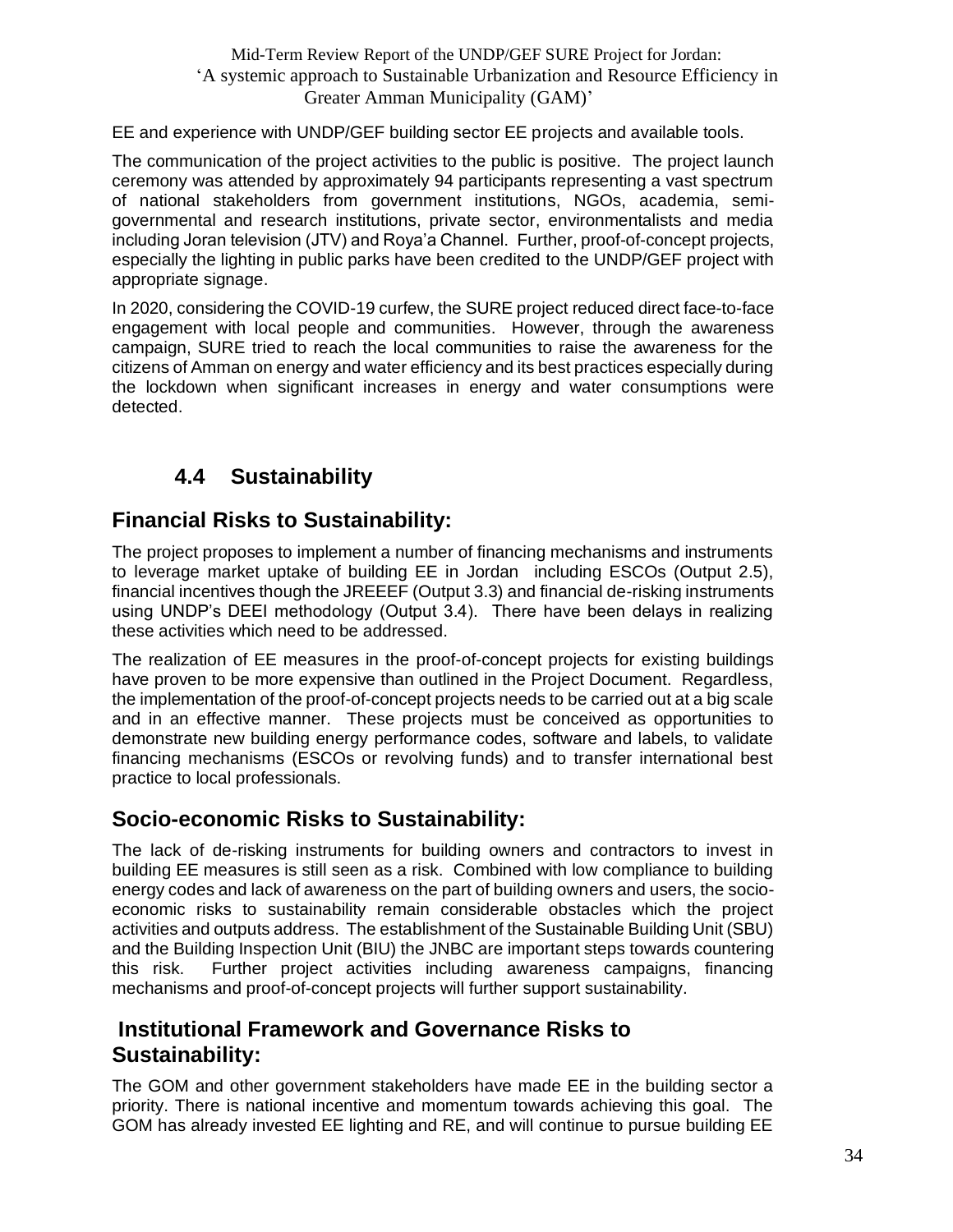EE and experience with UNDP/GEF building sector EE projects and available tools.

The communication of the project activities to the public is positive. The project launch ceremony was attended by approximately 94 participants representing a vast spectrum of national stakeholders from government institutions, NGOs, academia, semigovernmental and research institutions, private sector, environmentalists and media including Joran television (JTV) and Roya'a Channel. Further, proof-of-concept projects, especially the lighting in public parks have been credited to the UNDP/GEF project with appropriate signage.

In 2020, considering the COVID-19 curfew, the SURE project reduced direct face-to-face engagement with local people and communities. However, through the awareness campaign, SURE tried to reach the local communities to raise the awareness for the citizens of Amman on energy and water efficiency and its best practices especially during the lockdown when significant increases in energy and water consumptions were detected.

## **4.4 Sustainability**

## <span id="page-33-1"></span><span id="page-33-0"></span>**Financial Risks to Sustainability:**

The project proposes to implement a number of financing mechanisms and instruments to leverage market uptake of building EE in Jordan including ESCOs (Output 2.5), financial incentives though the JREEEF (Output 3.3) and financial de-risking instruments using UNDP's DEEI methodology (Output 3.4). There have been delays in realizing these activities which need to be addressed.

The realization of EE measures in the proof-of-concept projects for existing buildings have proven to be more expensive than outlined in the Project Document. Regardless, the implementation of the proof-of-concept projects needs to be carried out at a big scale and in an effective manner. These projects must be conceived as opportunities to demonstrate new building energy performance codes, software and labels, to validate financing mechanisms (ESCOs or revolving funds) and to transfer international best practice to local professionals.

## <span id="page-33-2"></span>**Socio-economic Risks to Sustainability:**

The lack of de-risking instruments for building owners and contractors to invest in building EE measures is still seen as a risk. Combined with low compliance to building energy codes and lack of awareness on the part of building owners and users, the socioeconomic risks to sustainability remain considerable obstacles which the project activities and outputs address. The establishment of the Sustainable Building Unit (SBU) and the Building Inspection Unit (BIU) the JNBC are important steps towards countering this risk. Further project activities including awareness campaigns, financing mechanisms and proof-of-concept projects will further support sustainability.

### <span id="page-33-3"></span>**Institutional Framework and Governance Risks to Sustainability:**

The GOM and other government stakeholders have made EE in the building sector a priority. There is national incentive and momentum towards achieving this goal. The GOM has already invested EE lighting and RE, and will continue to pursue building EE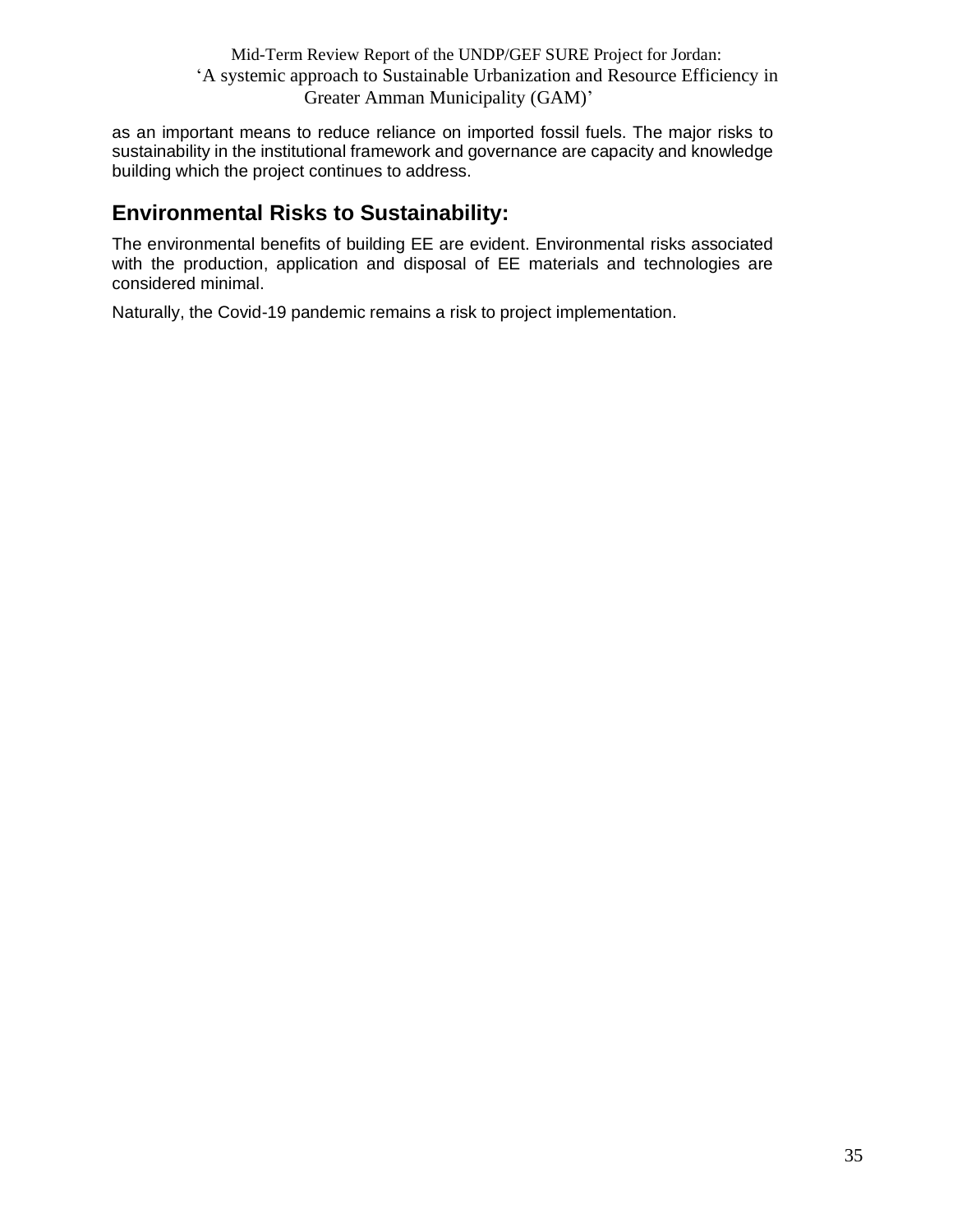as an important means to reduce reliance on imported fossil fuels. The major risks to sustainability in the institutional framework and governance are capacity and knowledge building which the project continues to address.

## <span id="page-34-0"></span>**Environmental Risks to Sustainability:**

The environmental benefits of building EE are evident. Environmental risks associated with the production, application and disposal of EE materials and technologies are considered minimal.

Naturally, the Covid-19 pandemic remains a risk to project implementation.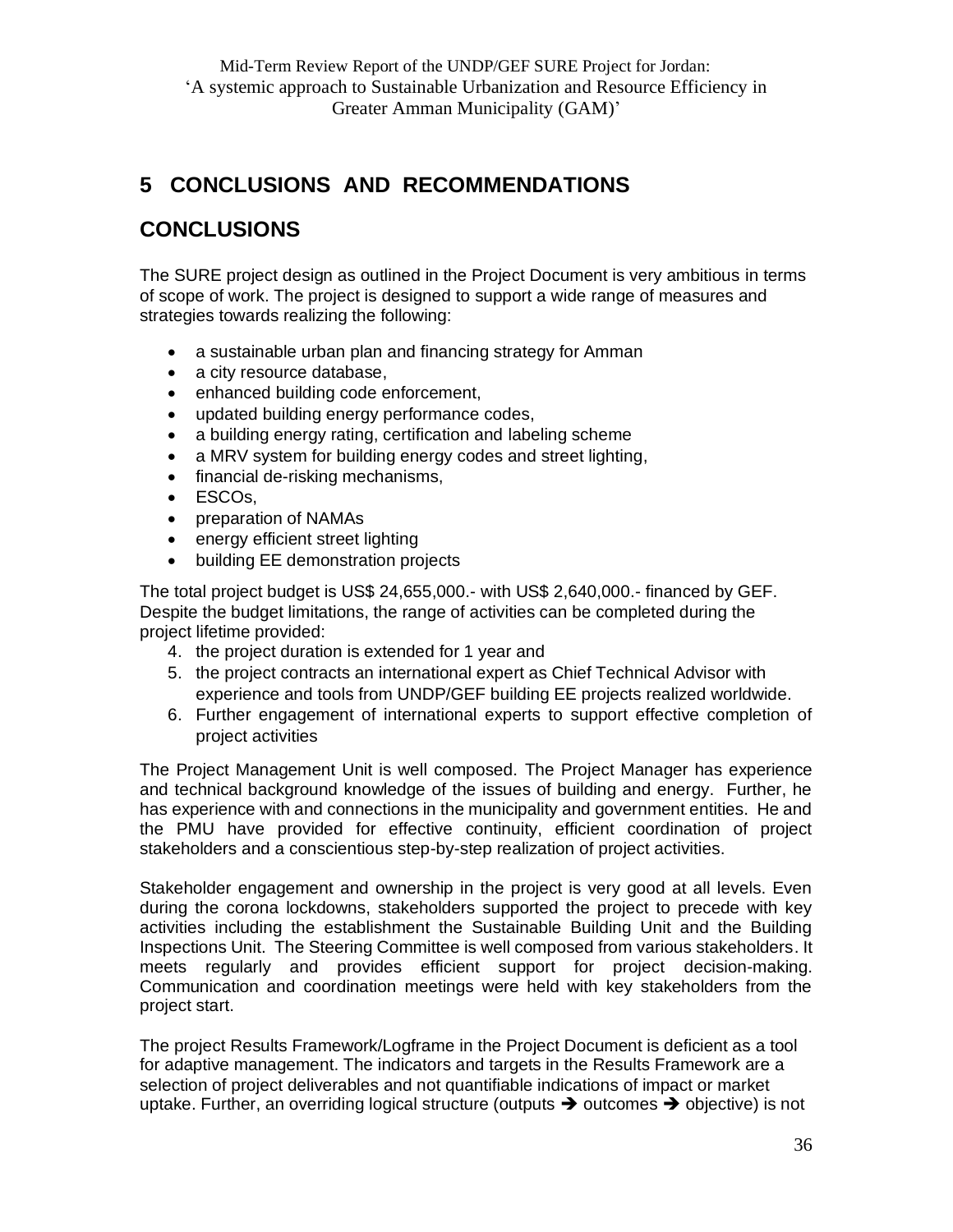## <span id="page-35-0"></span>**5 CONCLUSIONS AND RECOMMENDATIONS**

## <span id="page-35-1"></span>**CONCLUSIONS**

The SURE project design as outlined in the Project Document is very ambitious in terms of scope of work. The project is designed to support a wide range of measures and strategies towards realizing the following:

- a sustainable urban plan and financing strategy for Amman
- a city resource database,
- enhanced building code enforcement,
- updated building energy performance codes,
- a building energy rating, certification and labeling scheme
- a MRV system for building energy codes and street lighting,
- financial de-risking mechanisms,
- ESCOs,
- preparation of NAMAs
- energy efficient street lighting
- building EE demonstration projects

The total project budget is US\$ 24,655,000.- with US\$ 2,640,000.- financed by GEF. Despite the budget limitations, the range of activities can be completed during the project lifetime provided:

- 4. the project duration is extended for 1 year and
- 5. the project contracts an international expert as Chief Technical Advisor with experience and tools from UNDP/GEF building EE projects realized worldwide.
- 6. Further engagement of international experts to support effective completion of project activities

The Project Management Unit is well composed. The Project Manager has experience and technical background knowledge of the issues of building and energy. Further, he has experience with and connections in the municipality and government entities. He and the PMU have provided for effective continuity, efficient coordination of project stakeholders and a conscientious step-by-step realization of project activities.

Stakeholder engagement and ownership in the project is very good at all levels. Even during the corona lockdowns, stakeholders supported the project to precede with key activities including the establishment the Sustainable Building Unit and the Building Inspections Unit. The Steering Committee is well composed from various stakeholders. It meets regularly and provides efficient support for project decision-making. Communication and coordination meetings were held with key stakeholders from the project start.

The project Results Framework/Logframe in the Project Document is deficient as a tool for adaptive management. The indicators and targets in the Results Framework are a selection of project deliverables and not quantifiable indications of impact or market uptake. Further, an overriding logical structure (outputs  $\rightarrow$  outcomes  $\rightarrow$  objective) is not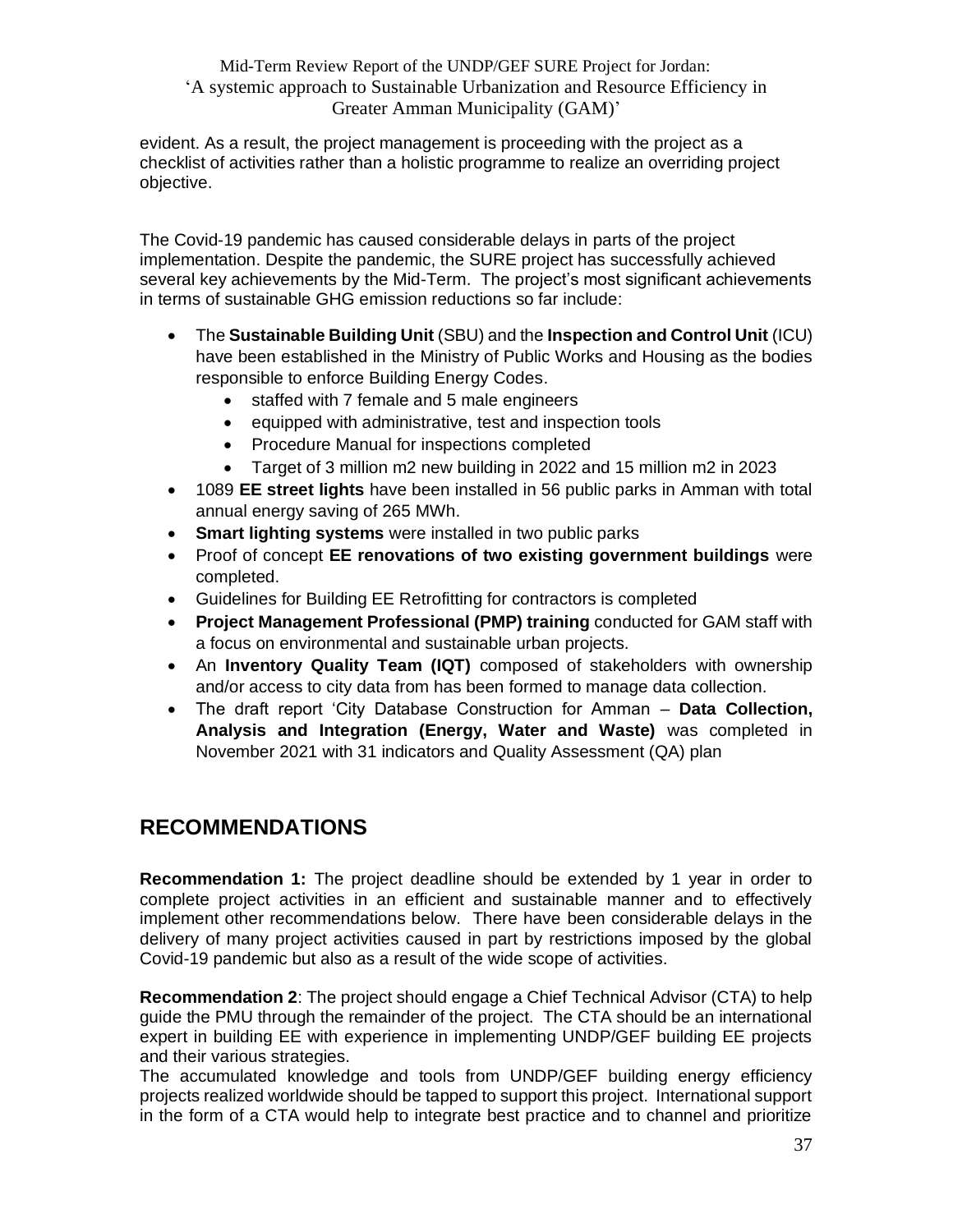evident. As a result, the project management is proceeding with the project as a checklist of activities rather than a holistic programme to realize an overriding project objective.

The Covid-19 pandemic has caused considerable delays in parts of the project implementation. Despite the pandemic, the SURE project has successfully achieved several key achievements by the Mid-Term. The project's most significant achievements in terms of sustainable GHG emission reductions so far include:

- The **Sustainable Building Unit** (SBU) and the **Inspection and Control Unit** (ICU) have been established in the Ministry of Public Works and Housing as the bodies responsible to enforce Building Energy Codes.
	- staffed with 7 female and 5 male engineers
	- equipped with administrative, test and inspection tools
	- Procedure Manual for inspections completed
	- Target of 3 million m2 new building in 2022 and 15 million m2 in 2023
- 1089 **EE street lights** have been installed in 56 public parks in Amman with total annual energy saving of 265 MWh.
- **Smart lighting systems** were installed in two public parks
- Proof of concept **EE renovations of two existing government buildings** were completed.
- Guidelines for Building EE Retrofitting for contractors is completed
- **Project Management Professional (PMP) training** conducted for GAM staff with a focus on environmental and sustainable urban projects.
- An **Inventory Quality Team (IQT)** composed of stakeholders with ownership and/or access to city data from has been formed to manage data collection.
- The draft report 'City Database Construction for Amman **Data Collection, Analysis and Integration (Energy, Water and Waste)** was completed in November 2021 with 31 indicators and Quality Assessment (QA) plan

## <span id="page-36-0"></span>**RECOMMENDATIONS**

**Recommendation 1:** The project deadline should be extended by 1 year in order to complete project activities in an efficient and sustainable manner and to effectively implement other recommendations below. There have been considerable delays in the delivery of many project activities caused in part by restrictions imposed by the global Covid-19 pandemic but also as a result of the wide scope of activities.

**Recommendation 2**: The project should engage a Chief Technical Advisor (CTA) to help guide the PMU through the remainder of the project. The CTA should be an international expert in building EE with experience in implementing UNDP/GEF building EE projects and their various strategies.

The accumulated knowledge and tools from UNDP/GEF building energy efficiency projects realized worldwide should be tapped to support this project. International support in the form of a CTA would help to integrate best practice and to channel and prioritize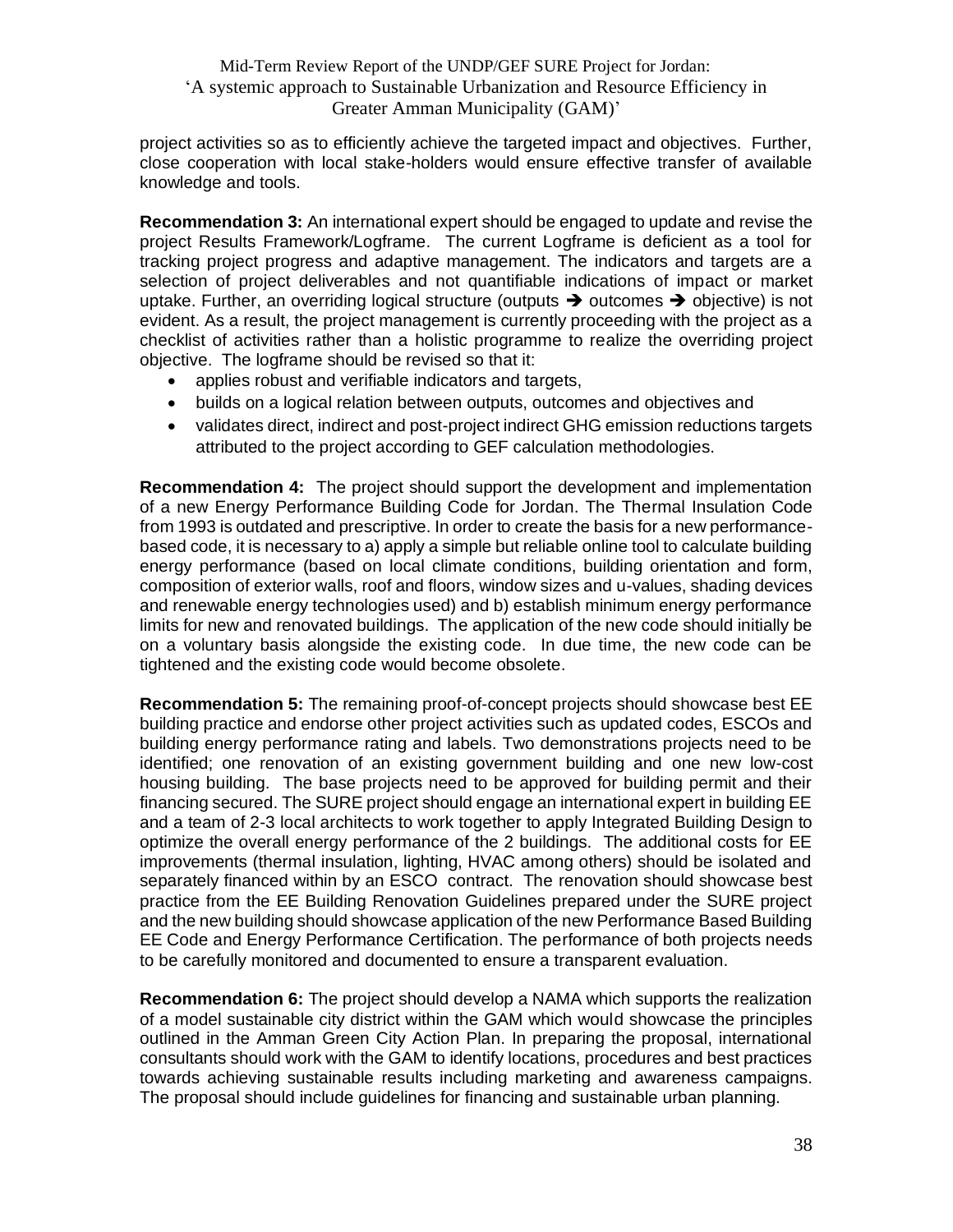project activities so as to efficiently achieve the targeted impact and objectives. Further, close cooperation with local stake-holders would ensure effective transfer of available knowledge and tools.

**Recommendation 3:** An international expert should be engaged to update and revise the project Results Framework/Logframe. The current Logframe is deficient as a tool for tracking project progress and adaptive management. The indicators and targets are a selection of project deliverables and not quantifiable indications of impact or market uptake. Further, an overriding logical structure (outputs  $\rightarrow$  outcomes  $\rightarrow$  objective) is not evident. As a result, the project management is currently proceeding with the project as a checklist of activities rather than a holistic programme to realize the overriding project objective. The logframe should be revised so that it:

- applies robust and verifiable indicators and targets,
- builds on a logical relation between outputs, outcomes and objectives and
- validates direct, indirect and post-project indirect GHG emission reductions targets attributed to the project according to GEF calculation methodologies.

**Recommendation 4:** The project should support the development and implementation of a new Energy Performance Building Code for Jordan. The Thermal Insulation Code from 1993 is outdated and prescriptive. In order to create the basis for a new performancebased code, it is necessary to a) apply a simple but reliable online tool to calculate building energy performance (based on local climate conditions, building orientation and form, composition of exterior walls, roof and floors, window sizes and u-values, shading devices and renewable energy technologies used) and b) establish minimum energy performance limits for new and renovated buildings. The application of the new code should initially be on a voluntary basis alongside the existing code. In due time, the new code can be tightened and the existing code would become obsolete.

**Recommendation 5:** The remaining proof-of-concept projects should showcase best EE building practice and endorse other project activities such as updated codes, ESCOs and building energy performance rating and labels. Two demonstrations projects need to be identified; one renovation of an existing government building and one new low-cost housing building. The base projects need to be approved for building permit and their financing secured. The SURE project should engage an international expert in building EE and a team of 2-3 local architects to work together to apply Integrated Building Design to optimize the overall energy performance of the 2 buildings. The additional costs for EE improvements (thermal insulation, lighting, HVAC among others) should be isolated and separately financed within by an ESCO contract. The renovation should showcase best practice from the EE Building Renovation Guidelines prepared under the SURE project and the new building should showcase application of the new Performance Based Building EE Code and Energy Performance Certification. The performance of both projects needs to be carefully monitored and documented to ensure a transparent evaluation.

**Recommendation 6:** The project should develop a NAMA which supports the realization of a model sustainable city district within the GAM which would showcase the principles outlined in the Amman Green City Action Plan. In preparing the proposal, international consultants should work with the GAM to identify locations, procedures and best practices towards achieving sustainable results including marketing and awareness campaigns. The proposal should include guidelines for financing and sustainable urban planning.